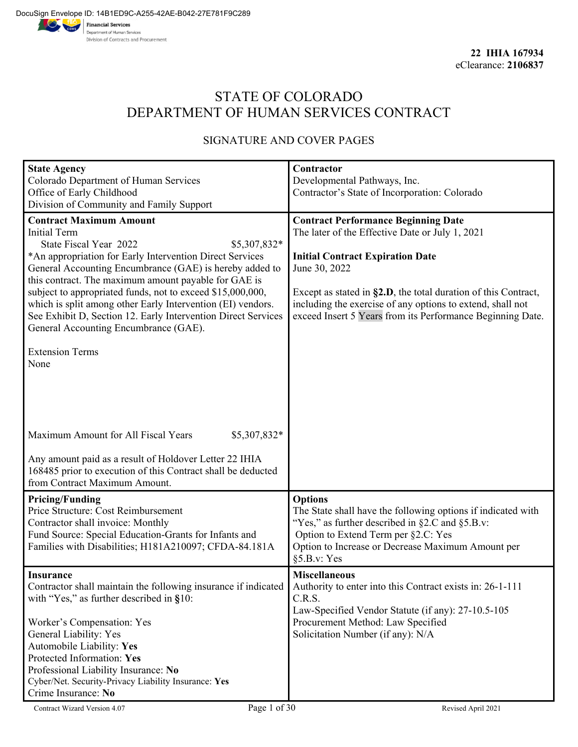# STATE OF COLORADO DEPARTMENT OF HUMAN SERVICES CONTRACT

# SIGNATURE AND COVER PAGES

| <b>State Agency</b>                                            | Contractor                                                         |
|----------------------------------------------------------------|--------------------------------------------------------------------|
| Colorado Department of Human Services                          | Developmental Pathways, Inc.                                       |
| Office of Early Childhood                                      | Contractor's State of Incorporation: Colorado                      |
| Division of Community and Family Support                       |                                                                    |
| <b>Contract Maximum Amount</b>                                 | <b>Contract Performance Beginning Date</b>                         |
| <b>Initial Term</b>                                            | The later of the Effective Date or July 1, 2021                    |
| State Fiscal Year 2022<br>\$5,307,832*                         |                                                                    |
| *An appropriation for Early Intervention Direct Services       | <b>Initial Contract Expiration Date</b>                            |
| General Accounting Encumbrance (GAE) is hereby added to        | June 30, 2022                                                      |
| this contract. The maximum amount payable for GAE is           |                                                                    |
| subject to appropriated funds, not to exceed \$15,000,000,     | Except as stated in $\S2.D$ , the total duration of this Contract, |
| which is split among other Early Intervention (EI) vendors.    | including the exercise of any options to extend, shall not         |
| See Exhibit D, Section 12. Early Intervention Direct Services  | exceed Insert 5 Years from its Performance Beginning Date.         |
| General Accounting Encumbrance (GAE).                          |                                                                    |
| <b>Extension Terms</b>                                         |                                                                    |
| None                                                           |                                                                    |
|                                                                |                                                                    |
|                                                                |                                                                    |
|                                                                |                                                                    |
|                                                                |                                                                    |
|                                                                |                                                                    |
| Maximum Amount for All Fiscal Years<br>\$5,307,832*            |                                                                    |
|                                                                |                                                                    |
| Any amount paid as a result of Holdover Letter 22 IHIA         |                                                                    |
| 168485 prior to execution of this Contract shall be deducted   |                                                                    |
| from Contract Maximum Amount.                                  |                                                                    |
| <b>Pricing/Funding</b>                                         | <b>Options</b>                                                     |
| Price Structure: Cost Reimbursement                            | The State shall have the following options if indicated with       |
| Contractor shall invoice: Monthly                              | "Yes," as further described in $\S 2.C$ and $\S 5.B.v$ :           |
| Fund Source: Special Education-Grants for Infants and          | Option to Extend Term per §2.C: Yes                                |
| Families with Disabilities; H181A210097; CFDA-84.181A          | Option to Increase or Decrease Maximum Amount per                  |
|                                                                | §5.B.v: Yes                                                        |
| <b>Insurance</b>                                               | <b>Miscellaneous</b>                                               |
| Contractor shall maintain the following insurance if indicated | Authority to enter into this Contract exists in: 26-1-111          |
| with "Yes," as further described in $§10$ :                    | C.R.S.                                                             |
|                                                                | Law-Specified Vendor Statute (if any): 27-10.5-105                 |
| Worker's Compensation: Yes                                     | Procurement Method: Law Specified                                  |
| General Liability: Yes                                         | Solicitation Number (if any): N/A                                  |
| Automobile Liability: Yes                                      |                                                                    |
| Protected Information: Yes                                     |                                                                    |
| Professional Liability Insurance: No                           |                                                                    |
| Cyber/Net. Security-Privacy Liability Insurance: Yes           |                                                                    |
| Crime Insurance: No                                            |                                                                    |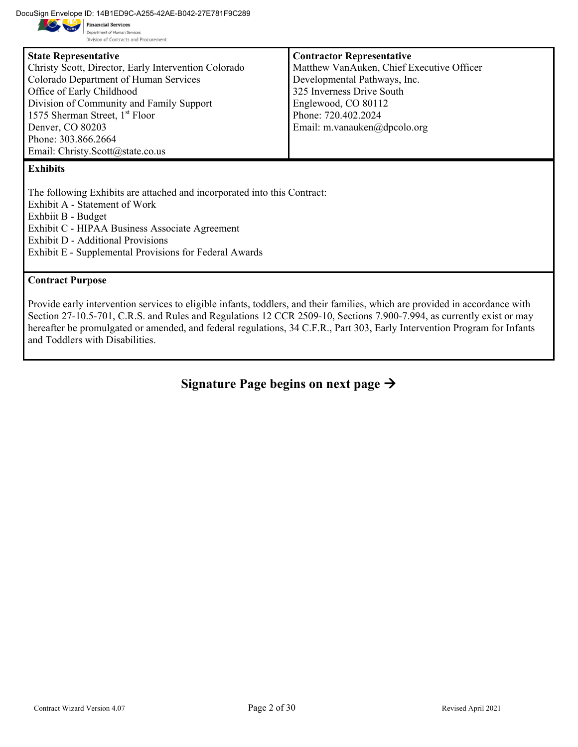DocuSign Envelope ID: 14B1ED9C-A255-42AE-B042-27E781F9C289

Department of Human Services Division of Contracts and Procurement

| <b>State Representative</b>                          | <b>Contractor Representative</b>          |
|------------------------------------------------------|-------------------------------------------|
| Christy Scott, Director, Early Intervention Colorado | Matthew VanAuken, Chief Executive Officer |
| Colorado Department of Human Services                | Developmental Pathways, Inc.              |
| Office of Early Childhood                            | 325 Inverness Drive South                 |
| Division of Community and Family Support             | Englewood, CO 80112                       |
| 1575 Sherman Street, $1st$ Floor                     | Phone: 720.402.2024                       |
| Denver, CO 80203                                     | Email: m.vanauken@dpcolo.org              |
| Phone: 303.866.2664                                  |                                           |
| Email: Christy.Scott@state.co.us                     |                                           |
| $17 - 1.21.24$                                       |                                           |

#### **Exhibits**

The following Exhibits are attached and incorporated into this Contract: Exhibit A - Statement of Work Exhbiit B - Budget Exhibit C - HIPAA Business Associate Agreement Exhibit D - Additional Provisions Exhibit E - Supplemental Provisions for Federal Awards

#### **Contract Purpose**

Provide early intervention services to eligible infants, toddlers, and their families, which are provided in accordance with Section 27-10.5-701, C.R.S. and Rules and Regulations 12 CCR 2509-10, Sections 7.900-7.994, as currently exist or may hereafter be promulgated or amended, and federal regulations, 34 C.F.R., Part 303, Early Intervention Program for Infants and Toddlers with Disabilities.

**Signature Page begins on next page**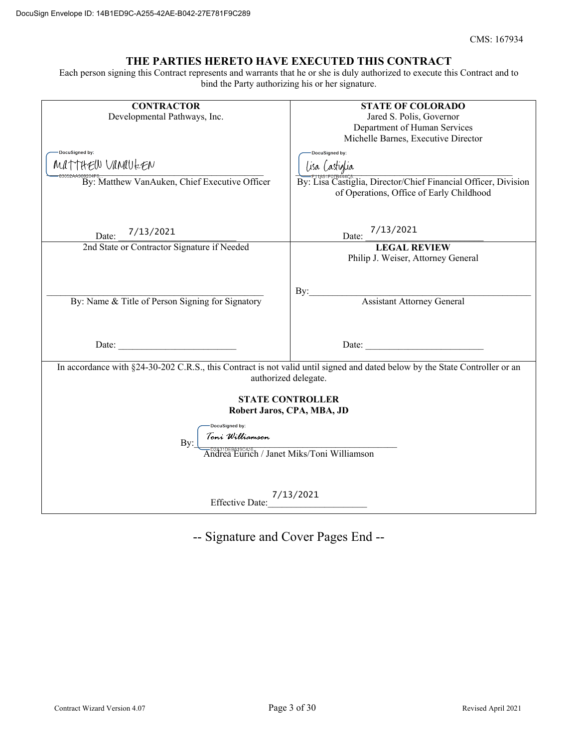#### **THE PARTIES HERETO HAVE EXECUTED THIS CONTRACT**

Each person signing this Contract represents and warrants that he or she is duly authorized to execute this Contract and to bind the Party authorizing his or her signature.

| <b>CONTRACTOR</b>                                                                                                           | <b>STATE OF COLORADO</b>                                       |  |  |  |  |
|-----------------------------------------------------------------------------------------------------------------------------|----------------------------------------------------------------|--|--|--|--|
| Developmental Pathways, Inc.                                                                                                | Jared S. Polis, Governor                                       |  |  |  |  |
|                                                                                                                             | Department of Human Services                                   |  |  |  |  |
|                                                                                                                             | Michelle Barnes, Executive Director                            |  |  |  |  |
|                                                                                                                             |                                                                |  |  |  |  |
| DocuSigned by:                                                                                                              | DocuSigned by:                                                 |  |  |  |  |
| MATTHEIN VAMULEN                                                                                                            | Lisa Castiglia                                                 |  |  |  |  |
| By: Matthew VanAuken, Chief Executive Officer                                                                               | By: Lisa Castiglia, Director/Chief Financial Officer, Division |  |  |  |  |
|                                                                                                                             | of Operations, Office of Early Childhood                       |  |  |  |  |
|                                                                                                                             |                                                                |  |  |  |  |
|                                                                                                                             |                                                                |  |  |  |  |
|                                                                                                                             |                                                                |  |  |  |  |
| 7/13/2021<br>Date:                                                                                                          | 7/13/2021<br>Date:                                             |  |  |  |  |
| 2nd State or Contractor Signature if Needed                                                                                 | <b>LEGAL REVIEW</b>                                            |  |  |  |  |
|                                                                                                                             | Philip J. Weiser, Attorney General                             |  |  |  |  |
|                                                                                                                             |                                                                |  |  |  |  |
|                                                                                                                             |                                                                |  |  |  |  |
|                                                                                                                             | By:                                                            |  |  |  |  |
| By: Name & Title of Person Signing for Signatory                                                                            | Assistant Attorney General                                     |  |  |  |  |
|                                                                                                                             |                                                                |  |  |  |  |
|                                                                                                                             |                                                                |  |  |  |  |
|                                                                                                                             |                                                                |  |  |  |  |
| Date:                                                                                                                       | Date:                                                          |  |  |  |  |
|                                                                                                                             |                                                                |  |  |  |  |
| In accordance with §24-30-202 C.R.S., this Contract is not valid until signed and dated below by the State Controller or an |                                                                |  |  |  |  |
| authorized delegate.                                                                                                        |                                                                |  |  |  |  |
|                                                                                                                             |                                                                |  |  |  |  |
| <b>STATE CONTROLLER</b>                                                                                                     |                                                                |  |  |  |  |
| Robert Jaros, CPA, MBA, JD                                                                                                  |                                                                |  |  |  |  |
| DocuSigned by:                                                                                                              |                                                                |  |  |  |  |
| Toni Williamson                                                                                                             |                                                                |  |  |  |  |
| By:                                                                                                                         |                                                                |  |  |  |  |
| –<br>Pressiperations<br>Andrea Eurich / Janet Miks/Toni Williamson                                                          |                                                                |  |  |  |  |
|                                                                                                                             |                                                                |  |  |  |  |
|                                                                                                                             |                                                                |  |  |  |  |
|                                                                                                                             |                                                                |  |  |  |  |
| 7/13/2021<br><b>Effective Date:</b>                                                                                         |                                                                |  |  |  |  |
|                                                                                                                             |                                                                |  |  |  |  |

-- Signature and Cover Pages End --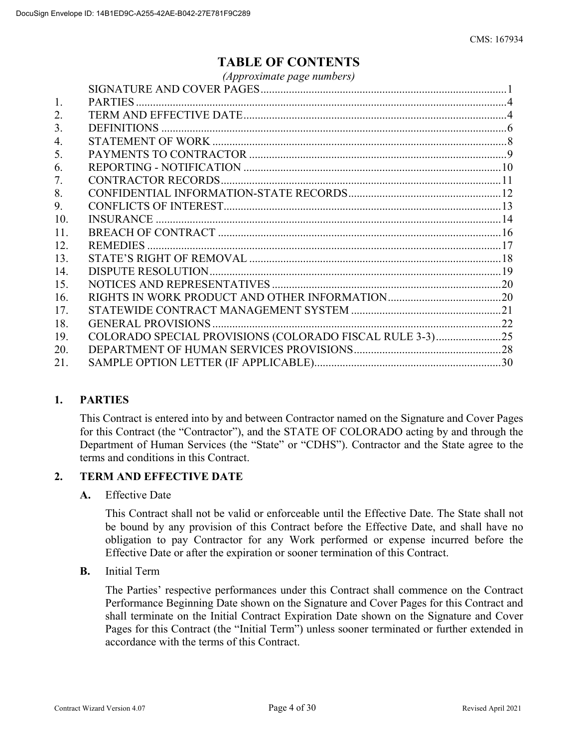# **TABLE OF CONTENTS**

|     | (Approximate page numbers)                               |  |
|-----|----------------------------------------------------------|--|
|     |                                                          |  |
| 1.  |                                                          |  |
| 2.  |                                                          |  |
| 3.  |                                                          |  |
| 4.  |                                                          |  |
| 5.  |                                                          |  |
| 6.  |                                                          |  |
| 7.  |                                                          |  |
| 8.  |                                                          |  |
| 9.  |                                                          |  |
| 10. |                                                          |  |
| 11. |                                                          |  |
| 12. |                                                          |  |
| 13. |                                                          |  |
| 14. |                                                          |  |
| 15. |                                                          |  |
| 16. |                                                          |  |
| 17. |                                                          |  |
| 18. |                                                          |  |
| 19. | COLORADO SPECIAL PROVISIONS (COLORADO FISCAL RULE 3-3)25 |  |
| 20. |                                                          |  |
| 21. |                                                          |  |
|     |                                                          |  |

# **1. PARTIES**

This Contract is entered into by and between Contractor named on the Signature and Cover Pages for this Contract (the "Contractor"), and the STATE OF COLORADO acting by and through the Department of Human Services (the "State" or "CDHS"). Contractor and the State agree to the terms and conditions in this Contract.

#### **2. TERM AND EFFECTIVE DATE**

#### **A.** Effective Date

This Contract shall not be valid or enforceable until the Effective Date. The State shall not be bound by any provision of this Contract before the Effective Date, and shall have no obligation to pay Contractor for any Work performed or expense incurred before the Effective Date or after the expiration or sooner termination of this Contract.

**B.** Initial Term

The Parties' respective performances under this Contract shall commence on the Contract Performance Beginning Date shown on the Signature and Cover Pages for this Contract and shall terminate on the Initial Contract Expiration Date shown on the Signature and Cover Pages for this Contract (the "Initial Term") unless sooner terminated or further extended in accordance with the terms of this Contract.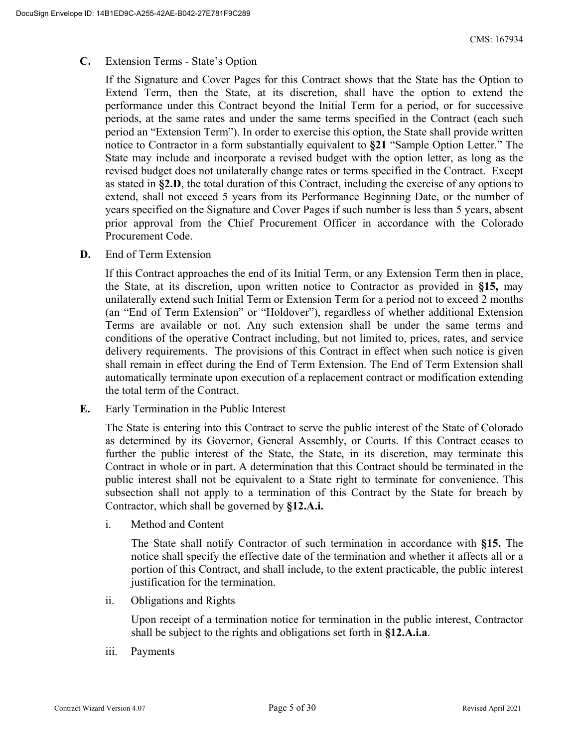### **C.** Extension Terms - State's Option

If the Signature and Cover Pages for this Contract shows that the State has the Option to Extend Term, then the State, at its discretion, shall have the option to extend the performance under this Contract beyond the Initial Term for a period, or for successive periods, at the same rates and under the same terms specified in the Contract (each such period an "Extension Term"). In order to exercise this option, the State shall provide written notice to Contractor in a form substantially equivalent to **§21** "Sample Option Letter." The State may include and incorporate a revised budget with the option letter, as long as the revised budget does not unilaterally change rates or terms specified in the Contract. Except as stated in **§2.D**, the total duration of this Contract, including the exercise of any options to extend, shall not exceed 5 years from its Performance Beginning Date, or the number of years specified on the Signature and Cover Pages if such number is less than 5 years, absent prior approval from the Chief Procurement Officer in accordance with the Colorado Procurement Code.

**D.** End of Term Extension

If this Contract approaches the end of its Initial Term, or any Extension Term then in place, the State, at its discretion, upon written notice to Contractor as provided in **§15,** may unilaterally extend such Initial Term or Extension Term for a period not to exceed 2 months (an "End of Term Extension" or "Holdover"), regardless of whether additional Extension Terms are available or not. Any such extension shall be under the same terms and conditions of the operative Contract including, but not limited to, prices, rates, and service delivery requirements. The provisions of this Contract in effect when such notice is given shall remain in effect during the End of Term Extension. The End of Term Extension shall automatically terminate upon execution of a replacement contract or modification extending the total term of the Contract.

**E.** Early Termination in the Public Interest

The State is entering into this Contract to serve the public interest of the State of Colorado as determined by its Governor, General Assembly, or Courts. If this Contract ceases to further the public interest of the State, the State, in its discretion, may terminate this Contract in whole or in part. A determination that this Contract should be terminated in the public interest shall not be equivalent to a State right to terminate for convenience. This subsection shall not apply to a termination of this Contract by the State for breach by Contractor, which shall be governed by **§12.A.i.**

i. Method and Content

The State shall notify Contractor of such termination in accordance with **§15.** The notice shall specify the effective date of the termination and whether it affects all or a portion of this Contract, and shall include, to the extent practicable, the public interest justification for the termination.

ii. Obligations and Rights

Upon receipt of a termination notice for termination in the public interest, Contractor shall be subject to the rights and obligations set forth in **§12.A.i.a**.

iii. Payments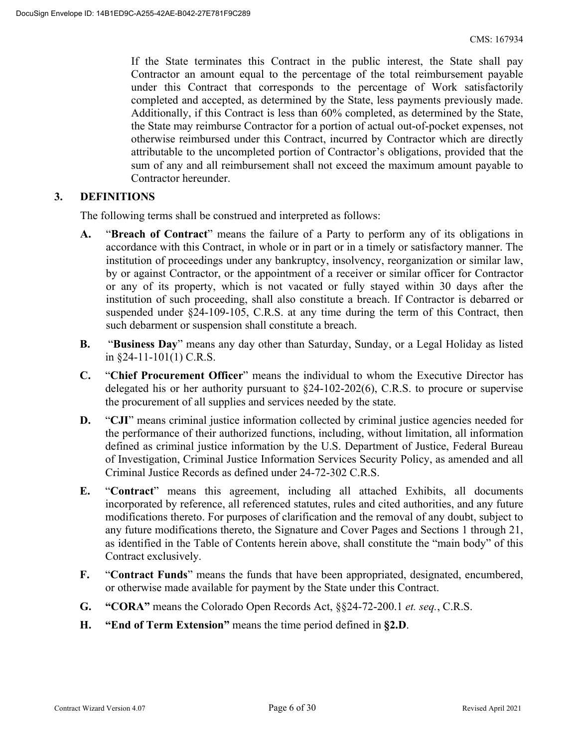If the State terminates this Contract in the public interest, the State shall pay Contractor an amount equal to the percentage of the total reimbursement payable under this Contract that corresponds to the percentage of Work satisfactorily completed and accepted, as determined by the State, less payments previously made. Additionally, if this Contract is less than 60% completed, as determined by the State, the State may reimburse Contractor for a portion of actual out-of-pocket expenses, not otherwise reimbursed under this Contract, incurred by Contractor which are directly attributable to the uncompleted portion of Contractor's obligations, provided that the sum of any and all reimbursement shall not exceed the maximum amount payable to Contractor hereunder.

## **3. DEFINITIONS**

The following terms shall be construed and interpreted as follows:

- **A.** "**Breach of Contract**" means the failure of a Party to perform any of its obligations in accordance with this Contract, in whole or in part or in a timely or satisfactory manner. The institution of proceedings under any bankruptcy, insolvency, reorganization or similar law, by or against Contractor, or the appointment of a receiver or similar officer for Contractor or any of its property, which is not vacated or fully stayed within 30 days after the institution of such proceeding, shall also constitute a breach. If Contractor is debarred or suspended under §24-109-105, C.R.S. at any time during the term of this Contract, then such debarment or suspension shall constitute a breach.
- **B.** "**Business Day**" means any day other than Saturday, Sunday, or a Legal Holiday as listed in §24-11-101(1) C.R.S.
- **C.** "**Chief Procurement Officer**" means the individual to whom the Executive Director has delegated his or her authority pursuant to §24-102-202(6), C.R.S. to procure or supervise the procurement of all supplies and services needed by the state.
- **D.** "CJI" means criminal justice information collected by criminal justice agencies needed for the performance of their authorized functions, including, without limitation, all information defined as criminal justice information by the U.S. Department of Justice, Federal Bureau of Investigation, Criminal Justice Information Services Security Policy, as amended and all Criminal Justice Records as defined under 24-72-302 C.R.S.
- **E.** "**Contract**" means this agreement, including all attached Exhibits, all documents incorporated by reference, all referenced statutes, rules and cited authorities, and any future modifications thereto. For purposes of clarification and the removal of any doubt, subject to any future modifications thereto, the Signature and Cover Pages and Sections 1 through 21, as identified in the Table of Contents herein above, shall constitute the "main body" of this Contract exclusively.
- **F.** "**Contract Funds**" means the funds that have been appropriated, designated, encumbered, or otherwise made available for payment by the State under this Contract.
- **G. "CORA"** means the Colorado Open Records Act, §§24-72-200.1 *et. seq.*, C.R.S.
- **H. "End of Term Extension"** means the time period defined in **§2.D**.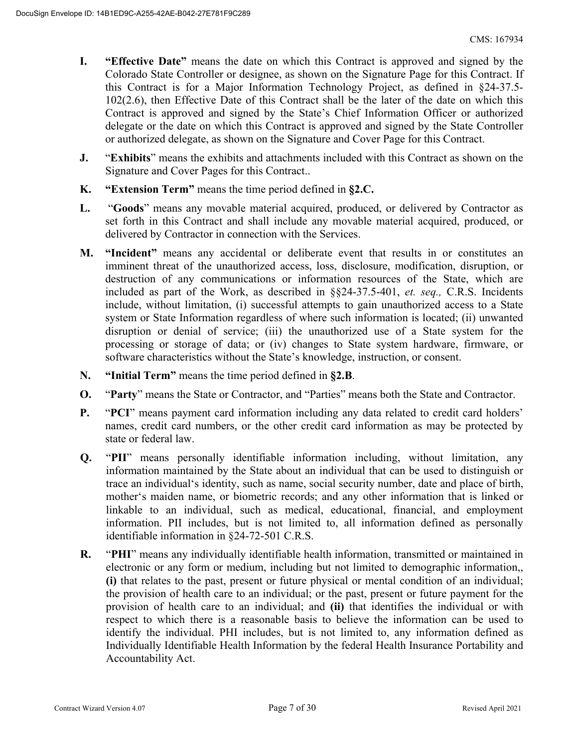- **I. "Effective Date"** means the date on which this Contract is approved and signed by the Colorado State Controller or designee, as shown on the Signature Page for this Contract. If this Contract is for a Major Information Technology Project, as defined in §24-37.5- 102(2.6), then Effective Date of this Contract shall be the later of the date on which this Contract is approved and signed by the State's Chief Information Officer or authorized delegate or the date on which this Contract is approved and signed by the State Controller or authorized delegate, as shown on the Signature and Cover Page for this Contract.
- **J.** "**Exhibits**" means the exhibits and attachments included with this Contract as shown on the Signature and Cover Pages for this Contract..
- **K. "Extension Term"** means the time period defined in **§2.C.**
- **L.** "**Goods**" means any movable material acquired, produced, or delivered by Contractor as set forth in this Contract and shall include any movable material acquired, produced, or delivered by Contractor in connection with the Services.
- **M. "Incident"** means any accidental or deliberate event that results in or constitutes an imminent threat of the unauthorized access, loss, disclosure, modification, disruption, or destruction of any communications or information resources of the State, which are included as part of the Work, as described in §§24-37.5-401, *et. seq.,* C.R.S. Incidents include, without limitation, (i) successful attempts to gain unauthorized access to a State system or State Information regardless of where such information is located; (ii) unwanted disruption or denial of service; (iii) the unauthorized use of a State system for the processing or storage of data; or (iv) changes to State system hardware, firmware, or software characteristics without the State's knowledge, instruction, or consent.
- **N. "Initial Term"** means the time period defined in **§2.B**.
- **O.** "**Party**" means the State or Contractor, and "Parties" means both the State and Contractor.
- **P.** "**PCI**" means payment card information including any data related to credit card holders' names, credit card numbers, or the other credit card information as may be protected by state or federal law.
- **Q.** "**PII**" means personally identifiable information including, without limitation, any information maintained by the State about an individual that can be used to distinguish or trace an individual's identity, such as name, social security number, date and place of birth, mother's maiden name, or biometric records; and any other information that is linked or linkable to an individual, such as medical, educational, financial, and employment information. PII includes, but is not limited to, all information defined as personally identifiable information in §24-72-501 C.R.S.
- **R.** "**PHI**" means any individually identifiable health information, transmitted or maintained in electronic or any form or medium, including but not limited to demographic information,, **(i)** that relates to the past, present or future physical or mental condition of an individual; the provision of health care to an individual; or the past, present or future payment for the provision of health care to an individual; and **(ii)** that identifies the individual or with respect to which there is a reasonable basis to believe the information can be used to identify the individual. PHI includes, but is not limited to, any information defined as Individually Identifiable Health Information by the federal Health Insurance Portability and Accountability Act.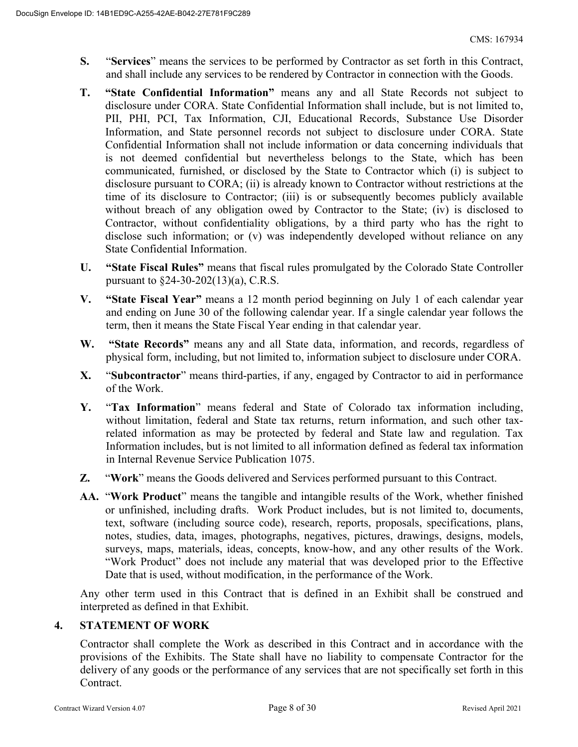- **S.** "**Services**" means the services to be performed by Contractor as set forth in this Contract, and shall include any services to be rendered by Contractor in connection with the Goods.
- **T. "State Confidential Information"** means any and all State Records not subject to disclosure under CORA. State Confidential Information shall include, but is not limited to, PII, PHI, PCI, Tax Information, CJI, Educational Records, Substance Use Disorder Information, and State personnel records not subject to disclosure under CORA. State Confidential Information shall not include information or data concerning individuals that is not deemed confidential but nevertheless belongs to the State, which has been communicated, furnished, or disclosed by the State to Contractor which (i) is subject to disclosure pursuant to CORA; (ii) is already known to Contractor without restrictions at the time of its disclosure to Contractor; (iii) is or subsequently becomes publicly available without breach of any obligation owed by Contractor to the State; (iv) is disclosed to Contractor, without confidentiality obligations, by a third party who has the right to disclose such information; or (v) was independently developed without reliance on any State Confidential Information.
- **U. "State Fiscal Rules"** means that fiscal rules promulgated by the Colorado State Controller pursuant to §24-30-202(13)(a), C.R.S.
- **V. "State Fiscal Year"** means a 12 month period beginning on July 1 of each calendar year and ending on June 30 of the following calendar year. If a single calendar year follows the term, then it means the State Fiscal Year ending in that calendar year.
- **W. "State Records"** means any and all State data, information, and records, regardless of physical form, including, but not limited to, information subject to disclosure under CORA.
- **X.** "**Subcontractor**" means third-parties, if any, engaged by Contractor to aid in performance of the Work.
- **Y.** "**Tax Information**" means federal and State of Colorado tax information including, without limitation, federal and State tax returns, return information, and such other taxrelated information as may be protected by federal and State law and regulation. Tax Information includes, but is not limited to all information defined as federal tax information in Internal Revenue Service Publication 1075.
- **Z.** "**Work**" means the Goods delivered and Services performed pursuant to this Contract.
- **AA.** "**Work Product**" means the tangible and intangible results of the Work, whether finished or unfinished, including drafts. Work Product includes, but is not limited to, documents, text, software (including source code), research, reports, proposals, specifications, plans, notes, studies, data, images, photographs, negatives, pictures, drawings, designs, models, surveys, maps, materials, ideas, concepts, know-how, and any other results of the Work. "Work Product" does not include any material that was developed prior to the Effective Date that is used, without modification, in the performance of the Work.

Any other term used in this Contract that is defined in an Exhibit shall be construed and interpreted as defined in that Exhibit.

# **4. STATEMENT OF WORK**

Contractor shall complete the Work as described in this Contract and in accordance with the provisions of the Exhibits. The State shall have no liability to compensate Contractor for the delivery of any goods or the performance of any services that are not specifically set forth in this Contract.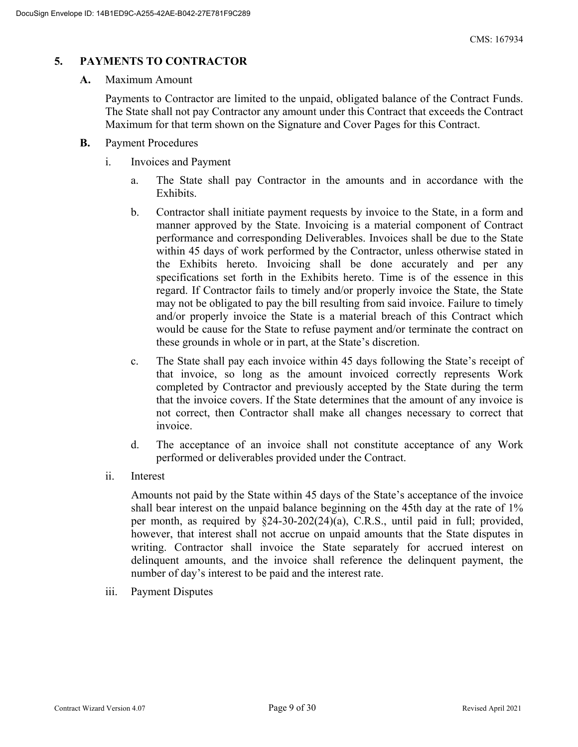# **5. PAYMENTS TO CONTRACTOR**

#### **A.** Maximum Amount

Payments to Contractor are limited to the unpaid, obligated balance of the Contract Funds. The State shall not pay Contractor any amount under this Contract that exceeds the Contract Maximum for that term shown on the Signature and Cover Pages for this Contract.

- **B.** Payment Procedures
	- i. Invoices and Payment
		- a. The State shall pay Contractor in the amounts and in accordance with the Exhibits.
		- b. Contractor shall initiate payment requests by invoice to the State, in a form and manner approved by the State. Invoicing is a material component of Contract performance and corresponding Deliverables. Invoices shall be due to the State within 45 days of work performed by the Contractor, unless otherwise stated in the Exhibits hereto. Invoicing shall be done accurately and per any specifications set forth in the Exhibits hereto. Time is of the essence in this regard. If Contractor fails to timely and/or properly invoice the State, the State may not be obligated to pay the bill resulting from said invoice. Failure to timely and/or properly invoice the State is a material breach of this Contract which would be cause for the State to refuse payment and/or terminate the contract on these grounds in whole or in part, at the State's discretion.
		- c. The State shall pay each invoice within 45 days following the State's receipt of that invoice, so long as the amount invoiced correctly represents Work completed by Contractor and previously accepted by the State during the term that the invoice covers. If the State determines that the amount of any invoice is not correct, then Contractor shall make all changes necessary to correct that invoice.
		- d. The acceptance of an invoice shall not constitute acceptance of any Work performed or deliverables provided under the Contract.
	- ii. Interest

Amounts not paid by the State within 45 days of the State's acceptance of the invoice shall bear interest on the unpaid balance beginning on the 45th day at the rate of 1% per month, as required by §24-30-202(24)(a), C.R.S., until paid in full; provided, however, that interest shall not accrue on unpaid amounts that the State disputes in writing. Contractor shall invoice the State separately for accrued interest on delinquent amounts, and the invoice shall reference the delinquent payment, the number of day's interest to be paid and the interest rate.

iii. Payment Disputes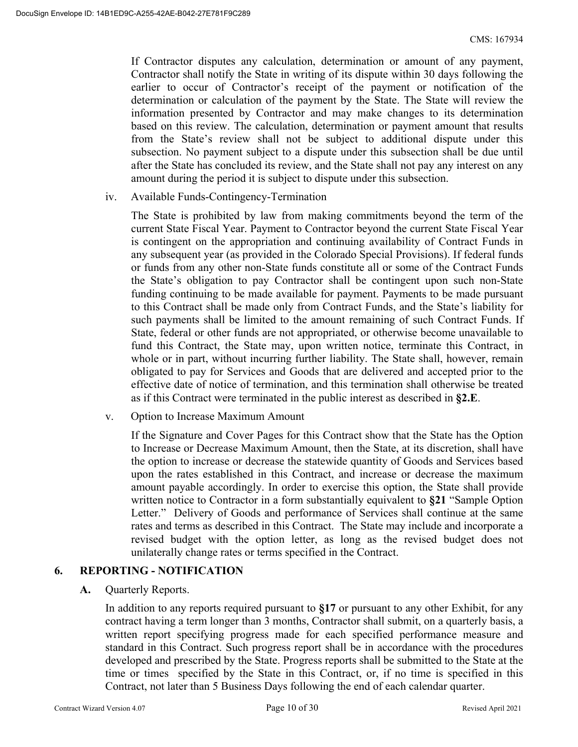If Contractor disputes any calculation, determination or amount of any payment, Contractor shall notify the State in writing of its dispute within 30 days following the earlier to occur of Contractor's receipt of the payment or notification of the determination or calculation of the payment by the State. The State will review the information presented by Contractor and may make changes to its determination based on this review. The calculation, determination or payment amount that results from the State's review shall not be subject to additional dispute under this subsection. No payment subject to a dispute under this subsection shall be due until after the State has concluded its review, and the State shall not pay any interest on any amount during the period it is subject to dispute under this subsection.

iv. Available Funds-Contingency-Termination

The State is prohibited by law from making commitments beyond the term of the current State Fiscal Year. Payment to Contractor beyond the current State Fiscal Year is contingent on the appropriation and continuing availability of Contract Funds in any subsequent year (as provided in the Colorado Special Provisions). If federal funds or funds from any other non-State funds constitute all or some of the Contract Funds the State's obligation to pay Contractor shall be contingent upon such non-State funding continuing to be made available for payment. Payments to be made pursuant to this Contract shall be made only from Contract Funds, and the State's liability for such payments shall be limited to the amount remaining of such Contract Funds. If State, federal or other funds are not appropriated, or otherwise become unavailable to fund this Contract, the State may, upon written notice, terminate this Contract, in whole or in part, without incurring further liability. The State shall, however, remain obligated to pay for Services and Goods that are delivered and accepted prior to the effective date of notice of termination, and this termination shall otherwise be treated as if this Contract were terminated in the public interest as described in **§2.E**.

v. Option to Increase Maximum Amount

If the Signature and Cover Pages for this Contract show that the State has the Option to Increase or Decrease Maximum Amount, then the State, at its discretion, shall have the option to increase or decrease the statewide quantity of Goods and Services based upon the rates established in this Contract, and increase or decrease the maximum amount payable accordingly. In order to exercise this option, the State shall provide written notice to Contractor in a form substantially equivalent to **§21** "Sample Option Letter." Delivery of Goods and performance of Services shall continue at the same rates and terms as described in this Contract. The State may include and incorporate a revised budget with the option letter, as long as the revised budget does not unilaterally change rates or terms specified in the Contract.

#### **6. REPORTING - NOTIFICATION**

**A.** Quarterly Reports.

In addition to any reports required pursuant to **§17** or pursuant to any other Exhibit, for any contract having a term longer than 3 months, Contractor shall submit, on a quarterly basis, a written report specifying progress made for each specified performance measure and standard in this Contract. Such progress report shall be in accordance with the procedures developed and prescribed by the State. Progress reports shall be submitted to the State at the time or times specified by the State in this Contract, or, if no time is specified in this Contract, not later than 5 Business Days following the end of each calendar quarter.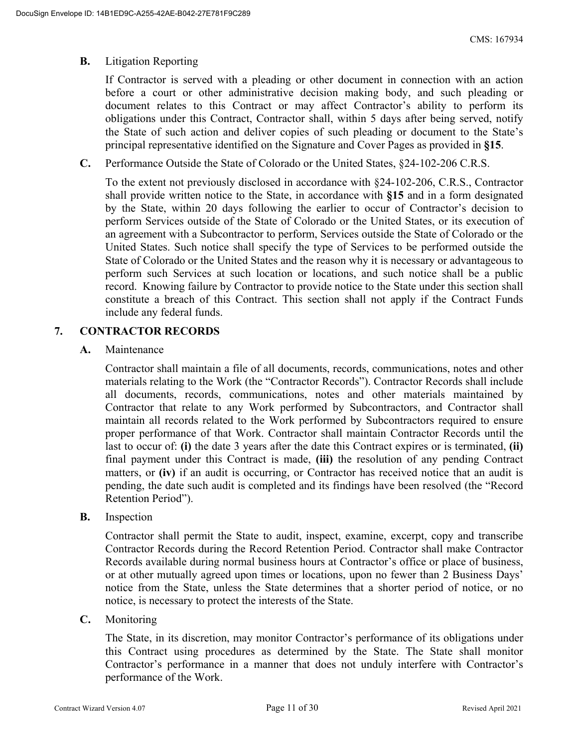### **B.** Litigation Reporting

If Contractor is served with a pleading or other document in connection with an action before a court or other administrative decision making body, and such pleading or document relates to this Contract or may affect Contractor's ability to perform its obligations under this Contract, Contractor shall, within 5 days after being served, notify the State of such action and deliver copies of such pleading or document to the State's principal representative identified on the Signature and Cover Pages as provided in **§15**.

**C.** Performance Outside the State of Colorado or the United States, §24-102-206 C.R.S.

To the extent not previously disclosed in accordance with §24-102-206, C.R.S., Contractor shall provide written notice to the State, in accordance with **§15** and in a form designated by the State, within 20 days following the earlier to occur of Contractor's decision to perform Services outside of the State of Colorado or the United States, or its execution of an agreement with a Subcontractor to perform, Services outside the State of Colorado or the United States. Such notice shall specify the type of Services to be performed outside the State of Colorado or the United States and the reason why it is necessary or advantageous to perform such Services at such location or locations, and such notice shall be a public record. Knowing failure by Contractor to provide notice to the State under this section shall constitute a breach of this Contract. This section shall not apply if the Contract Funds include any federal funds.

## **7. CONTRACTOR RECORDS**

**A.** Maintenance

Contractor shall maintain a file of all documents, records, communications, notes and other materials relating to the Work (the "Contractor Records"). Contractor Records shall include all documents, records, communications, notes and other materials maintained by Contractor that relate to any Work performed by Subcontractors, and Contractor shall maintain all records related to the Work performed by Subcontractors required to ensure proper performance of that Work. Contractor shall maintain Contractor Records until the last to occur of: **(i)** the date 3 years after the date this Contract expires or is terminated, **(ii)** final payment under this Contract is made, **(iii)** the resolution of any pending Contract matters, or **(iv)** if an audit is occurring, or Contractor has received notice that an audit is pending, the date such audit is completed and its findings have been resolved (the "Record Retention Period").

**B.** Inspection

Contractor shall permit the State to audit, inspect, examine, excerpt, copy and transcribe Contractor Records during the Record Retention Period. Contractor shall make Contractor Records available during normal business hours at Contractor's office or place of business, or at other mutually agreed upon times or locations, upon no fewer than 2 Business Days' notice from the State, unless the State determines that a shorter period of notice, or no notice, is necessary to protect the interests of the State.

**C.** Monitoring

The State, in its discretion, may monitor Contractor's performance of its obligations under this Contract using procedures as determined by the State. The State shall monitor Contractor's performance in a manner that does not unduly interfere with Contractor's performance of the Work.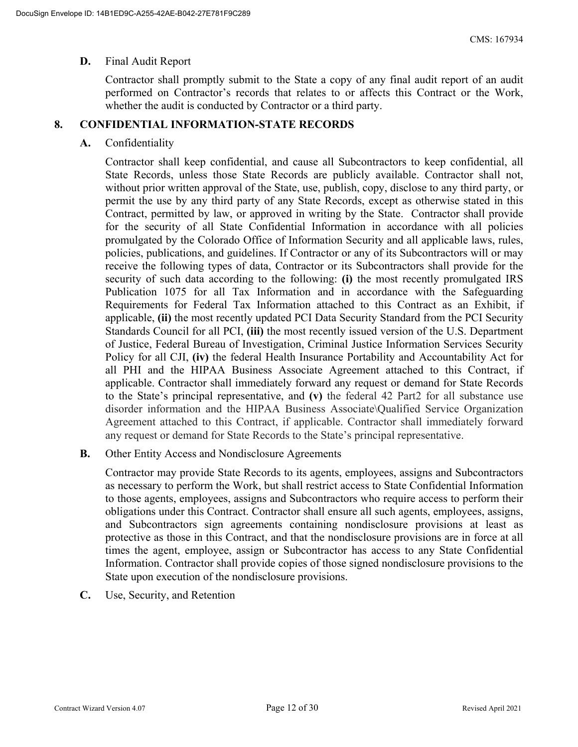#### **D.** Final Audit Report

Contractor shall promptly submit to the State a copy of any final audit report of an audit performed on Contractor's records that relates to or affects this Contract or the Work, whether the audit is conducted by Contractor or a third party.

## **8. CONFIDENTIAL INFORMATION-STATE RECORDS**

### **A.** Confidentiality

Contractor shall keep confidential, and cause all Subcontractors to keep confidential, all State Records, unless those State Records are publicly available. Contractor shall not, without prior written approval of the State, use, publish, copy, disclose to any third party, or permit the use by any third party of any State Records, except as otherwise stated in this Contract, permitted by law, or approved in writing by the State. Contractor shall provide for the security of all State Confidential Information in accordance with all policies promulgated by the Colorado Office of Information Security and all applicable laws, rules, policies, publications, and guidelines. If Contractor or any of its Subcontractors will or may receive the following types of data, Contractor or its Subcontractors shall provide for the security of such data according to the following: **(i)** the most recently promulgated IRS Publication 1075 for all Tax Information and in accordance with the Safeguarding Requirements for Federal Tax Information attached to this Contract as an Exhibit, if applicable, **(ii)** the most recently updated PCI Data Security Standard from the PCI Security Standards Council for all PCI, **(iii)** the most recently issued version of the U.S. Department of Justice, Federal Bureau of Investigation, Criminal Justice Information Services Security Policy for all CJI, **(iv)** the federal Health Insurance Portability and Accountability Act for all PHI and the HIPAA Business Associate Agreement attached to this Contract, if applicable. Contractor shall immediately forward any request or demand for State Records to the State's principal representative, and **(v)** the federal 42 Part2 for all substance use disorder information and the HIPAA Business Associate\Qualified Service Organization Agreement attached to this Contract, if applicable. Contractor shall immediately forward any request or demand for State Records to the State's principal representative.

**B.** Other Entity Access and Nondisclosure Agreements

Contractor may provide State Records to its agents, employees, assigns and Subcontractors as necessary to perform the Work, but shall restrict access to State Confidential Information to those agents, employees, assigns and Subcontractors who require access to perform their obligations under this Contract. Contractor shall ensure all such agents, employees, assigns, and Subcontractors sign agreements containing nondisclosure provisions at least as protective as those in this Contract, and that the nondisclosure provisions are in force at all times the agent, employee, assign or Subcontractor has access to any State Confidential Information. Contractor shall provide copies of those signed nondisclosure provisions to the State upon execution of the nondisclosure provisions.

**C.** Use, Security, and Retention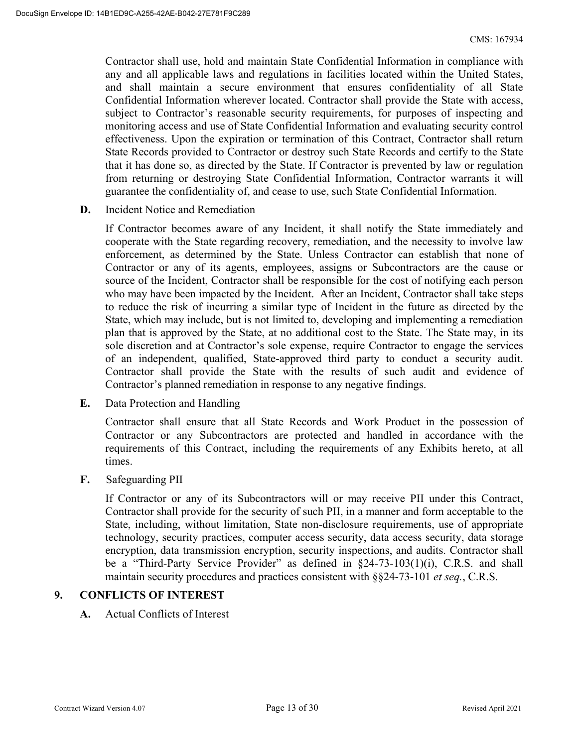Contractor shall use, hold and maintain State Confidential Information in compliance with any and all applicable laws and regulations in facilities located within the United States, and shall maintain a secure environment that ensures confidentiality of all State Confidential Information wherever located. Contractor shall provide the State with access, subject to Contractor's reasonable security requirements, for purposes of inspecting and monitoring access and use of State Confidential Information and evaluating security control effectiveness. Upon the expiration or termination of this Contract, Contractor shall return State Records provided to Contractor or destroy such State Records and certify to the State that it has done so, as directed by the State. If Contractor is prevented by law or regulation from returning or destroying State Confidential Information, Contractor warrants it will guarantee the confidentiality of, and cease to use, such State Confidential Information.

**D.** Incident Notice and Remediation

If Contractor becomes aware of any Incident, it shall notify the State immediately and cooperate with the State regarding recovery, remediation, and the necessity to involve law enforcement, as determined by the State. Unless Contractor can establish that none of Contractor or any of its agents, employees, assigns or Subcontractors are the cause or source of the Incident, Contractor shall be responsible for the cost of notifying each person who may have been impacted by the Incident. After an Incident, Contractor shall take steps to reduce the risk of incurring a similar type of Incident in the future as directed by the State, which may include, but is not limited to, developing and implementing a remediation plan that is approved by the State, at no additional cost to the State. The State may, in its sole discretion and at Contractor's sole expense, require Contractor to engage the services of an independent, qualified, State-approved third party to conduct a security audit. Contractor shall provide the State with the results of such audit and evidence of Contractor's planned remediation in response to any negative findings.

**E.** Data Protection and Handling

Contractor shall ensure that all State Records and Work Product in the possession of Contractor or any Subcontractors are protected and handled in accordance with the requirements of this Contract, including the requirements of any Exhibits hereto, at all times.

**F.** Safeguarding PII

If Contractor or any of its Subcontractors will or may receive PII under this Contract, Contractor shall provide for the security of such PII, in a manner and form acceptable to the State, including, without limitation, State non-disclosure requirements, use of appropriate technology, security practices, computer access security, data access security, data storage encryption, data transmission encryption, security inspections, and audits. Contractor shall be a "Third-Party Service Provider" as defined in §24-73-103(1)(i), C.R.S. and shall maintain security procedures and practices consistent with §§24-73-101 *et seq.*, C.R.S.

#### **9. CONFLICTS OF INTEREST**

**A.** Actual Conflicts of Interest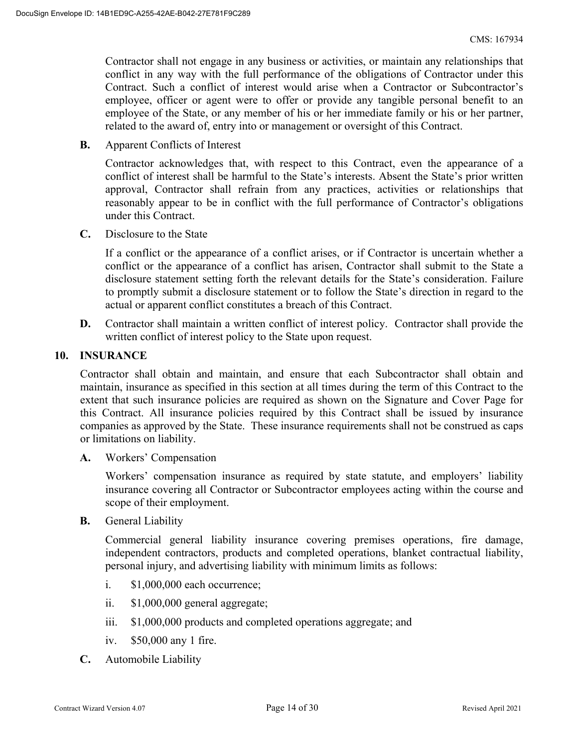Contractor shall not engage in any business or activities, or maintain any relationships that conflict in any way with the full performance of the obligations of Contractor under this Contract. Such a conflict of interest would arise when a Contractor or Subcontractor's employee, officer or agent were to offer or provide any tangible personal benefit to an employee of the State, or any member of his or her immediate family or his or her partner, related to the award of, entry into or management or oversight of this Contract.

**B.** Apparent Conflicts of Interest

Contractor acknowledges that, with respect to this Contract, even the appearance of a conflict of interest shall be harmful to the State's interests. Absent the State's prior written approval, Contractor shall refrain from any practices, activities or relationships that reasonably appear to be in conflict with the full performance of Contractor's obligations under this Contract.

**C.** Disclosure to the State

If a conflict or the appearance of a conflict arises, or if Contractor is uncertain whether a conflict or the appearance of a conflict has arisen, Contractor shall submit to the State a disclosure statement setting forth the relevant details for the State's consideration. Failure to promptly submit a disclosure statement or to follow the State's direction in regard to the actual or apparent conflict constitutes a breach of this Contract.

**D.** Contractor shall maintain a written conflict of interest policy. Contractor shall provide the written conflict of interest policy to the State upon request.

#### **10. INSURANCE**

Contractor shall obtain and maintain, and ensure that each Subcontractor shall obtain and maintain, insurance as specified in this section at all times during the term of this Contract to the extent that such insurance policies are required as shown on the Signature and Cover Page for this Contract. All insurance policies required by this Contract shall be issued by insurance companies as approved by the State. These insurance requirements shall not be construed as caps or limitations on liability.

**A.** Workers' Compensation

 Workers' compensation insurance as required by state statute, and employers' liability insurance covering all Contractor or Subcontractor employees acting within the course and scope of their employment.

**B.** General Liability

Commercial general liability insurance covering premises operations, fire damage, independent contractors, products and completed operations, blanket contractual liability, personal injury, and advertising liability with minimum limits as follows:

- i. \$1,000,000 each occurrence;
- ii. \$1,000,000 general aggregate;
- iii. \$1,000,000 products and completed operations aggregate; and
- iv. \$50,000 any 1 fire.
- **C.** Automobile Liability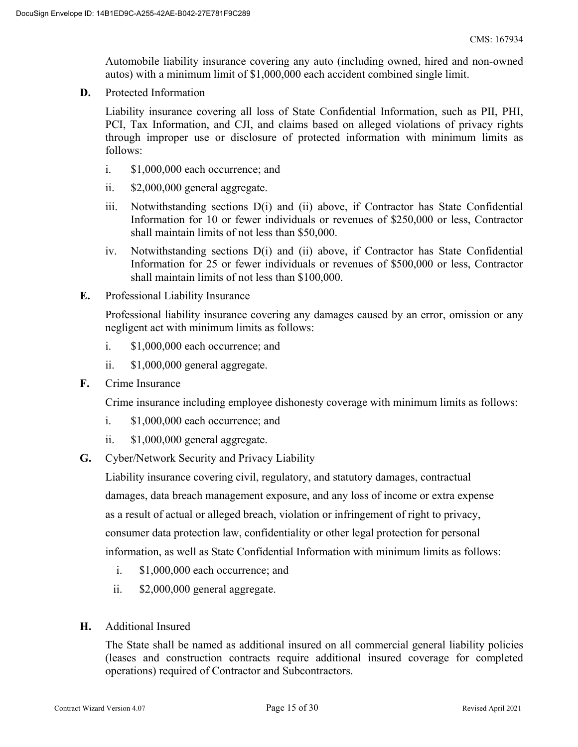Automobile liability insurance covering any auto (including owned, hired and non-owned autos) with a minimum limit of \$1,000,000 each accident combined single limit.

**D.** Protected Information

Liability insurance covering all loss of State Confidential Information, such as PII, PHI, PCI, Tax Information, and CJI, and claims based on alleged violations of privacy rights through improper use or disclosure of protected information with minimum limits as follows:

- i. \$1,000,000 each occurrence; and
- ii. \$2,000,000 general aggregate.
- iii. Notwithstanding sections D(i) and (ii) above, if Contractor has State Confidential Information for 10 or fewer individuals or revenues of \$250,000 or less, Contractor shall maintain limits of not less than \$50,000.
- iv. Notwithstanding sections D(i) and (ii) above, if Contractor has State Confidential Information for 25 or fewer individuals or revenues of \$500,000 or less, Contractor shall maintain limits of not less than \$100,000.
- **E.** Professional Liability Insurance

Professional liability insurance covering any damages caused by an error, omission or any negligent act with minimum limits as follows:

- i. \$1,000,000 each occurrence; and
- ii. \$1,000,000 general aggregate.
- **F.** Crime Insurance

Crime insurance including employee dishonesty coverage with minimum limits as follows:

- i. \$1,000,000 each occurrence; and
- ii. \$1,000,000 general aggregate.
- **G.** Cyber/Network Security and Privacy Liability

Liability insurance covering civil, regulatory, and statutory damages, contractual damages, data breach management exposure, and any loss of income or extra expense as a result of actual or alleged breach, violation or infringement of right to privacy, consumer data protection law, confidentiality or other legal protection for personal information, as well as State Confidential Information with minimum limits as follows:

- i. \$1,000,000 each occurrence; and
- ii. \$2,000,000 general aggregate.
- **H.** Additional Insured

The State shall be named as additional insured on all commercial general liability policies (leases and construction contracts require additional insured coverage for completed operations) required of Contractor and Subcontractors.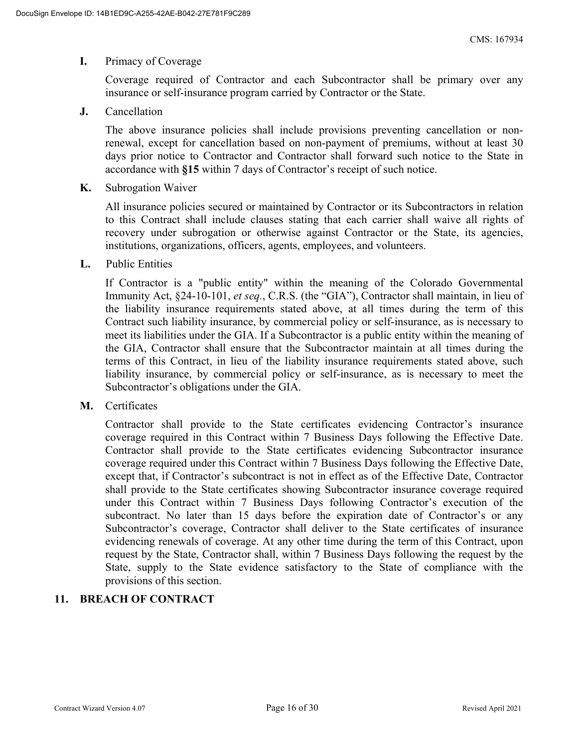#### **I.** Primacy of Coverage

Coverage required of Contractor and each Subcontractor shall be primary over any insurance or self-insurance program carried by Contractor or the State.

**J.** Cancellation

The above insurance policies shall include provisions preventing cancellation or nonrenewal, except for cancellation based on non-payment of premiums, without at least 30 days prior notice to Contractor and Contractor shall forward such notice to the State in accordance with **§15** within 7 days of Contractor's receipt of such notice.

**K.** Subrogation Waiver

All insurance policies secured or maintained by Contractor or its Subcontractors in relation to this Contract shall include clauses stating that each carrier shall waive all rights of recovery under subrogation or otherwise against Contractor or the State, its agencies, institutions, organizations, officers, agents, employees, and volunteers.

**L.** Public Entities

If Contractor is a "public entity" within the meaning of the Colorado Governmental Immunity Act, §24-10-101, *et seq.*, C.R.S. (the "GIA"), Contractor shall maintain, in lieu of the liability insurance requirements stated above, at all times during the term of this Contract such liability insurance, by commercial policy or self-insurance, as is necessary to meet its liabilities under the GIA. If a Subcontractor is a public entity within the meaning of the GIA, Contractor shall ensure that the Subcontractor maintain at all times during the terms of this Contract, in lieu of the liability insurance requirements stated above, such liability insurance, by commercial policy or self-insurance, as is necessary to meet the Subcontractor's obligations under the GIA.

**M.** Certificates

Contractor shall provide to the State certificates evidencing Contractor's insurance coverage required in this Contract within 7 Business Days following the Effective Date. Contractor shall provide to the State certificates evidencing Subcontractor insurance coverage required under this Contract within 7 Business Days following the Effective Date, except that, if Contractor's subcontract is not in effect as of the Effective Date, Contractor shall provide to the State certificates showing Subcontractor insurance coverage required under this Contract within 7 Business Days following Contractor's execution of the subcontract. No later than 15 days before the expiration date of Contractor's or any Subcontractor's coverage, Contractor shall deliver to the State certificates of insurance evidencing renewals of coverage. At any other time during the term of this Contract, upon request by the State, Contractor shall, within 7 Business Days following the request by the State, supply to the State evidence satisfactory to the State of compliance with the provisions of this section.

# **11. BREACH OF CONTRACT**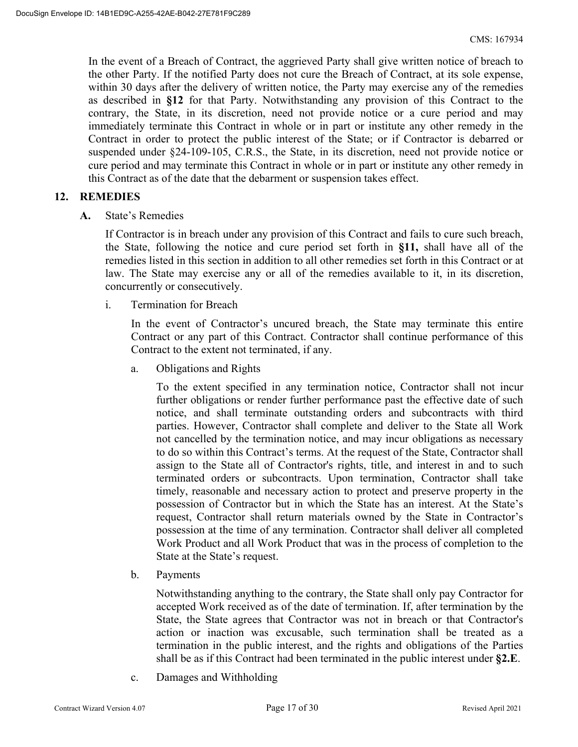In the event of a Breach of Contract, the aggrieved Party shall give written notice of breach to the other Party. If the notified Party does not cure the Breach of Contract, at its sole expense, within 30 days after the delivery of written notice, the Party may exercise any of the remedies as described in **§12** for that Party. Notwithstanding any provision of this Contract to the contrary, the State, in its discretion, need not provide notice or a cure period and may immediately terminate this Contract in whole or in part or institute any other remedy in the Contract in order to protect the public interest of the State; or if Contractor is debarred or suspended under §24-109-105, C.R.S., the State, in its discretion, need not provide notice or cure period and may terminate this Contract in whole or in part or institute any other remedy in this Contract as of the date that the debarment or suspension takes effect.

## **12. REMEDIES**

**A.** State's Remedies

If Contractor is in breach under any provision of this Contract and fails to cure such breach, the State, following the notice and cure period set forth in **§11,** shall have all of the remedies listed in this section in addition to all other remedies set forth in this Contract or at law. The State may exercise any or all of the remedies available to it, in its discretion, concurrently or consecutively.

i. Termination for Breach

In the event of Contractor's uncured breach, the State may terminate this entire Contract or any part of this Contract. Contractor shall continue performance of this Contract to the extent not terminated, if any.

a. Obligations and Rights

To the extent specified in any termination notice, Contractor shall not incur further obligations or render further performance past the effective date of such notice, and shall terminate outstanding orders and subcontracts with third parties. However, Contractor shall complete and deliver to the State all Work not cancelled by the termination notice, and may incur obligations as necessary to do so within this Contract's terms. At the request of the State, Contractor shall assign to the State all of Contractor's rights, title, and interest in and to such terminated orders or subcontracts. Upon termination, Contractor shall take timely, reasonable and necessary action to protect and preserve property in the possession of Contractor but in which the State has an interest. At the State's request, Contractor shall return materials owned by the State in Contractor's possession at the time of any termination. Contractor shall deliver all completed Work Product and all Work Product that was in the process of completion to the State at the State's request.

b. Payments

Notwithstanding anything to the contrary, the State shall only pay Contractor for accepted Work received as of the date of termination. If, after termination by the State, the State agrees that Contractor was not in breach or that Contractor's action or inaction was excusable, such termination shall be treated as a termination in the public interest, and the rights and obligations of the Parties shall be as if this Contract had been terminated in the public interest under **§2.E**.

c. Damages and Withholding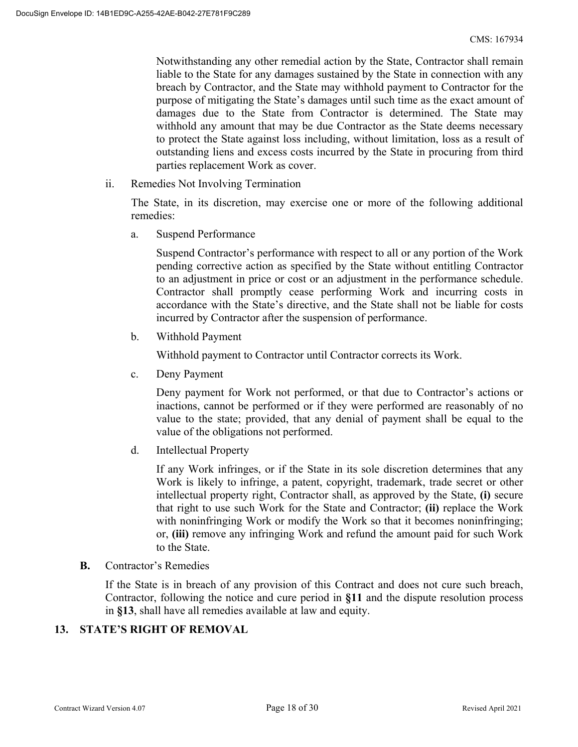Notwithstanding any other remedial action by the State, Contractor shall remain liable to the State for any damages sustained by the State in connection with any breach by Contractor, and the State may withhold payment to Contractor for the purpose of mitigating the State's damages until such time as the exact amount of damages due to the State from Contractor is determined. The State may withhold any amount that may be due Contractor as the State deems necessary to protect the State against loss including, without limitation, loss as a result of outstanding liens and excess costs incurred by the State in procuring from third parties replacement Work as cover.

ii. Remedies Not Involving Termination

The State, in its discretion, may exercise one or more of the following additional remedies:

a. Suspend Performance

Suspend Contractor's performance with respect to all or any portion of the Work pending corrective action as specified by the State without entitling Contractor to an adjustment in price or cost or an adjustment in the performance schedule. Contractor shall promptly cease performing Work and incurring costs in accordance with the State's directive, and the State shall not be liable for costs incurred by Contractor after the suspension of performance.

b. Withhold Payment

Withhold payment to Contractor until Contractor corrects its Work.

c. Deny Payment

Deny payment for Work not performed, or that due to Contractor's actions or inactions, cannot be performed or if they were performed are reasonably of no value to the state; provided, that any denial of payment shall be equal to the value of the obligations not performed.

d. Intellectual Property

If any Work infringes, or if the State in its sole discretion determines that any Work is likely to infringe, a patent, copyright, trademark, trade secret or other intellectual property right, Contractor shall, as approved by the State, **(i)** secure that right to use such Work for the State and Contractor; **(ii)** replace the Work with noninfringing Work or modify the Work so that it becomes noninfringing; or, **(iii)** remove any infringing Work and refund the amount paid for such Work to the State.

**B.** Contractor's Remedies

If the State is in breach of any provision of this Contract and does not cure such breach, Contractor, following the notice and cure period in **§11** and the dispute resolution process in **§13**, shall have all remedies available at law and equity.

# **13. STATE'S RIGHT OF REMOVAL**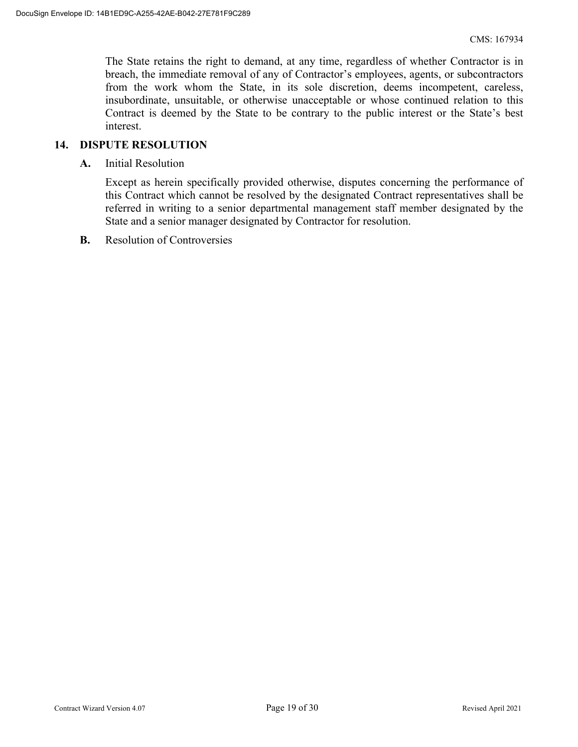The State retains the right to demand, at any time, regardless of whether Contractor is in breach, the immediate removal of any of Contractor's employees, agents, or subcontractors from the work whom the State, in its sole discretion, deems incompetent, careless, insubordinate, unsuitable, or otherwise unacceptable or whose continued relation to this Contract is deemed by the State to be contrary to the public interest or the State's best interest.

#### **14. DISPUTE RESOLUTION**

**A.** Initial Resolution

Except as herein specifically provided otherwise, disputes concerning the performance of this Contract which cannot be resolved by the designated Contract representatives shall be referred in writing to a senior departmental management staff member designated by the State and a senior manager designated by Contractor for resolution.

**B.** Resolution of Controversies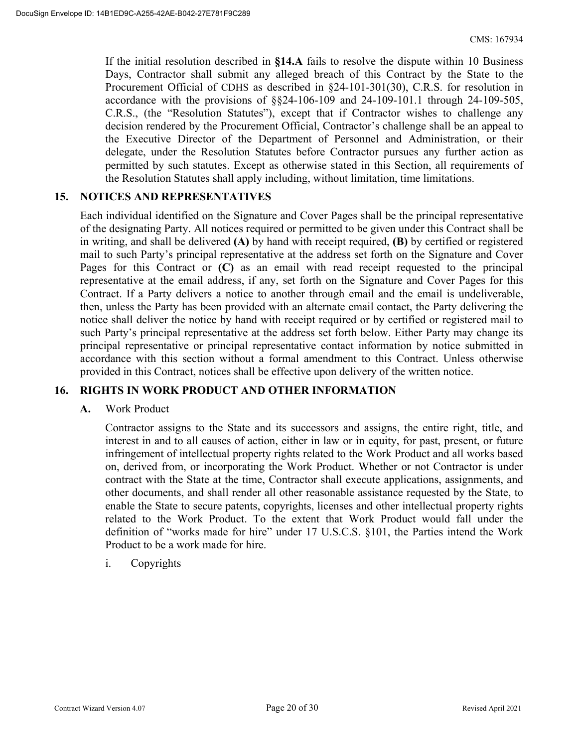If the initial resolution described in **§14.A** fails to resolve the dispute within 10 Business Days, Contractor shall submit any alleged breach of this Contract by the State to the Procurement Official of CDHS as described in §24-101-301(30), C.R.S. for resolution in accordance with the provisions of §§24-106-109 and 24-109-101.1 through 24-109-505, C.R.S., (the "Resolution Statutes"), except that if Contractor wishes to challenge any decision rendered by the Procurement Official, Contractor's challenge shall be an appeal to the Executive Director of the Department of Personnel and Administration, or their delegate, under the Resolution Statutes before Contractor pursues any further action as permitted by such statutes. Except as otherwise stated in this Section, all requirements of the Resolution Statutes shall apply including, without limitation, time limitations.

## **15. NOTICES AND REPRESENTATIVES**

Each individual identified on the Signature and Cover Pages shall be the principal representative of the designating Party. All notices required or permitted to be given under this Contract shall be in writing, and shall be delivered **(A)** by hand with receipt required, **(B)** by certified or registered mail to such Party's principal representative at the address set forth on the Signature and Cover Pages for this Contract or **(C)** as an email with read receipt requested to the principal representative at the email address, if any, set forth on the Signature and Cover Pages for this Contract. If a Party delivers a notice to another through email and the email is undeliverable, then, unless the Party has been provided with an alternate email contact, the Party delivering the notice shall deliver the notice by hand with receipt required or by certified or registered mail to such Party's principal representative at the address set forth below. Either Party may change its principal representative or principal representative contact information by notice submitted in accordance with this section without a formal amendment to this Contract. Unless otherwise provided in this Contract, notices shall be effective upon delivery of the written notice.

## **16. RIGHTS IN WORK PRODUCT AND OTHER INFORMATION**

#### **A.** Work Product

Contractor assigns to the State and its successors and assigns, the entire right, title, and interest in and to all causes of action, either in law or in equity, for past, present, or future infringement of intellectual property rights related to the Work Product and all works based on, derived from, or incorporating the Work Product. Whether or not Contractor is under contract with the State at the time, Contractor shall execute applications, assignments, and other documents, and shall render all other reasonable assistance requested by the State, to enable the State to secure patents, copyrights, licenses and other intellectual property rights related to the Work Product. To the extent that Work Product would fall under the definition of "works made for hire" under 17 U.S.C.S. §101, the Parties intend the Work Product to be a work made for hire.

#### i. Copyrights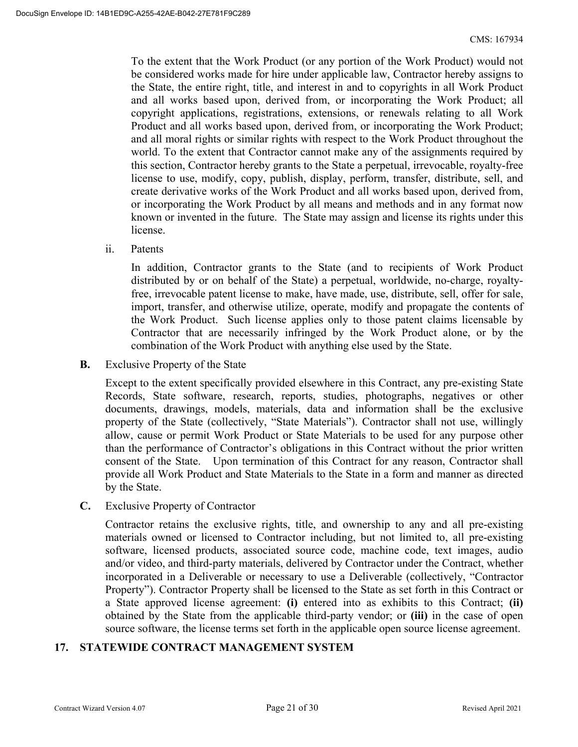To the extent that the Work Product (or any portion of the Work Product) would not be considered works made for hire under applicable law, Contractor hereby assigns to the State, the entire right, title, and interest in and to copyrights in all Work Product and all works based upon, derived from, or incorporating the Work Product; all copyright applications, registrations, extensions, or renewals relating to all Work Product and all works based upon, derived from, or incorporating the Work Product; and all moral rights or similar rights with respect to the Work Product throughout the world. To the extent that Contractor cannot make any of the assignments required by this section, Contractor hereby grants to the State a perpetual, irrevocable, royalty-free license to use, modify, copy, publish, display, perform, transfer, distribute, sell, and create derivative works of the Work Product and all works based upon, derived from, or incorporating the Work Product by all means and methods and in any format now known or invented in the future. The State may assign and license its rights under this license.

ii. Patents

In addition, Contractor grants to the State (and to recipients of Work Product distributed by or on behalf of the State) a perpetual, worldwide, no-charge, royaltyfree, irrevocable patent license to make, have made, use, distribute, sell, offer for sale, import, transfer, and otherwise utilize, operate, modify and propagate the contents of the Work Product. Such license applies only to those patent claims licensable by Contractor that are necessarily infringed by the Work Product alone, or by the combination of the Work Product with anything else used by the State.

**B.** Exclusive Property of the State

Except to the extent specifically provided elsewhere in this Contract, any pre-existing State Records, State software, research, reports, studies, photographs, negatives or other documents, drawings, models, materials, data and information shall be the exclusive property of the State (collectively, "State Materials"). Contractor shall not use, willingly allow, cause or permit Work Product or State Materials to be used for any purpose other than the performance of Contractor's obligations in this Contract without the prior written consent of the State. Upon termination of this Contract for any reason, Contractor shall provide all Work Product and State Materials to the State in a form and manner as directed by the State.

**C.** Exclusive Property of Contractor

Contractor retains the exclusive rights, title, and ownership to any and all pre-existing materials owned or licensed to Contractor including, but not limited to, all pre-existing software, licensed products, associated source code, machine code, text images, audio and/or video, and third-party materials, delivered by Contractor under the Contract, whether incorporated in a Deliverable or necessary to use a Deliverable (collectively, "Contractor Property"). Contractor Property shall be licensed to the State as set forth in this Contract or a State approved license agreement: **(i)** entered into as exhibits to this Contract; **(ii)** obtained by the State from the applicable third-party vendor; or **(iii)** in the case of open source software, the license terms set forth in the applicable open source license agreement.

# **17. STATEWIDE CONTRACT MANAGEMENT SYSTEM**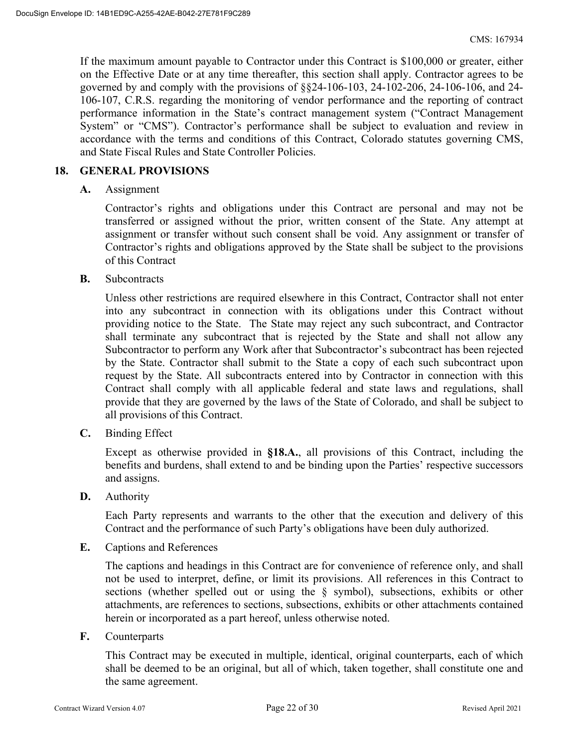If the maximum amount payable to Contractor under this Contract is \$100,000 or greater, either on the Effective Date or at any time thereafter, this section shall apply. Contractor agrees to be governed by and comply with the provisions of §§24-106-103, 24-102-206, 24-106-106, and 24- 106-107, C.R.S. regarding the monitoring of vendor performance and the reporting of contract performance information in the State's contract management system ("Contract Management System" or "CMS"). Contractor's performance shall be subject to evaluation and review in accordance with the terms and conditions of this Contract, Colorado statutes governing CMS, and State Fiscal Rules and State Controller Policies.

#### **18. GENERAL PROVISIONS**

**A.** Assignment

Contractor's rights and obligations under this Contract are personal and may not be transferred or assigned without the prior, written consent of the State. Any attempt at assignment or transfer without such consent shall be void. Any assignment or transfer of Contractor's rights and obligations approved by the State shall be subject to the provisions of this Contract

**B.** Subcontracts

Unless other restrictions are required elsewhere in this Contract, Contractor shall not enter into any subcontract in connection with its obligations under this Contract without providing notice to the State. The State may reject any such subcontract, and Contractor shall terminate any subcontract that is rejected by the State and shall not allow any Subcontractor to perform any Work after that Subcontractor's subcontract has been rejected by the State. Contractor shall submit to the State a copy of each such subcontract upon request by the State. All subcontracts entered into by Contractor in connection with this Contract shall comply with all applicable federal and state laws and regulations, shall provide that they are governed by the laws of the State of Colorado, and shall be subject to all provisions of this Contract.

**C.** Binding Effect

Except as otherwise provided in **§18.A.**, all provisions of this Contract, including the benefits and burdens, shall extend to and be binding upon the Parties' respective successors and assigns.

**D.** Authority

Each Party represents and warrants to the other that the execution and delivery of this Contract and the performance of such Party's obligations have been duly authorized.

**E.** Captions and References

The captions and headings in this Contract are for convenience of reference only, and shall not be used to interpret, define, or limit its provisions. All references in this Contract to sections (whether spelled out or using the § symbol), subsections, exhibits or other attachments, are references to sections, subsections, exhibits or other attachments contained herein or incorporated as a part hereof, unless otherwise noted.

**F.** Counterparts

This Contract may be executed in multiple, identical, original counterparts, each of which shall be deemed to be an original, but all of which, taken together, shall constitute one and the same agreement.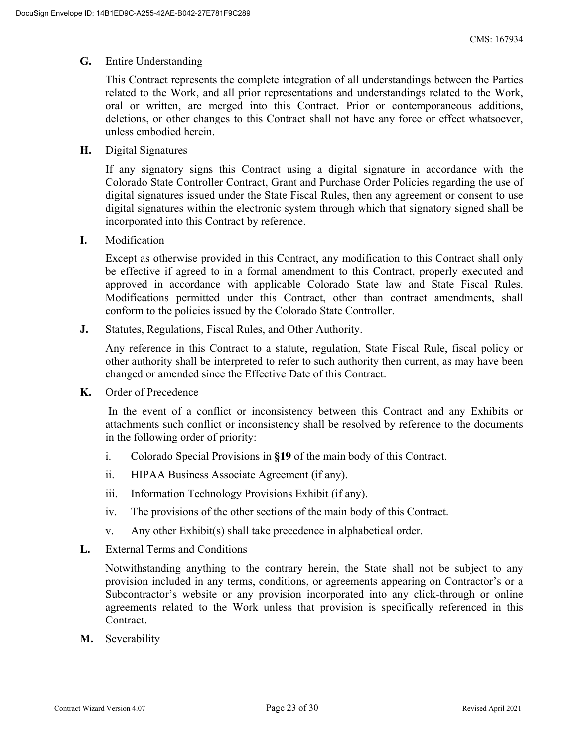#### **G.** Entire Understanding

This Contract represents the complete integration of all understandings between the Parties related to the Work, and all prior representations and understandings related to the Work, oral or written, are merged into this Contract. Prior or contemporaneous additions, deletions, or other changes to this Contract shall not have any force or effect whatsoever, unless embodied herein.

**H.** Digital Signatures

If any signatory signs this Contract using a digital signature in accordance with the Colorado State Controller Contract, Grant and Purchase Order Policies regarding the use of digital signatures issued under the State Fiscal Rules, then any agreement or consent to use digital signatures within the electronic system through which that signatory signed shall be incorporated into this Contract by reference.

**I.** Modification

Except as otherwise provided in this Contract, any modification to this Contract shall only be effective if agreed to in a formal amendment to this Contract, properly executed and approved in accordance with applicable Colorado State law and State Fiscal Rules. Modifications permitted under this Contract, other than contract amendments, shall conform to the policies issued by the Colorado State Controller.

**J.** Statutes, Regulations, Fiscal Rules, and Other Authority.

Any reference in this Contract to a statute, regulation, State Fiscal Rule, fiscal policy or other authority shall be interpreted to refer to such authority then current, as may have been changed or amended since the Effective Date of this Contract.

**K.** Order of Precedence

 In the event of a conflict or inconsistency between this Contract and any Exhibits or attachments such conflict or inconsistency shall be resolved by reference to the documents in the following order of priority:

- i. Colorado Special Provisions in **§19** of the main body of this Contract.
- ii. HIPAA Business Associate Agreement (if any).
- iii. Information Technology Provisions Exhibit (if any).
- iv. The provisions of the other sections of the main body of this Contract.
- v. Any other Exhibit(s) shall take precedence in alphabetical order.
- **L.** External Terms and Conditions

Notwithstanding anything to the contrary herein, the State shall not be subject to any provision included in any terms, conditions, or agreements appearing on Contractor's or a Subcontractor's website or any provision incorporated into any click-through or online agreements related to the Work unless that provision is specifically referenced in this Contract.

**M.** Severability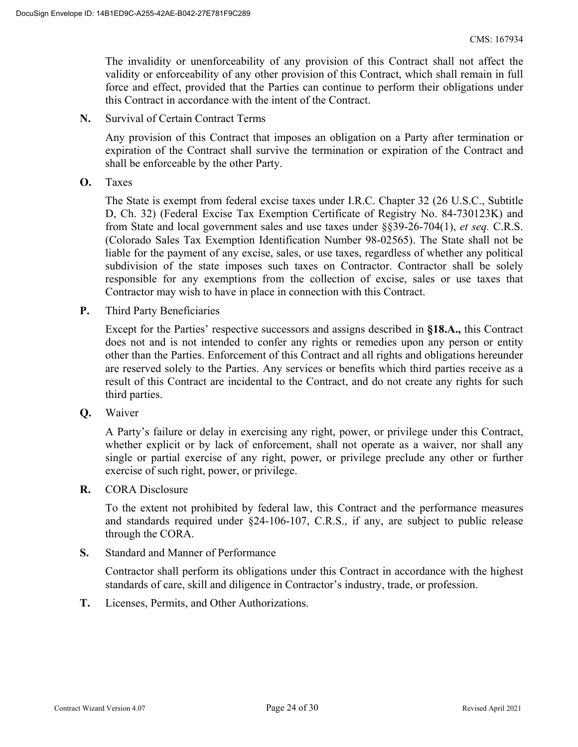The invalidity or unenforceability of any provision of this Contract shall not affect the validity or enforceability of any other provision of this Contract, which shall remain in full force and effect, provided that the Parties can continue to perform their obligations under this Contract in accordance with the intent of the Contract.

**N.** Survival of Certain Contract Terms

Any provision of this Contract that imposes an obligation on a Party after termination or expiration of the Contract shall survive the termination or expiration of the Contract and shall be enforceable by the other Party.

**O.** Taxes

The State is exempt from federal excise taxes under I.R.C. Chapter 32 (26 U.S.C., Subtitle D, Ch. 32) (Federal Excise Tax Exemption Certificate of Registry No. 84-730123K) and from State and local government sales and use taxes under §§39-26-704(1), *et seq.* C.R.S. (Colorado Sales Tax Exemption Identification Number 98-02565). The State shall not be liable for the payment of any excise, sales, or use taxes, regardless of whether any political subdivision of the state imposes such taxes on Contractor. Contractor shall be solely responsible for any exemptions from the collection of excise, sales or use taxes that Contractor may wish to have in place in connection with this Contract.

**P.** Third Party Beneficiaries

Except for the Parties' respective successors and assigns described in **§18.A.,** this Contract does not and is not intended to confer any rights or remedies upon any person or entity other than the Parties. Enforcement of this Contract and all rights and obligations hereunder are reserved solely to the Parties. Any services or benefits which third parties receive as a result of this Contract are incidental to the Contract, and do not create any rights for such third parties.

**Q.** Waiver

A Party's failure or delay in exercising any right, power, or privilege under this Contract, whether explicit or by lack of enforcement, shall not operate as a waiver, nor shall any single or partial exercise of any right, power, or privilege preclude any other or further exercise of such right, power, or privilege.

**R.** CORA Disclosure

To the extent not prohibited by federal law, this Contract and the performance measures and standards required under §24-106-107, C.R.S., if any, are subject to public release through the CORA.

**S.** Standard and Manner of Performance

Contractor shall perform its obligations under this Contract in accordance with the highest standards of care, skill and diligence in Contractor's industry, trade, or profession.

**T.** Licenses, Permits, and Other Authorizations.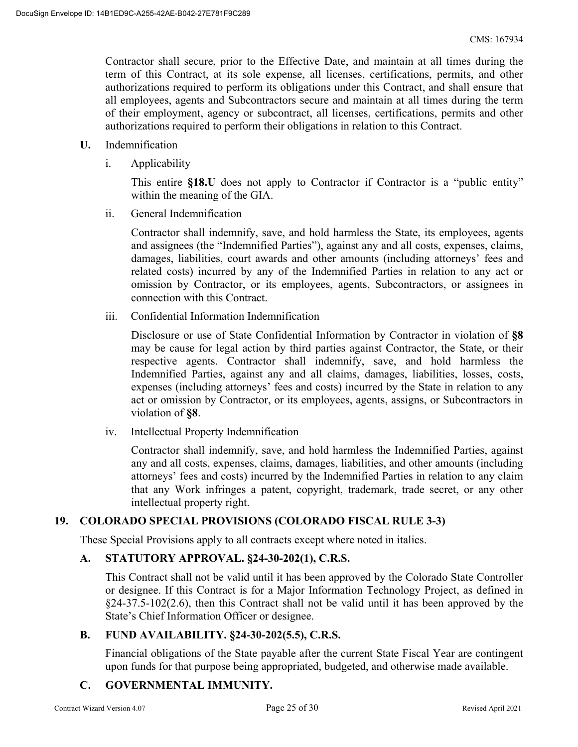Contractor shall secure, prior to the Effective Date, and maintain at all times during the term of this Contract, at its sole expense, all licenses, certifications, permits, and other authorizations required to perform its obligations under this Contract, and shall ensure that all employees, agents and Subcontractors secure and maintain at all times during the term of their employment, agency or subcontract, all licenses, certifications, permits and other authorizations required to perform their obligations in relation to this Contract.

- **U.** Indemnification
	- i. Applicability

This entire **§18.U** does not apply to Contractor if Contractor is a "public entity" within the meaning of the GIA.

ii. General Indemnification

Contractor shall indemnify, save, and hold harmless the State, its employees, agents and assignees (the "Indemnified Parties"), against any and all costs, expenses, claims, damages, liabilities, court awards and other amounts (including attorneys' fees and related costs) incurred by any of the Indemnified Parties in relation to any act or omission by Contractor, or its employees, agents, Subcontractors, or assignees in connection with this Contract.

iii. Confidential Information Indemnification

Disclosure or use of State Confidential Information by Contractor in violation of **§8** may be cause for legal action by third parties against Contractor, the State, or their respective agents. Contractor shall indemnify, save, and hold harmless the Indemnified Parties, against any and all claims, damages, liabilities, losses, costs, expenses (including attorneys' fees and costs) incurred by the State in relation to any act or omission by Contractor, or its employees, agents, assigns, or Subcontractors in violation of **§8**.

iv. Intellectual Property Indemnification

Contractor shall indemnify, save, and hold harmless the Indemnified Parties, against any and all costs, expenses, claims, damages, liabilities, and other amounts (including attorneys' fees and costs) incurred by the Indemnified Parties in relation to any claim that any Work infringes a patent, copyright, trademark, trade secret, or any other intellectual property right.

# **19. COLORADO SPECIAL PROVISIONS (COLORADO FISCAL RULE 3-3)**

These Special Provisions apply to all contracts except where noted in italics.

# **A. STATUTORY APPROVAL. §24-30-202(1), C.R.S.**

This Contract shall not be valid until it has been approved by the Colorado State Controller or designee. If this Contract is for a Major Information Technology Project, as defined in §24-37.5-102(2.6), then this Contract shall not be valid until it has been approved by the State's Chief Information Officer or designee.

#### **B. FUND AVAILABILITY. §24-30-202(5.5), C.R.S.**

Financial obligations of the State payable after the current State Fiscal Year are contingent upon funds for that purpose being appropriated, budgeted, and otherwise made available.

# **C. GOVERNMENTAL IMMUNITY.**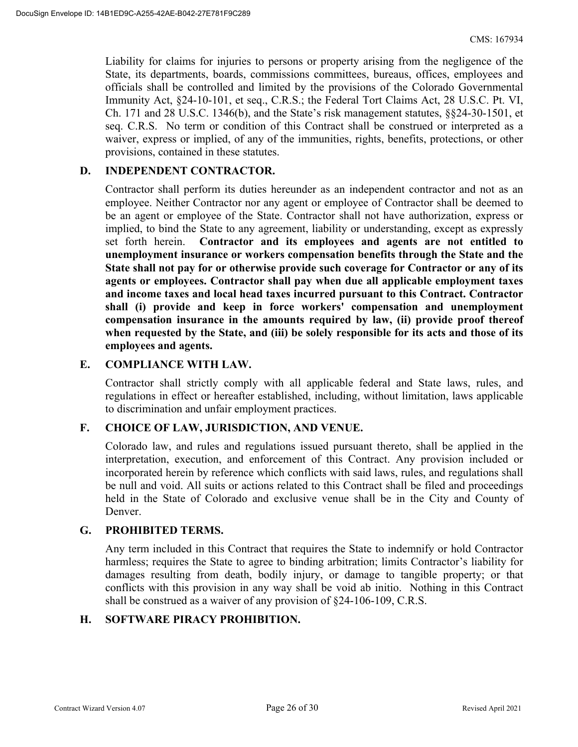Liability for claims for injuries to persons or property arising from the negligence of the State, its departments, boards, commissions committees, bureaus, offices, employees and officials shall be controlled and limited by the provisions of the Colorado Governmental Immunity Act, §24-10-101, et seq., C.R.S.; the Federal Tort Claims Act, 28 U.S.C. Pt. VI, Ch. 171 and 28 U.S.C. 1346(b), and the State's risk management statutes, §§24-30-1501, et seq. C.R.S. No term or condition of this Contract shall be construed or interpreted as a waiver, express or implied, of any of the immunities, rights, benefits, protections, or other provisions, contained in these statutes.

### **D. INDEPENDENT CONTRACTOR.**

Contractor shall perform its duties hereunder as an independent contractor and not as an employee. Neither Contractor nor any agent or employee of Contractor shall be deemed to be an agent or employee of the State. Contractor shall not have authorization, express or implied, to bind the State to any agreement, liability or understanding, except as expressly set forth herein. **Contractor and its employees and agents are not entitled to unemployment insurance or workers compensation benefits through the State and the State shall not pay for or otherwise provide such coverage for Contractor or any of its agents or employees. Contractor shall pay when due all applicable employment taxes and income taxes and local head taxes incurred pursuant to this Contract. Contractor shall (i) provide and keep in force workers' compensation and unemployment compensation insurance in the amounts required by law, (ii) provide proof thereof when requested by the State, and (iii) be solely responsible for its acts and those of its employees and agents.** 

#### **E. COMPLIANCE WITH LAW.**

Contractor shall strictly comply with all applicable federal and State laws, rules, and regulations in effect or hereafter established, including, without limitation, laws applicable to discrimination and unfair employment practices.

#### **F. CHOICE OF LAW, JURISDICTION, AND VENUE.**

Colorado law, and rules and regulations issued pursuant thereto, shall be applied in the interpretation, execution, and enforcement of this Contract. Any provision included or incorporated herein by reference which conflicts with said laws, rules, and regulations shall be null and void. All suits or actions related to this Contract shall be filed and proceedings held in the State of Colorado and exclusive venue shall be in the City and County of Denver.

#### **G. PROHIBITED TERMS.**

Any term included in this Contract that requires the State to indemnify or hold Contractor harmless; requires the State to agree to binding arbitration; limits Contractor's liability for damages resulting from death, bodily injury, or damage to tangible property; or that conflicts with this provision in any way shall be void ab initio. Nothing in this Contract shall be construed as a waiver of any provision of §24-106-109, C.R.S.

#### **H. SOFTWARE PIRACY PROHIBITION.**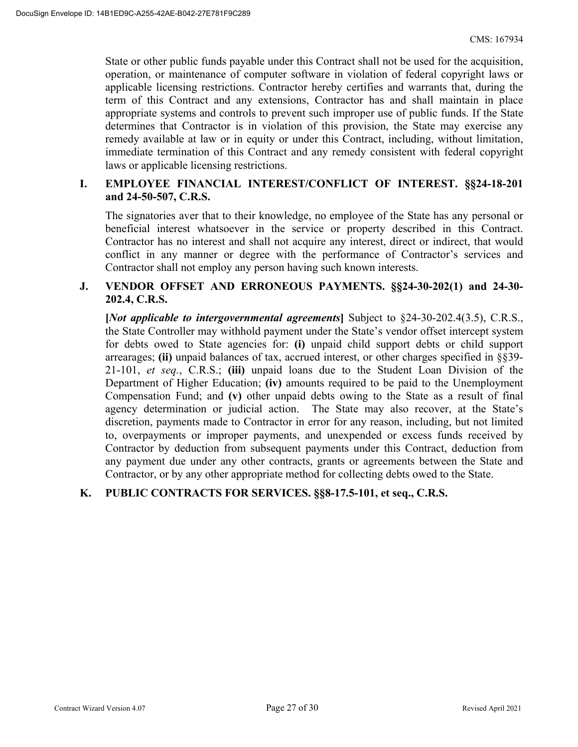State or other public funds payable under this Contract shall not be used for the acquisition, operation, or maintenance of computer software in violation of federal copyright laws or applicable licensing restrictions. Contractor hereby certifies and warrants that, during the term of this Contract and any extensions, Contractor has and shall maintain in place appropriate systems and controls to prevent such improper use of public funds. If the State determines that Contractor is in violation of this provision, the State may exercise any remedy available at law or in equity or under this Contract, including, without limitation, immediate termination of this Contract and any remedy consistent with federal copyright laws or applicable licensing restrictions.

## **I. EMPLOYEE FINANCIAL INTEREST/CONFLICT OF INTEREST. §§24-18-201 and 24-50-507, C.R.S.**

The signatories aver that to their knowledge, no employee of the State has any personal or beneficial interest whatsoever in the service or property described in this Contract. Contractor has no interest and shall not acquire any interest, direct or indirect, that would conflict in any manner or degree with the performance of Contractor's services and Contractor shall not employ any person having such known interests.

### **J. VENDOR OFFSET AND ERRONEOUS PAYMENTS. §§24-30-202(1) and 24-30- 202.4, C.R.S.**

**[***Not applicable to intergovernmental agreements***]** Subject to §24-30-202.4(3.5), C.R.S., the State Controller may withhold payment under the State's vendor offset intercept system for debts owed to State agencies for: **(i)** unpaid child support debts or child support arrearages; **(ii)** unpaid balances of tax, accrued interest, or other charges specified in §§39- 21-101, *et seq.*, C.R.S.; **(iii)** unpaid loans due to the Student Loan Division of the Department of Higher Education; **(iv)** amounts required to be paid to the Unemployment Compensation Fund; and **(v)** other unpaid debts owing to the State as a result of final agency determination or judicial action. The State may also recover, at the State's discretion, payments made to Contractor in error for any reason, including, but not limited to, overpayments or improper payments, and unexpended or excess funds received by Contractor by deduction from subsequent payments under this Contract, deduction from any payment due under any other contracts, grants or agreements between the State and Contractor, or by any other appropriate method for collecting debts owed to the State.

# **K. PUBLIC CONTRACTS FOR SERVICES. §§8-17.5-101, et seq., C.R.S.**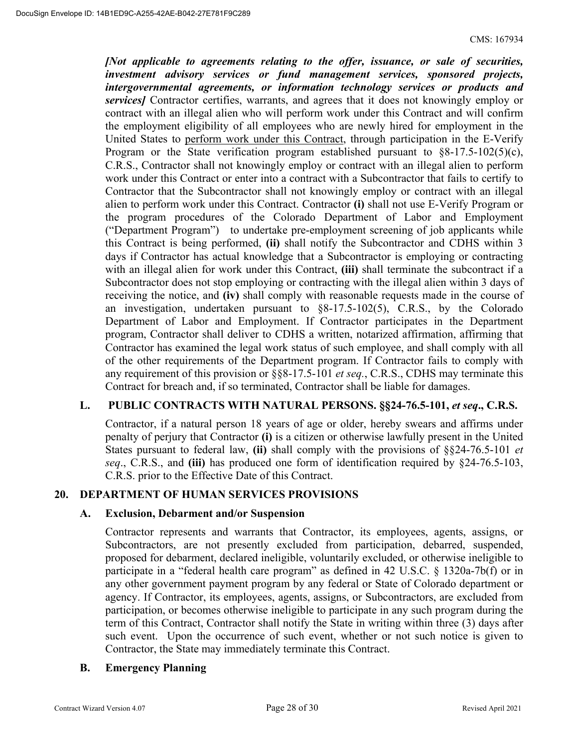*[Not applicable to agreements relating to the offer, issuance, or sale of securities, investment advisory services or fund management services, sponsored projects, intergovernmental agreements, or information technology services or products and services]* Contractor certifies, warrants, and agrees that it does not knowingly employ or contract with an illegal alien who will perform work under this Contract and will confirm the employment eligibility of all employees who are newly hired for employment in the United States to perform work under this Contract, through participation in the E-Verify Program or the State verification program established pursuant to  $\S 8-17.5-102(5)(c)$ , C.R.S., Contractor shall not knowingly employ or contract with an illegal alien to perform work under this Contract or enter into a contract with a Subcontractor that fails to certify to Contractor that the Subcontractor shall not knowingly employ or contract with an illegal alien to perform work under this Contract. Contractor **(i)** shall not use E-Verify Program or the program procedures of the Colorado Department of Labor and Employment ("Department Program") to undertake pre-employment screening of job applicants while this Contract is being performed, **(ii)** shall notify the Subcontractor and CDHS within 3 days if Contractor has actual knowledge that a Subcontractor is employing or contracting with an illegal alien for work under this Contract, **(iii)** shall terminate the subcontract if a Subcontractor does not stop employing or contracting with the illegal alien within 3 days of receiving the notice, and **(iv)** shall comply with reasonable requests made in the course of an investigation, undertaken pursuant to §8-17.5-102(5), C.R.S., by the Colorado Department of Labor and Employment. If Contractor participates in the Department program, Contractor shall deliver to CDHS a written, notarized affirmation, affirming that Contractor has examined the legal work status of such employee, and shall comply with all of the other requirements of the Department program. If Contractor fails to comply with any requirement of this provision or §§8-17.5-101 *et seq.*, C.R.S., CDHS may terminate this Contract for breach and, if so terminated, Contractor shall be liable for damages.

# L. PUBLIC CONTRACTS WITH NATURAL PERSONS. §§24-76.5-101, *et seq.*, C.R.S.

Contractor, if a natural person 18 years of age or older, hereby swears and affirms under penalty of perjury that Contractor **(i)** is a citizen or otherwise lawfully present in the United States pursuant to federal law, **(ii)** shall comply with the provisions of §§24-76.5-101 *et seq*., C.R.S., and **(iii)** has produced one form of identification required by §24-76.5-103, C.R.S. prior to the Effective Date of this Contract.

#### **20. DEPARTMENT OF HUMAN SERVICES PROVISIONS**

#### **A. Exclusion, Debarment and/or Suspension**

Contractor represents and warrants that Contractor, its employees, agents, assigns, or Subcontractors, are not presently excluded from participation, debarred, suspended, proposed for debarment, declared ineligible, voluntarily excluded, or otherwise ineligible to participate in a "federal health care program" as defined in 42 U.S.C. § 1320a-7b(f) or in any other government payment program by any federal or State of Colorado department or agency. If Contractor, its employees, agents, assigns, or Subcontractors, are excluded from participation, or becomes otherwise ineligible to participate in any such program during the term of this Contract, Contractor shall notify the State in writing within three (3) days after such event. Upon the occurrence of such event, whether or not such notice is given to Contractor, the State may immediately terminate this Contract.

#### **B. Emergency Planning**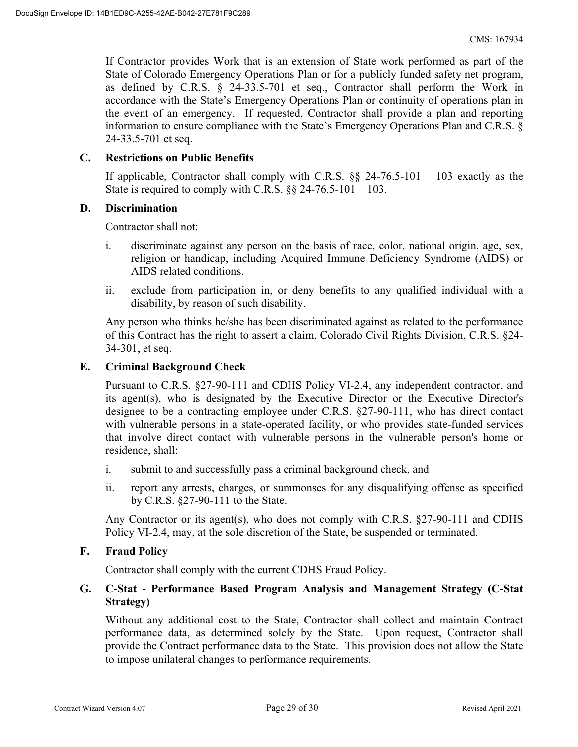If Contractor provides Work that is an extension of State work performed as part of the State of Colorado Emergency Operations Plan or for a publicly funded safety net program, as defined by C.R.S. § 24-33.5-701 et seq., Contractor shall perform the Work in accordance with the State's Emergency Operations Plan or continuity of operations plan in the event of an emergency. If requested, Contractor shall provide a plan and reporting information to ensure compliance with the State's Emergency Operations Plan and C.R.S. § 24-33.5-701 et seq.

#### **C. Restrictions on Public Benefits**

If applicable, Contractor shall comply with C.R.S.  $\S$ § 24-76.5-101 – 103 exactly as the State is required to comply with C.R.S.  $\S$ § 24-76.5-101 – 103.

#### **D. Discrimination**

Contractor shall not:

- i. discriminate against any person on the basis of race, color, national origin, age, sex, religion or handicap, including Acquired Immune Deficiency Syndrome (AIDS) or AIDS related conditions.
- ii. exclude from participation in, or deny benefits to any qualified individual with a disability, by reason of such disability.

Any person who thinks he/she has been discriminated against as related to the performance of this Contract has the right to assert a claim, Colorado Civil Rights Division, C.R.S. §24- 34-301, et seq.

#### **E. Criminal Background Check**

Pursuant to C.R.S. §27-90-111 and CDHS Policy VI-2.4, any independent contractor, and its agent(s), who is designated by the Executive Director or the Executive Director's designee to be a contracting employee under C.R.S. §27-90-111, who has direct contact with vulnerable persons in a state-operated facility, or who provides state-funded services that involve direct contact with vulnerable persons in the vulnerable person's home or residence, shall:

- i. submit to and successfully pass a criminal background check, and
- ii. report any arrests, charges, or summonses for any disqualifying offense as specified by C.R.S. §27-90-111 to the State.

Any Contractor or its agent(s), who does not comply with C.R.S. §27-90-111 and CDHS Policy VI-2.4, may, at the sole discretion of the State, be suspended or terminated.

#### **F. Fraud Policy**

Contractor shall comply with the current CDHS Fraud Policy.

# **G. C-Stat - Performance Based Program Analysis and Management Strategy (C-Stat Strategy)**

Without any additional cost to the State, Contractor shall collect and maintain Contract performance data, as determined solely by the State. Upon request, Contractor shall provide the Contract performance data to the State. This provision does not allow the State to impose unilateral changes to performance requirements.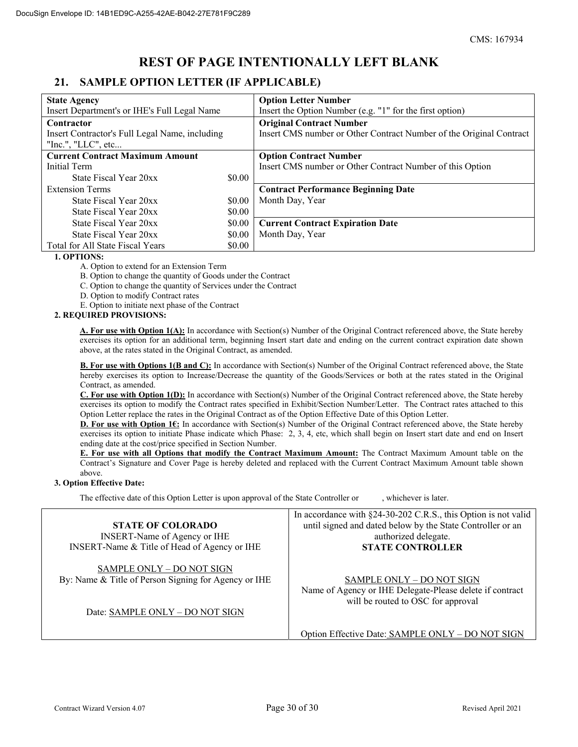# **REST OF PAGE INTENTIONALLY LEFT BLANK**

# **21. SAMPLE OPTION LETTER (IF APPLICABLE)**

| <b>State Agency</b>                            |        | <b>Option Letter Number</b>                                         |
|------------------------------------------------|--------|---------------------------------------------------------------------|
| Insert Department's or IHE's Full Legal Name   |        | Insert the Option Number (e.g. "1" for the first option)            |
| Contractor                                     |        | <b>Original Contract Number</b>                                     |
| Insert Contractor's Full Legal Name, including |        | Insert CMS number or Other Contract Number of the Original Contract |
| "Inc.", "LLC", etc                             |        |                                                                     |
| <b>Current Contract Maximum Amount</b>         |        | <b>Option Contract Number</b>                                       |
| Initial Term                                   |        | Insert CMS number or Other Contract Number of this Option           |
| State Fiscal Year 20xx                         | \$0.00 |                                                                     |
| <b>Extension Terms</b>                         |        | <b>Contract Performance Beginning Date</b>                          |
| State Fiscal Year 20xx                         | \$0.00 | Month Day, Year                                                     |
| State Fiscal Year 20xx                         | \$0.00 |                                                                     |
| State Fiscal Year 20xx                         | \$0.00 | <b>Current Contract Expiration Date</b>                             |
| State Fiscal Year 20xx                         | \$0.00 | Month Day, Year                                                     |
| Total for All State Fiscal Years               | \$0.00 |                                                                     |

#### **1. OPTIONS:**

A. Option to extend for an Extension Term

B. Option to change the quantity of Goods under the Contract

C. Option to change the quantity of Services under the Contract

D. Option to modify Contract rates

E. Option to initiate next phase of the Contract

#### **2. REQUIRED PROVISIONS:**

**A. For use with Option 1(A):** In accordance with Section(s) Number of the Original Contract referenced above, the State hereby exercises its option for an additional term, beginning Insert start date and ending on the current contract expiration date shown above, at the rates stated in the Original Contract, as amended.

**B. For use with Options 1(B and C):** In accordance with Section(s) Number of the Original Contract referenced above, the State hereby exercises its option to Increase/Decrease the quantity of the Goods/Services or both at the rates stated in the Original Contract, as amended.

**C. For use with Option 1(D):** In accordance with Section(s) Number of the Original Contract referenced above, the State hereby exercises its option to modify the Contract rates specified in Exhibit/Section Number/Letter. The Contract rates attached to this Option Letter replace the rates in the Original Contract as of the Option Effective Date of this Option Letter.

**D. For use with Option 1€:** In accordance with Section(s) Number of the Original Contract referenced above, the State hereby exercises its option to initiate Phase indicate which Phase: 2, 3, 4, etc, which shall begin on Insert start date and end on Insert ending date at the cost/price specified in Section Number.

**E. For use with all Options that modify the Contract Maximum Amount:** The Contract Maximum Amount table on the Contract's Signature and Cover Page is hereby deleted and replaced with the Current Contract Maximum Amount table shown above.

#### **3. Option Effective Date:**

The effective date of this Option Letter is upon approval of the State Controller or , whichever is later.

|                                                                                   | In accordance with $\S$ 24-30-202 C.R.S., this Option is not valid                                                          |
|-----------------------------------------------------------------------------------|-----------------------------------------------------------------------------------------------------------------------------|
| <b>STATE OF COLORADO</b>                                                          | until signed and dated below by the State Controller or an                                                                  |
| <b>INSERT-Name of Agency or IHE</b>                                               | authorized delegate.                                                                                                        |
| INSERT-Name & Title of Head of Agency or IHE                                      | <b>STATE CONTROLLER</b>                                                                                                     |
| SAMPLE ONLY - DO NOT SIGN<br>By: Name & Title of Person Signing for Agency or IHE | SAMPLE ONLY - DO NOT SIGN<br>Name of Agency or IHE Delegate-Please delete if contract<br>will be routed to OSC for approval |
| Date: SAMPLE ONLY - DO NOT SIGN                                                   |                                                                                                                             |

Option Effective Date: SAMPLE ONLY – DO NOT SIGN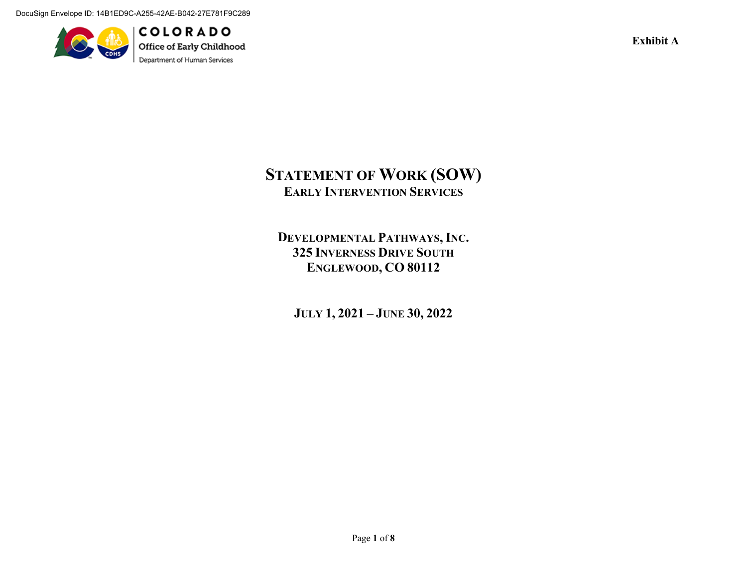DocuSign Envelope ID: 14B1ED9C-A255-42AE-B042-27E781F9C289



**COLORADO** Office of Early Childhood Department of Human Services

**Exhibit A** 

# **STATEMENT OF WORK (SOW) EARLY INTERVENTION SERVICES**

**DEVELOPMENTAL PATHWAYS, INC. 325 INVERNESS DRIVE SOUTHENGLEWOOD, CO 80112** 

**JULY 1, 2021 – JUNE 30, 2022**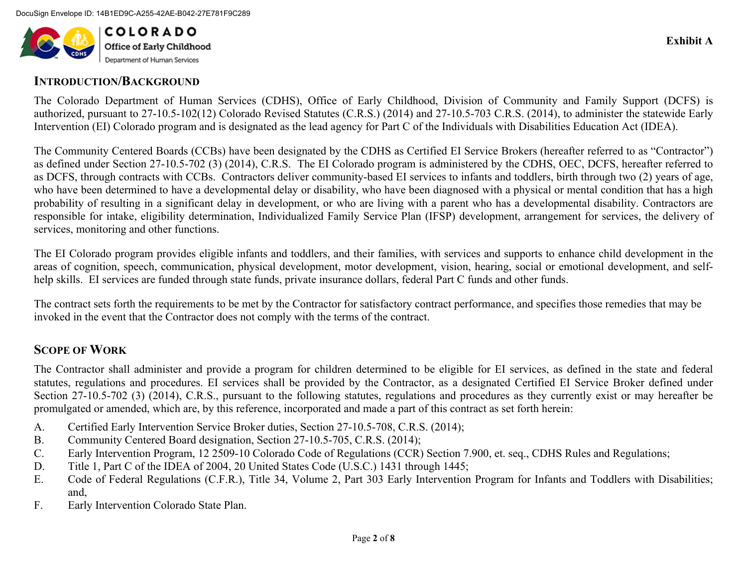

# **INTRODUCTION/BACKGROUND**

The Colorado Department of Human Services (CDHS), Office of Early Childhood, Division of Community and Family Support (DCFS) is authorized, pursuant to 27-10.5-102(12) Colorado Revised Statutes (C.R.S.) (2014) and 27-10.5-703 C.R.S. (2014), to administer the statewide Early Intervention (EI) Colorado program and is designated as the lead agency for Part C of the Individuals with Disabilities Education Act (IDEA).

The Community Centered Boards (CCBs) have been designated by the CDHS as Certified EI Service Brokers (hereafter referred to as "Contractor") as defined under Section 27-10.5-702 (3) (2014), C.R.S. The EI Colorado program is administered by the CDHS, OEC, DCFS, hereafter referred to as DCFS, through contracts with CCBs. Contractors deliver community-based EI services to infants and toddlers, birth through two (2) years of age, who have been determined to have a developmental delay or disability, who have been diagnosed with a physical or mental condition that has a high probability of resulting in a significant delay in development, or who are living with a parent who has a developmental disability. Contractors are responsible for intake, eligibility determination, Individualized Family Service Plan (IFSP) development, arrangement for services, the delivery of services, monitoring and other functions.

The EI Colorado program provides eligible infants and toddlers, and their families, with services and supports to enhance child development in the areas of cognition, speech, communication, physical development, motor development, vision, hearing, social or emotional development, and selfhelp skills. EI services are funded through state funds, private insurance dollars, federal Part C funds and other funds.

The contract sets forth the requirements to be met by the Contractor for satisfactory contract performance, and specifies those remedies that may be invoked in the event that the Contractor does not comply with the terms of the contract.

# **SCOPE OF WORK**

The Contractor shall administer and provide a program for children determined to be eligible for EI services, as defined in the state and federal statutes, regulations and procedures. EI services shall be provided by the Contractor, as a designated Certified EI Service Broker defined under Section 27-10.5-702 (3) (2014), C.R.S., pursuant to the following statutes, regulations and procedures as they currently exist or may hereafter be promulgated or amended, which are, by this reference, incorporated and made a part of this contract as set forth herein:

- A.Certified Early Intervention Service Broker duties, Section 27-10.5-708, C.R.S. (2014);
- B.Community Centered Board designation, Section 27-10.5-705, C.R.S. (2014);
- C.Early Intervention Program, 12 2509-10 Colorado Code of Regulations (CCR) Section 7.900, et. seq., CDHS Rules and Regulations;
- D.Title 1, Part C of the IDEA of 2004, 20 United States Code (U.S.C.) 1431 through 1445;
- E. Code of Federal Regulations (C.F.R.), Title 34, Volume 2, Part 303 Early Intervention Program for Infants and Toddlers with Disabilities; and,
- F.Early Intervention Colorado State Plan.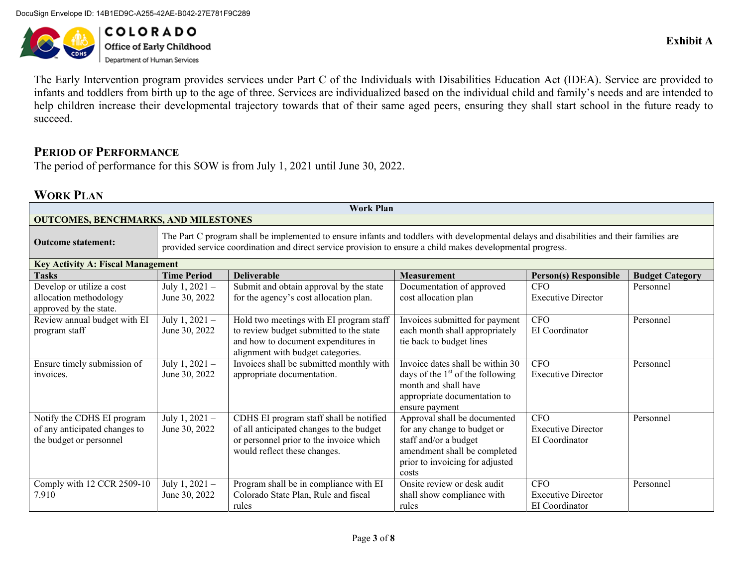DocuSign Envelope ID: 14B1ED9C-A255-42AE-B042-27E781F9C289



**COLORADO Office of Early Childhood**<br>Department of Human Services

The Early Intervention program provides services under Part C of the Individuals with Disabilities Education Act (IDEA). Service are provided to infants and toddlers from birth up to the age of three. Services are individualized based on the individual child and family's needs and are intended to help children increase their developmental trajectory towards that of their same aged peers, ensuring they shall start school in the future ready to succeed.

# **PERIOD OF PERFORMANCE**

The period of performance for this SOW is from July 1, 2021 until June 30, 2022.

# **WORK PLAN**

| <b>Work Plan</b>                            |                                                                                                                                                                                                                                                        |                                          |                                      |                              |                        |  |
|---------------------------------------------|--------------------------------------------------------------------------------------------------------------------------------------------------------------------------------------------------------------------------------------------------------|------------------------------------------|--------------------------------------|------------------------------|------------------------|--|
| <b>OUTCOMES, BENCHMARKS, AND MILESTONES</b> |                                                                                                                                                                                                                                                        |                                          |                                      |                              |                        |  |
| <b>Outcome statement:</b>                   | The Part C program shall be implemented to ensure infants and toddlers with developmental delays and disabilities and their families are<br>provided service coordination and direct service provision to ensure a child makes developmental progress. |                                          |                                      |                              |                        |  |
| <b>Key Activity A: Fiscal Management</b>    |                                                                                                                                                                                                                                                        |                                          |                                      |                              |                        |  |
| <b>Tasks</b>                                | <b>Time Period</b>                                                                                                                                                                                                                                     | <b>Deliverable</b>                       | <b>Measurement</b>                   | <b>Person(s) Responsible</b> | <b>Budget Category</b> |  |
| Develop or utilize a cost                   | July $1, 2021 -$                                                                                                                                                                                                                                       | Submit and obtain approval by the state  | Documentation of approved            | <b>CFO</b>                   | Personnel              |  |
| allocation methodology                      | June 30, 2022                                                                                                                                                                                                                                          | for the agency's cost allocation plan.   | cost allocation plan                 | <b>Executive Director</b>    |                        |  |
| approved by the state.                      |                                                                                                                                                                                                                                                        |                                          |                                      |                              |                        |  |
| Review annual budget with EI                | July $1, 2021 -$                                                                                                                                                                                                                                       | Hold two meetings with EI program staff  | Invoices submitted for payment       | <b>CFO</b>                   | Personnel              |  |
| program staff                               | June 30, 2022                                                                                                                                                                                                                                          | to review budget submitted to the state  | each month shall appropriately       | EI Coordinator               |                        |  |
|                                             |                                                                                                                                                                                                                                                        | and how to document expenditures in      | tie back to budget lines             |                              |                        |  |
|                                             |                                                                                                                                                                                                                                                        | alignment with budget categories.        |                                      |                              |                        |  |
| Ensure timely submission of                 | July 1, 2021 -                                                                                                                                                                                                                                         | Invoices shall be submitted monthly with | Invoice dates shall be within 30     | <b>CFO</b>                   | Personnel              |  |
| invoices.                                   | June 30, 2022                                                                                                                                                                                                                                          | appropriate documentation.               | days of the $1st$ of the following   | <b>Executive Director</b>    |                        |  |
|                                             |                                                                                                                                                                                                                                                        |                                          | month and shall have                 |                              |                        |  |
|                                             |                                                                                                                                                                                                                                                        |                                          | appropriate documentation to         |                              |                        |  |
|                                             |                                                                                                                                                                                                                                                        |                                          | ensure payment                       |                              |                        |  |
| Notify the CDHS EI program                  | July 1, $2021 -$                                                                                                                                                                                                                                       | CDHS EI program staff shall be notified  | Approval shall be documented         | <b>CFO</b>                   | Personnel              |  |
| of any anticipated changes to               | June 30, 2022                                                                                                                                                                                                                                          | of all anticipated changes to the budget | for any change to budget or          | <b>Executive Director</b>    |                        |  |
| the budget or personnel                     |                                                                                                                                                                                                                                                        | or personnel prior to the invoice which  | staff and/or a budget                | EI Coordinator               |                        |  |
|                                             |                                                                                                                                                                                                                                                        | would reflect these changes.             | amendment shall be completed         |                              |                        |  |
|                                             |                                                                                                                                                                                                                                                        |                                          | prior to invoicing for adjusted      |                              |                        |  |
|                                             |                                                                                                                                                                                                                                                        |                                          | costs<br>Onsite review or desk audit |                              |                        |  |
| Comply with 12 CCR 2509-10                  | July $1, 2021 -$                                                                                                                                                                                                                                       | Program shall be in compliance with EI   |                                      | <b>CFO</b>                   | Personnel              |  |
| 7.910                                       | June 30, 2022                                                                                                                                                                                                                                          | Colorado State Plan, Rule and fiscal     | shall show compliance with           | <b>Executive Director</b>    |                        |  |
|                                             |                                                                                                                                                                                                                                                        | rules                                    | rules                                | EI Coordinator               |                        |  |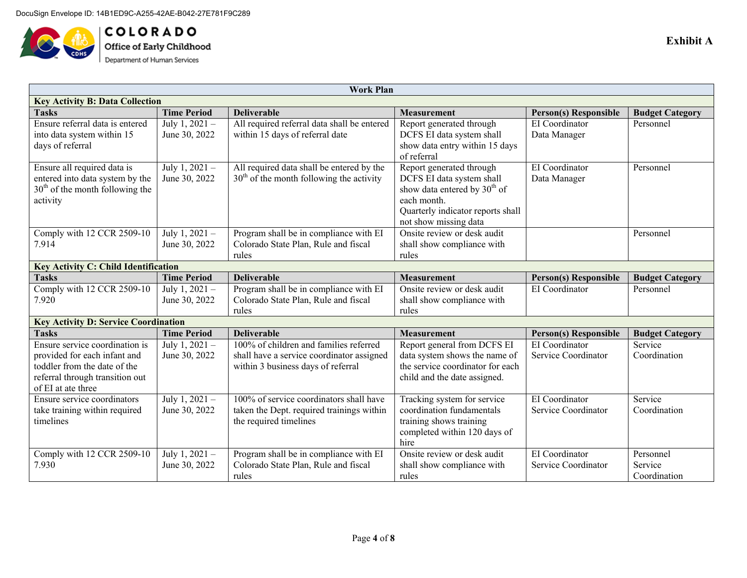

**COLORADO**<br>Office of Early Childhood<br>Department of Human Services

| Work Plan                                   |                    |                                             |                                          |                              |                        |
|---------------------------------------------|--------------------|---------------------------------------------|------------------------------------------|------------------------------|------------------------|
| <b>Key Activity B: Data Collection</b>      |                    |                                             |                                          |                              |                        |
| <b>Tasks</b>                                | <b>Time Period</b> | <b>Deliverable</b>                          | <b>Measurement</b>                       | <b>Person(s) Responsible</b> | <b>Budget Category</b> |
| Ensure referral data is entered             | July 1, 2021 -     | All required referral data shall be entered | Report generated through                 | EI Coordinator               | Personnel              |
| into data system within 15                  | June 30, 2022      | within 15 days of referral date             | DCFS EI data system shall                | Data Manager                 |                        |
| days of referral                            |                    |                                             | show data entry within 15 days           |                              |                        |
|                                             |                    |                                             | of referral                              |                              |                        |
| Ensure all required data is                 | July 1, 2021 -     | All required data shall be entered by the   | Report generated through                 | EI Coordinator               | Personnel              |
| entered into data system by the             | June 30, 2022      | $30th$ of the month following the activity  | DCFS EI data system shall                | Data Manager                 |                        |
| $30th$ of the month following the           |                    |                                             | show data entered by 30 <sup>th</sup> of |                              |                        |
| activity                                    |                    |                                             | each month.                              |                              |                        |
|                                             |                    |                                             | Quarterly indicator reports shall        |                              |                        |
|                                             |                    |                                             | not show missing data                    |                              |                        |
| Comply with 12 CCR 2509-10                  | July 1, 2021 -     | Program shall be in compliance with EI      | Onsite review or desk audit              |                              | Personnel              |
| 7.914                                       | June 30, 2022      | Colorado State Plan, Rule and fiscal        | shall show compliance with               |                              |                        |
|                                             |                    | rules                                       | rules                                    |                              |                        |
| <b>Key Activity C: Child Identification</b> |                    |                                             |                                          |                              |                        |
| <b>Tasks</b>                                | <b>Time Period</b> | <b>Deliverable</b>                          | <b>Measurement</b>                       | <b>Person(s) Responsible</b> | <b>Budget Category</b> |
| Comply with 12 CCR 2509-10                  | July $1, 2021 -$   | Program shall be in compliance with EI      | Onsite review or desk audit              | EI Coordinator               | Personnel              |
| 7.920                                       | June 30, 2022      | Colorado State Plan, Rule and fiscal        | shall show compliance with               |                              |                        |
|                                             |                    | rules                                       | rules                                    |                              |                        |
| <b>Key Activity D: Service Coordination</b> |                    |                                             |                                          |                              |                        |
| <b>Tasks</b>                                | <b>Time Period</b> | <b>Deliverable</b>                          | <b>Measurement</b>                       | <b>Person(s) Responsible</b> | <b>Budget Category</b> |
| Ensure service coordination is              | July 1, 2021 -     | 100% of children and families referred      | Report general from DCFS EI              | EI Coordinator               | Service                |
| provided for each infant and                | June 30, 2022      | shall have a service coordinator assigned   | data system shows the name of            | Service Coordinator          | Coordination           |
| toddler from the date of the                |                    | within 3 business days of referral          | the service coordinator for each         |                              |                        |
| referral through transition out             |                    |                                             | child and the date assigned.             |                              |                        |
| of EI at ate three                          |                    |                                             |                                          |                              |                        |
| Ensure service coordinators                 | July 1, 2021 -     | 100% of service coordinators shall have     | Tracking system for service              | EI Coordinator               | Service                |
| take training within required               | June 30, 2022      | taken the Dept. required trainings within   | coordination fundamentals                | Service Coordinator          | Coordination           |
| timelines                                   |                    | the required timelines                      | training shows training                  |                              |                        |
|                                             |                    |                                             | completed within 120 days of             |                              |                        |
|                                             |                    |                                             | hire                                     |                              |                        |
| Comply with 12 CCR 2509-10                  | July 1, 2021 -     | Program shall be in compliance with EI      | Onsite review or desk audit              | EI Coordinator               | Personnel              |
| 7.930                                       | June 30, 2022      | Colorado State Plan, Rule and fiscal        | shall show compliance with               | Service Coordinator          | Service                |
|                                             |                    | rules                                       | rules                                    |                              | Coordination           |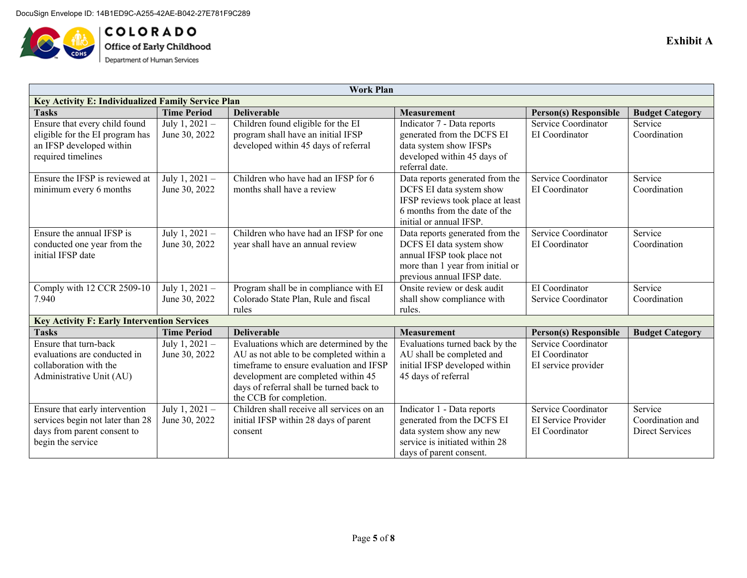

**COLORADO**<br>Office of Early Childhood<br>Department of Human Services

| <b>Work Plan</b>                                          |                    |                                                                                    |                                                            |                                            |                             |
|-----------------------------------------------------------|--------------------|------------------------------------------------------------------------------------|------------------------------------------------------------|--------------------------------------------|-----------------------------|
| <b>Key Activity E: Individualized Family Service Plan</b> |                    |                                                                                    |                                                            |                                            |                             |
| <b>Tasks</b>                                              | <b>Time Period</b> | <b>Deliverable</b>                                                                 | <b>Measurement</b>                                         | <b>Person(s) Responsible</b>               | <b>Budget Category</b>      |
| Ensure that every child found                             | July 1, 2021 -     | Children found eligible for the EI                                                 | Indicator 7 - Data reports                                 | Service Coordinator                        | Service                     |
| eligible for the EI program has                           | June 30, 2022      | program shall have an initial IFSP                                                 | generated from the DCFS EI                                 | EI Coordinator                             | Coordination                |
| an IFSP developed within                                  |                    | developed within 45 days of referral                                               | data system show IFSPs                                     |                                            |                             |
| required timelines                                        |                    |                                                                                    | developed within 45 days of                                |                                            |                             |
|                                                           |                    |                                                                                    | referral date.                                             |                                            |                             |
| Ensure the IFSP is reviewed at                            | July 1, 2021 -     | Children who have had an IFSP for 6                                                | Data reports generated from the                            | Service Coordinator                        | Service                     |
| minimum every 6 months                                    | June 30, 2022      | months shall have a review                                                         | DCFS EI data system show                                   | EI Coordinator                             | Coordination                |
|                                                           |                    |                                                                                    | IFSP reviews took place at least                           |                                            |                             |
|                                                           |                    |                                                                                    | 6 months from the date of the                              |                                            |                             |
|                                                           |                    |                                                                                    | initial or annual IFSP.                                    |                                            |                             |
| Ensure the annual IFSP is                                 | July 1, 2021 -     | Children who have had an IFSP for one                                              | Data reports generated from the                            | Service Coordinator                        | Service                     |
| conducted one year from the                               | June 30, 2022      | year shall have an annual review                                                   | DCFS EI data system show                                   | EI Coordinator                             | Coordination                |
| initial IFSP date                                         |                    |                                                                                    | annual IFSP took place not                                 |                                            |                             |
|                                                           |                    |                                                                                    | more than 1 year from initial or                           |                                            |                             |
|                                                           |                    |                                                                                    | previous annual IFSP date.                                 |                                            |                             |
| Comply with 12 CCR 2509-10                                | July 1, 2021 -     | Program shall be in compliance with EI                                             | Onsite review or desk audit                                | EI Coordinator                             | Service                     |
| 7.940                                                     | June 30, 2022      | Colorado State Plan, Rule and fiscal                                               | shall show compliance with                                 | Service Coordinator                        | Coordination                |
|                                                           |                    | rules                                                                              | rules.                                                     |                                            |                             |
| <b>Key Activity F: Early Intervention Services</b>        |                    |                                                                                    |                                                            |                                            |                             |
| <b>Tasks</b>                                              | <b>Time Period</b> | <b>Deliverable</b>                                                                 | <b>Measurement</b>                                         | <b>Person(s) Responsible</b>               | <b>Budget Category</b>      |
| Ensure that turn-back                                     | July 1, 2021 -     | Evaluations which are determined by the                                            | Evaluations turned back by the                             | Service Coordinator                        |                             |
| evaluations are conducted in                              | June 30, 2022      | AU as not able to be completed within a<br>timeframe to ensure evaluation and IFSP | AU shall be completed and                                  | EI Coordinator                             |                             |
| collaboration with the                                    |                    |                                                                                    | initial IFSP developed within                              | EI service provider                        |                             |
| Administrative Unit (AU)                                  |                    | development are completed within 45                                                | 45 days of referral                                        |                                            |                             |
|                                                           |                    | days of referral shall be turned back to                                           |                                                            |                                            |                             |
|                                                           |                    | the CCB for completion.<br>Children shall receive all services on an               |                                                            |                                            |                             |
| Ensure that early intervention                            | July 1, 2021 -     |                                                                                    | Indicator 1 - Data reports                                 | Service Coordinator<br>EI Service Provider | Service<br>Coordination and |
| services begin not later than 28                          | June 30, 2022      | initial IFSP within 28 days of parent                                              | generated from the DCFS EI                                 |                                            |                             |
| days from parent consent to<br>begin the service          |                    | consent                                                                            | data system show any new<br>service is initiated within 28 | EI Coordinator                             | Direct Services             |
|                                                           |                    |                                                                                    | days of parent consent.                                    |                                            |                             |
|                                                           |                    |                                                                                    |                                                            |                                            |                             |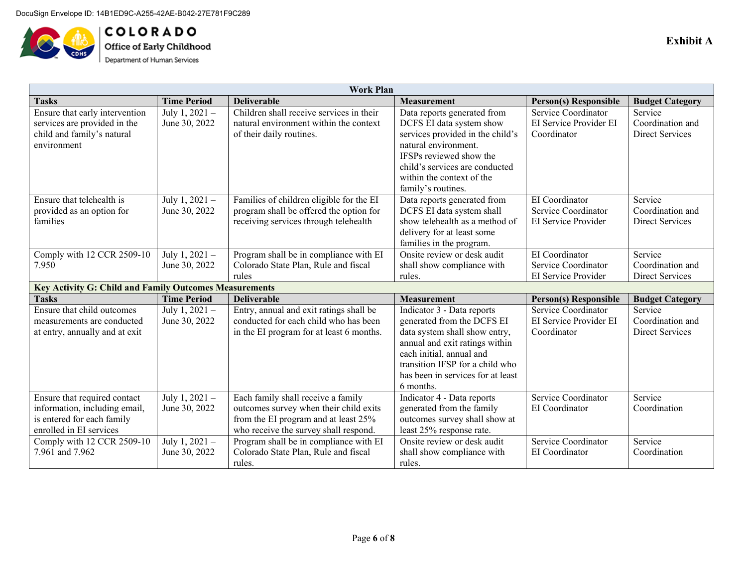

COLORADO Office of Early Childhood<br>Department of Human Services

| <b>Work Plan</b>                                              |                    |                                          |                                   |                              |                        |
|---------------------------------------------------------------|--------------------|------------------------------------------|-----------------------------------|------------------------------|------------------------|
| <b>Tasks</b>                                                  | <b>Time Period</b> | <b>Deliverable</b>                       | <b>Measurement</b>                | <b>Person(s) Responsible</b> | <b>Budget Category</b> |
| Ensure that early intervention                                | July 1, 2021 -     | Children shall receive services in their | Data reports generated from       | Service Coordinator          | Service                |
| services are provided in the                                  | June 30, 2022      | natural environment within the context   | DCFS EI data system show          | EI Service Provider EI       | Coordination and       |
| child and family's natural                                    |                    | of their daily routines.                 | services provided in the child's  | Coordinator                  | <b>Direct Services</b> |
| environment                                                   |                    |                                          | natural environment.              |                              |                        |
|                                                               |                    |                                          | IFSPs reviewed show the           |                              |                        |
|                                                               |                    |                                          | child's services are conducted    |                              |                        |
|                                                               |                    |                                          | within the context of the         |                              |                        |
|                                                               |                    |                                          | family's routines.                |                              |                        |
| Ensure that telehealth is                                     | July 1, 2021 -     | Families of children eligible for the EI | Data reports generated from       | EI Coordinator               | Service                |
| provided as an option for                                     | June 30, 2022      | program shall be offered the option for  | DCFS EI data system shall         | Service Coordinator          | Coordination and       |
| families                                                      |                    | receiving services through telehealth    | show telehealth as a method of    | EI Service Provider          | <b>Direct Services</b> |
|                                                               |                    |                                          | delivery for at least some        |                              |                        |
|                                                               |                    |                                          | families in the program.          |                              |                        |
| Comply with 12 CCR 2509-10                                    | July 1, 2021 -     | Program shall be in compliance with EI   | Onsite review or desk audit       | EI Coordinator               | Service                |
| 7.950                                                         | June 30, 2022      | Colorado State Plan, Rule and fiscal     | shall show compliance with        | Service Coordinator          | Coordination and       |
|                                                               |                    | rules                                    | rules.                            | EI Service Provider          | <b>Direct Services</b> |
| <b>Key Activity G: Child and Family Outcomes Measurements</b> |                    |                                          |                                   |                              |                        |
| <b>Tasks</b>                                                  | <b>Time Period</b> | <b>Deliverable</b>                       | <b>Measurement</b>                | <b>Person(s) Responsible</b> | <b>Budget Category</b> |
| Ensure that child outcomes                                    | July 1, 2021 -     | Entry, annual and exit ratings shall be  | Indicator 3 - Data reports        | Service Coordinator          | Service                |
| measurements are conducted                                    | June 30, 2022      | conducted for each child who has been    | generated from the DCFS EI        | EI Service Provider EI       | Coordination and       |
| at entry, annually and at exit                                |                    | in the EI program for at least 6 months. | data system shall show entry,     | Coordinator                  | <b>Direct Services</b> |
|                                                               |                    |                                          | annual and exit ratings within    |                              |                        |
|                                                               |                    |                                          | each initial, annual and          |                              |                        |
|                                                               |                    |                                          | transition IFSP for a child who   |                              |                        |
|                                                               |                    |                                          | has been in services for at least |                              |                        |
|                                                               |                    |                                          | 6 months.                         |                              |                        |
| Ensure that required contact                                  | July 1, 2021 -     | Each family shall receive a family       | Indicator 4 - Data reports        | Service Coordinator          | Service                |
| information, including email,                                 | June 30, 2022      | outcomes survey when their child exits   | generated from the family         | EI Coordinator               | Coordination           |
| is entered for each family                                    |                    | from the EI program and at least 25%     | outcomes survey shall show at     |                              |                        |
| enrolled in EI services                                       |                    | who receive the survey shall respond.    | least 25% response rate.          |                              |                        |
| Comply with 12 CCR 2509-10                                    | July 1, 2021 -     | Program shall be in compliance with EI   | Onsite review or desk audit       | Service Coordinator          | Service                |
| 7.961 and 7.962                                               | June 30, 2022      | Colorado State Plan, Rule and fiscal     | shall show compliance with        | EI Coordinator               | Coordination           |
|                                                               |                    | rules.                                   | rules.                            |                              |                        |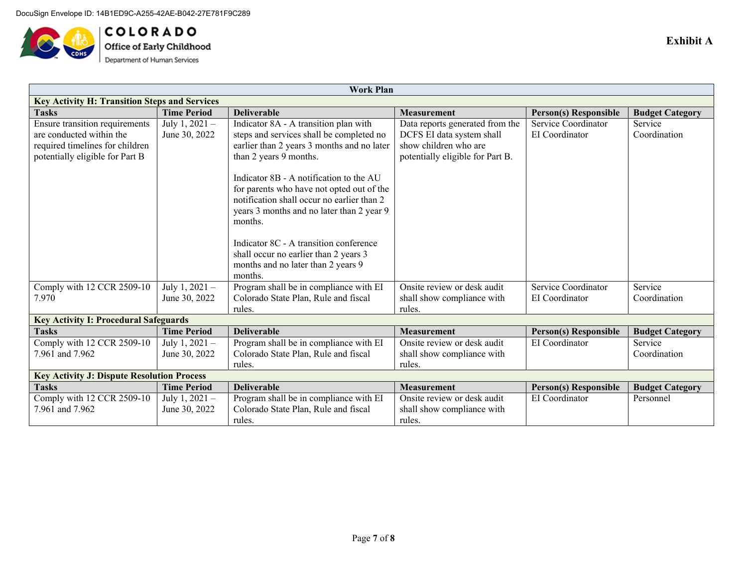

**COLORADO**<br>Office of Early Childhood<br>Department of Human Services

| <b>Work Plan</b>                                     |                    |                                            |                                  |                              |                        |
|------------------------------------------------------|--------------------|--------------------------------------------|----------------------------------|------------------------------|------------------------|
| <b>Key Activity H: Transition Steps and Services</b> |                    |                                            |                                  |                              |                        |
| <b>Tasks</b>                                         | <b>Time Period</b> | <b>Deliverable</b>                         | <b>Measurement</b>               | <b>Person(s) Responsible</b> | <b>Budget Category</b> |
| Ensure transition requirements                       | July 1, $2021 -$   | Indicator 8A - A transition plan with      | Data reports generated from the  | Service Coordinator          | Service                |
| are conducted within the                             | June 30, 2022      | steps and services shall be completed no   | DCFS EI data system shall        | EI Coordinator               | Coordination           |
| required timelines for children                      |                    | earlier than 2 years 3 months and no later | show children who are            |                              |                        |
| potentially eligible for Part B                      |                    | than 2 years 9 months.                     | potentially eligible for Part B. |                              |                        |
|                                                      |                    |                                            |                                  |                              |                        |
|                                                      |                    | Indicator 8B - A notification to the AU    |                                  |                              |                        |
|                                                      |                    | for parents who have not opted out of the  |                                  |                              |                        |
|                                                      |                    | notification shall occur no earlier than 2 |                                  |                              |                        |
|                                                      |                    | years 3 months and no later than 2 year 9  |                                  |                              |                        |
|                                                      |                    | months.                                    |                                  |                              |                        |
|                                                      |                    |                                            |                                  |                              |                        |
|                                                      |                    | Indicator 8C - A transition conference     |                                  |                              |                        |
|                                                      |                    | shall occur no earlier than 2 years 3      |                                  |                              |                        |
|                                                      |                    | months and no later than 2 years 9         |                                  |                              |                        |
|                                                      |                    | months.                                    |                                  |                              |                        |
| Comply with 12 CCR 2509-10                           | July 1, $2021 -$   | Program shall be in compliance with EI     | Onsite review or desk audit      | Service Coordinator          | Service                |
| 7.970                                                | June 30, 2022      | Colorado State Plan, Rule and fiscal       | shall show compliance with       | EI Coordinator               | Coordination           |
|                                                      |                    | rules.                                     | rules.                           |                              |                        |
| <b>Key Activity I: Procedural Safeguards</b>         |                    |                                            |                                  |                              |                        |
| <b>Tasks</b>                                         | <b>Time Period</b> | <b>Deliverable</b>                         | <b>Measurement</b>               | <b>Person(s)</b> Responsible | <b>Budget Category</b> |
| Comply with 12 CCR 2509-10                           | July 1, $2021 -$   | Program shall be in compliance with EI     | Onsite review or desk audit      | EI Coordinator               | Service                |
| 7.961 and 7.962                                      | June 30, 2022      | Colorado State Plan, Rule and fiscal       | shall show compliance with       |                              | Coordination           |
|                                                      |                    | rules.                                     | rules.                           |                              |                        |
| <b>Key Activity J: Dispute Resolution Process</b>    |                    |                                            |                                  |                              |                        |
| <b>Tasks</b>                                         | <b>Time Period</b> | <b>Deliverable</b>                         | <b>Measurement</b>               | <b>Person(s) Responsible</b> | <b>Budget Category</b> |
| Comply with 12 CCR 2509-10                           | July $1, 2021 -$   | Program shall be in compliance with EI     | Onsite review or desk audit      | EI Coordinator               | Personnel              |
| 7.961 and 7.962                                      | June 30, 2022      | Colorado State Plan, Rule and fiscal       | shall show compliance with       |                              |                        |
|                                                      |                    | rules.                                     | rules.                           |                              |                        |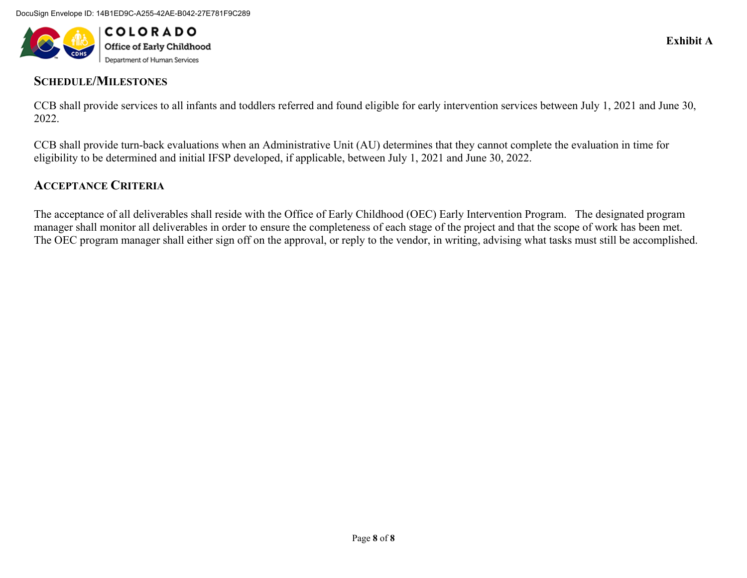

# **SCHEDULE/MILESTONES**

CCB shall provide services to all infants and toddlers referred and found eligible for early intervention services between July 1, 2021 and June 30, 2022.

CCB shall provide turn-back evaluations when an Administrative Unit (AU) determines that they cannot complete the evaluation in time for eligibility to be determined and initial IFSP developed, if applicable, between July 1, 2021 and June 30, 2022.

# **ACCEPTANCE CRITERIA**

The acceptance of all deliverables shall reside with the Office of Early Childhood (OEC) Early Intervention Program. The designated program manager shall monitor all deliverables in order to ensure the completeness of each stage of the project and that the scope of work has been met. The OEC program manager shall either sign off on the approval, or reply to the vendor, in writing, advising what tasks must still be accomplished.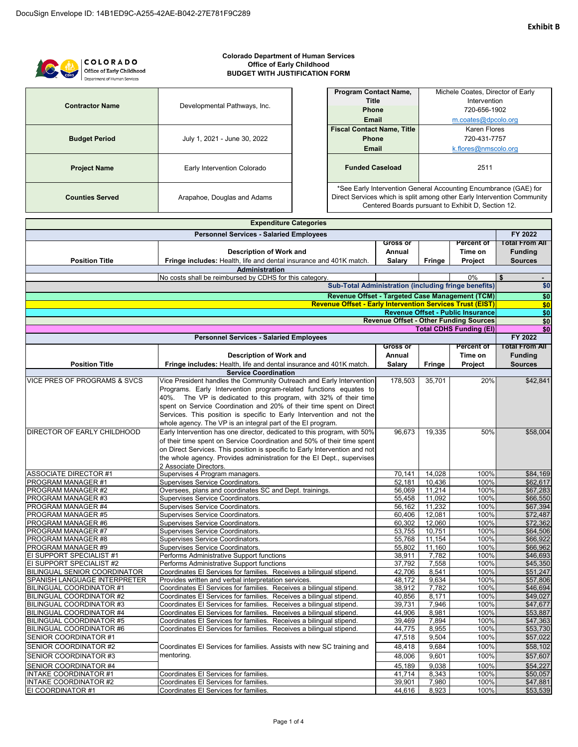#### COLORADO Office of Early Childhood Department of Human Services

#### **Colorado Department of Human Services Office of Early Childhood BUDGET WITH JUSTIFICATION FORM**

| <b>Contractor Name</b> | Developmental Pathways, Inc. |
|------------------------|------------------------------|
| <b>Budget Period</b>   | July 1, 2021 - June 30, 2022 |
| <b>Project Name</b>    | Early Intervention Colorado  |
| <b>Counties Served</b> | Arapahoe, Douglas and Adams  |

| <b>Program Contact Name,</b>      | Michele Coates, Director of Early |  |
|-----------------------------------|-----------------------------------|--|
| Title                             | Intervention                      |  |
| <b>Phone</b>                      | 720-656-1902                      |  |
| <b>Email</b>                      | m.coates@dpcolo.org               |  |
| <b>Fiscal Contact Name, Title</b> | Karen Flores                      |  |
| <b>Phone</b>                      | 720-431-7757                      |  |
| <b>Email</b>                      | k.flores@nmscolo.org              |  |
| <b>Funded Caseload</b>            | 2511                              |  |
|                                   |                                   |  |

\*See Early Intervention General Accounting Encumbrance (GAE) for Direct Services which is split among other Early Intervention Community Centered Boards pursuant to Exhibit D, Section 12.

| <b>Expenditure Categories</b>                  |                                                                               |                  |                 |                                               |                       |
|------------------------------------------------|-------------------------------------------------------------------------------|------------------|-----------------|-----------------------------------------------|-----------------------|
| <b>Personnel Services - Salaried Employees</b> |                                                                               |                  |                 |                                               | FY 2022               |
|                                                |                                                                               | <b>Gross or</b>  |                 | <b>Percent of</b>                             | <b>Total From All</b> |
|                                                | Description of Work and                                                       | Annual           |                 | Time on                                       | <b>Funding</b>        |
| <b>Position Title</b>                          | Fringe includes: Health, life and dental insurance and 401K match.            | <b>Salary</b>    | <b>Fringe</b>   | Project                                       | <b>Sources</b>        |
|                                                | Administration                                                                |                  |                 |                                               |                       |
|                                                | No costs shall be reimbursed by CDHS for this category.                       |                  |                 | 0%                                            | \$                    |
|                                                | <b>Sub-Total Administration (including fringe benefits)</b>                   |                  |                 |                                               | \$0                   |
|                                                | Revenue Offset - Targeted Case Management (TCM)                               |                  |                 |                                               | \$0                   |
|                                                | <b>Revenue Offset - Early Intervention Services Trust (EIST)</b>              |                  |                 |                                               | \$0                   |
|                                                |                                                                               |                  |                 | <b>Revenue Offset - Public Insurance</b>      | \$0                   |
|                                                |                                                                               |                  |                 | <b>Revenue Offset - Other Funding Sources</b> | \$0                   |
|                                                |                                                                               |                  |                 | <b>Total CDHS Funding (EI)</b>                | \$0                   |
|                                                | <b>Personnel Services - Salaried Employees</b>                                |                  |                 |                                               | FY 2022               |
|                                                |                                                                               | <b>Gross or</b>  |                 | <b>Percent of</b>                             | <b>Total From All</b> |
|                                                | Description of Work and                                                       | Annual           |                 | Time on                                       | <b>Funding</b>        |
| <b>Position Title</b>                          | Fringe includes: Health, life and dental insurance and 401K match.            | <b>Salary</b>    | <b>Fringe</b>   | Project                                       | <b>Sources</b>        |
|                                                | <b>Service Coordination</b>                                                   |                  |                 |                                               |                       |
| VICE PRES OF PROGRAMS & SVCS                   | Vice President handles the Community Outreach and Early Intervention          | 178,503          | 35,701          | 20%                                           | \$42,841              |
|                                                | Programs. Early Intervention program-related functions equates to             |                  |                 |                                               |                       |
|                                                | 40%. The VP is dedicated to this program, with 32% of their time              |                  |                 |                                               |                       |
|                                                | spent on Service Coordination and 20% of their time spent on Direct           |                  |                 |                                               |                       |
|                                                | Services. This position is specific to Early Intervention and not the         |                  |                 |                                               |                       |
|                                                | whole agency. The VP is an integral part of the EI program.                   |                  |                 |                                               |                       |
| DIRECTOR OF EARLY CHILDHOOD                    | Early Intervention has one director, dedicated to this program, with 50%      | 96.673           | 19,335          | 50%                                           | \$58,004              |
|                                                | of their time spent on Service Coordination and 50% of their time spent       |                  |                 |                                               |                       |
|                                                | on Direct Services. This position is specific to Early Intervention and not   |                  |                 |                                               |                       |
|                                                | the whole agency. Provides administration for the El Dept., supervises        |                  |                 |                                               |                       |
|                                                | 2 Associate Directors.                                                        |                  |                 |                                               |                       |
| <b>ASSOCIATE DIRECTOR #1</b>                   | Supervises 4 Program managers.                                                | 70,141           | 14,028          | 100%                                          | \$84,169              |
| PROGRAM MANAGER #1                             | Supervises Service Coordinators.                                              | 52,181           | 10.436          | 100%                                          | \$62,617              |
| PROGRAM MANAGER #2                             | Oversees, plans and coordinates SC and Dept. trainings.                       | 56,069           | 11,214          | 100%                                          | \$67,283              |
| PROGRAM MANAGER #3                             | Supervises Service Coordinators.                                              | 55,458           | 11,092          | 100%                                          | \$66,550              |
| PROGRAM MANAGER #4                             | <b>Supervises Service Coordinators.</b>                                       | 56,162           | 11,232          | 100%                                          | \$67,394              |
| PROGRAM MANAGER #5                             | Supervises Service Coordinators.                                              | 60.406           | 12,081          | 100%                                          | \$72,487              |
| PROGRAM MANAGER #6                             | Supervises Service Coordinators.                                              | 60,302           | 12,060          | 100%                                          | \$72,362              |
| PROGRAM MANAGER #7                             | Supervises Service Coordinators.                                              | 53,755           | 10,751          | 100%                                          | \$64,506              |
| PROGRAM MANAGER #8                             | Supervises Service Coordinators.                                              | 55,768           | 11,154          | 100%                                          | \$66,922              |
| PROGRAM MANAGER #9<br>EI SUPPORT SPECIALIST #1 | Supervises Service Coordinators.<br>Performs Administrative Support functions | 55,802<br>38,911 | 11,160<br>7,782 | 100%<br>100%                                  | \$66,962<br>\$46,693  |
| EI SUPPORT SPECIALIST #2                       | Performs Administrative Support functions                                     | 37,792           | 7,558           | 100%                                          | \$45,350              |
| BILINGUAL SENIOR COORDINATOR                   | Coordinates El Services for families. Receives a bilingual stipend.           | 42,706           | 8,541           | 100%                                          | \$51,247              |
| SPANISH LANGUAGE INTERPRETER                   | Provides written and verbal interpretation services.                          | 48,172           | 9,634           | 100%                                          | \$57,806              |
| <b>BILINGUAL COORDINATOR #1</b>                | Coordinates El Services for families. Receives a bilingual stipend.           | 38,912           | 7,782           | 100%                                          | \$46,694              |
| <b>BILINGUAL COORDINATOR #2</b>                | Coordinates El Services for families. Receives a bilingual stipend.           | 40,856           | 8,171           | 100%                                          | \$49,027              |
| <b>BILINGUAL COORDINATOR #3</b>                | Coordinates El Services for families. Receives a bilingual stipend.           | 39,731           | 7,946           | 100%                                          | \$47,677              |
| BILINGUAL COORDINATOR #4                       | Coordinates El Services for families. Receives a bilingual stipend.           | 44,906           | 8,981           | 100%                                          | \$53,887              |
| <b>BILINGUAL COORDINATOR #5</b>                | Coordinates El Services for families. Receives a bilingual stipend.           | 39.469           | 7,894           | 100%                                          | \$47,363              |
| <b>BILINGUAL COORDINATOR #6</b>                | Coordinates El Services for families. Receives a bilingual stipend.           | 44,775           | 8,955           | 100%                                          | \$53,730              |
| <b>SENIOR COORDINATOR #1</b>                   |                                                                               | 47,518           | 9,504           | 100%                                          | \$57,022              |
| SENIOR COORDINATOR #2                          | Coordinates El Services for families. Assists with new SC training and        | 48,418           | 9,684           | 100%                                          | \$58,102              |
| SENIOR COORDINATOR #3                          | mentoring.                                                                    | 48.006           | 9,601           | 100%                                          | \$57,607              |
| SENIOR COORDINATOR #4                          |                                                                               | 45,189           | 9,038           | 100%                                          | \$54,227              |
| <b>INTAKE COORDINATOR #1</b>                   | Coordinates El Services for families.                                         | 41,714           | 8,343           | 100%                                          | \$50,057              |
| <b>INTAKE COORDINATOR #2</b>                   | Coordinates El Services for families.                                         | 39,901           | 7,980           | 100%                                          | \$47,881              |
| EI COORDINATOR #1                              | Coordinates El Services for families.                                         | 44,616           | 8,923           | 100%                                          | \$53,539              |
|                                                |                                                                               |                  |                 |                                               |                       |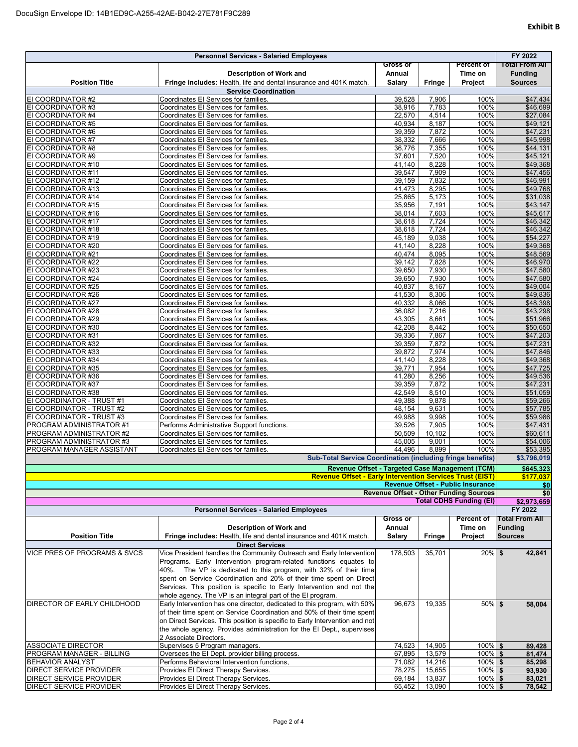| <b>Personnel Services - Salaried Employees</b>         |                                                                                                                                       |                  |                |                                               | FY 2022               |
|--------------------------------------------------------|---------------------------------------------------------------------------------------------------------------------------------------|------------------|----------------|-----------------------------------------------|-----------------------|
|                                                        |                                                                                                                                       | <b>Gross or</b>  |                | <b>Percent of</b>                             | <b>Total From All</b> |
|                                                        | <b>Description of Work and</b>                                                                                                        | Annual           |                | Time on                                       | <b>Funding</b>        |
| <b>Position Title</b>                                  | Fringe includes: Health, life and dental insurance and 401K match.                                                                    | <b>Salary</b>    | <b>Fringe</b>  | Project                                       | <b>Sources</b>        |
| EI COORDINATOR #2                                      | <b>Service Coordination</b><br>Coordinates El Services for families.                                                                  | 39,528           | 7,906          | 100%                                          | \$47,434              |
| EI COORDINATOR #3                                      | Coordinates El Services for families.                                                                                                 | 38,916           | 7,783          | 100%                                          | \$46,699              |
| EI COORDINATOR #4                                      | Coordinates El Services for families.                                                                                                 | 22,570           | 4,514          | 100%                                          | \$27,084              |
| EI COORDINATOR #5                                      | Coordinates El Services for families.                                                                                                 | 40,934           | 8,187          | 100%                                          | \$49,121              |
| EI COORDINATOR #6                                      | Coordinates El Services for families.                                                                                                 | 39,359           | 7,872          | 100%                                          | \$47,231              |
| EI COORDINATOR #7                                      | Coordinates El Services for families.                                                                                                 | 38,332           | 7,666          | 100%                                          | \$45,998              |
| EI COORDINATOR #8                                      | Coordinates El Services for families.                                                                                                 | 36,776           | 7,355          | 100%                                          | \$44,131              |
| EI COORDINATOR #9                                      | Coordinates El Services for families.                                                                                                 | 37,601           | 7,520          | 100%                                          | \$45,121              |
| EI COORDINATOR #10                                     | Coordinates El Services for families.                                                                                                 | 41.140           | 8,228          | 100%                                          | \$49,368              |
| EI COORDINATOR #11                                     | Coordinates El Services for families.                                                                                                 | 39,547           | 7,909          | 100%                                          | \$47,456              |
| EI COORDINATOR #12<br>EI COORDINATOR #13               | Coordinates El Services for families.<br>Coordinates El Services for families.                                                        | 39,159<br>41,473 | 7,832<br>8,295 | 100%<br>100%                                  | \$46,991<br>\$49,768  |
| EI COORDINATOR #14                                     | Coordinates El Services for families.                                                                                                 | 25,865           | 5,173          | 100%                                          | \$31,038              |
| EI COORDINATOR #15                                     | Coordinates El Services for families.                                                                                                 | 35,956           | 7,191          | 100%                                          | \$43,147              |
| COORDINATOR #16<br>EI                                  | Coordinates El Services for families.                                                                                                 | 38,014           | 7,603          | 100%                                          | \$45,617              |
| EI COORDINATOR #17                                     | Coordinates El Services for families.                                                                                                 | 38,618           | 7,724          | 100%                                          | \$46,342              |
| EI COORDINATOR #18                                     | Coordinates El Services for families.                                                                                                 | 38,618           | 7,724          | 100%                                          | \$46,342              |
| EI COORDINATOR #19                                     | Coordinates El Services for families.                                                                                                 | 45,189           | 9,038          | 100%                                          | \$54,227              |
| EI COORDINATOR #20                                     | Coordinates El Services for families.                                                                                                 | 41.140           | 8,228          | 100%                                          | \$49,368              |
| EI COORDINATOR #21                                     | Coordinates El Services for families.                                                                                                 | 40,474           | 8,095          | 100%                                          | \$48,569              |
| EI COORDINATOR #22                                     | Coordinates El Services for families.                                                                                                 | 39,142           | 7,828          | 100%                                          | \$46,970              |
| EI COORDINATOR #23                                     | Coordinates El Services for families.                                                                                                 | 39,650           | 7,930          | 100%                                          | \$47,580              |
| EI COORDINATOR #24                                     | Coordinates El Services for families.                                                                                                 | 39,650           | 7,930          | 100%                                          | \$47,580              |
| EI COORDINATOR #25<br>EI COORDINATOR #26               | Coordinates El Services for families.<br>Coordinates El Services for families.                                                        | 40,837<br>41,530 | 8,167<br>8,306 | 100%<br>100%                                  | \$49,004<br>\$49,836  |
| EI COORDINATOR #27                                     | Coordinates El Services for families.                                                                                                 | 40,332           | 8,066          | 100%                                          | \$48,398              |
| EI COORDINATOR #28                                     | Coordinates El Services for families.                                                                                                 | 36,082           | 7,216          | 100%                                          | \$43,298              |
| EI COORDINATOR #29                                     | Coordinates El Services for families.                                                                                                 | 43,305           | 8,661          | 100%                                          | \$51,966              |
| EI COORDINATOR #30                                     | Coordinates El Services for families.                                                                                                 | 42,208           | 8,442          | 100%                                          | \$50,650              |
| EI COORDINATOR #31                                     | Coordinates El Services for families.                                                                                                 | 39,336           | 7,867          | 100%                                          | \$47,203              |
| EI COORDINATOR #32                                     | Coordinates El Services for families.                                                                                                 | 39,359           | 7,872          | 100%                                          | \$47,231              |
| EI COORDINATOR #33                                     | Coordinates El Services for families.                                                                                                 | 39,872           | 7,974          | 100%                                          | \$47,846              |
| EI COORDINATOR #34                                     | Coordinates El Services for families.                                                                                                 | 41,140           | 8,228          | 100%                                          | \$49,368              |
| EI COORDINATOR #35                                     | Coordinates El Services for families.                                                                                                 | 39,771           | 7,954          | 100%                                          | \$47,725              |
| EI COORDINATOR #36                                     | Coordinates El Services for families.                                                                                                 | 41,280           | 8,256          | 100%                                          | \$49,536              |
| EI COORDINATOR #37                                     | Coordinates El Services for families.                                                                                                 | 39,359           | 7,872          | 100%                                          | \$47,231              |
| EI COORDINATOR #38                                     | Coordinates El Services for families.                                                                                                 | 42,549           | 8,510          | 100%                                          | \$51,059              |
| EI COORDINATOR - TRUST #1<br>EI COORDINATOR - TRUST #2 | Coordinates El Services for families.<br>Coordinates El Services for families.                                                        | 49,388<br>48,154 | 9,878<br>9,631 | 100%<br>100%                                  | \$59,266<br>\$57,785  |
| COORDINATOR - TRUST #3<br>EI                           | Coordinates El Services for families.                                                                                                 | 49,988           | 9,998          | 100%                                          | \$59,986              |
| PROGRAM ADMINISTRATOR #1                               | Performs Administrative Support functions.                                                                                            | 39,526           | 7,905          | 100%                                          | \$47,431              |
| PROGRAM ADMINISTRATOR #2                               | Coordinates El Services for families.                                                                                                 | 50,509           | 10,102         | 100%                                          | \$60,611              |
| PROGRAM ADMINISTRATOR #3                               | Coordinates El Services for families.                                                                                                 | 45,005           | 9,001          | 100%                                          | \$54,006              |
| PROGRAM MANAGER ASSISTANT                              | Coordinates El Services for families.                                                                                                 | 44,496           | 8,899          | 100%                                          | \$53,395              |
|                                                        | <b>Sub-Total Service Coordination (including fringe benefits)</b>                                                                     |                  |                |                                               | \$3,796,019           |
|                                                        | Revenue Offset - Targeted Case Management (TCM)                                                                                       |                  |                |                                               | \$645,323             |
|                                                        | <b>Revenue Offset - Early Intervention Services Trust (EIST)</b>                                                                      |                  |                |                                               | \$177,037             |
|                                                        |                                                                                                                                       |                  |                | <b>Revenue Offset - Public Insurance</b>      | \$0                   |
|                                                        |                                                                                                                                       |                  |                | <b>Revenue Offset - Other Funding Sources</b> | \$0                   |
|                                                        |                                                                                                                                       |                  |                | <b>Total CDHS Funding (EI)</b>                | \$2,973,659           |
|                                                        | <b>Personnel Services - Salaried Employees</b>                                                                                        |                  |                |                                               | FY 2022               |
|                                                        |                                                                                                                                       | <b>Gross or</b>  |                | <b>Percent of</b>                             | <b>Total From All</b> |
|                                                        | <b>Description of Work and</b>                                                                                                        | Annual           |                | Time on                                       | <b>Funding</b>        |
| <b>Position Title</b>                                  | Fringe includes: Health, life and dental insurance and 401K match.                                                                    | <b>Salary</b>    | <b>Fringe</b>  | Project                                       | <b>Sources</b>        |
|                                                        | <b>Direct Services</b>                                                                                                                |                  |                |                                               |                       |
| VICE PRES OF PROGRAMS & SVCS                           | Vice President handles the Community Outreach and Early Intervention                                                                  | 178,503          | 35,701         | $20\%$ \$                                     | 42,841                |
|                                                        | Programs. Early Intervention program-related functions equates to<br>40%. The VP is dedicated to this program, with 32% of their time |                  |                |                                               |                       |
|                                                        | spent on Service Coordination and 20% of their time spent on Direct                                                                   |                  |                |                                               |                       |
|                                                        | Services. This position is specific to Early Intervention and not the                                                                 |                  |                |                                               |                       |
|                                                        | whole agency. The VP is an integral part of the EI program.                                                                           |                  |                |                                               |                       |
| DIRECTOR OF EARLY CHILDHOOD                            | Early Intervention has one director, dedicated to this program, with 50%                                                              | 96,673           | 19,335         | $50\%$ \$                                     | 58,004                |
|                                                        | of their time spent on Service Coordination and 50% of their time spent                                                               |                  |                |                                               |                       |
|                                                        | on Direct Services. This position is specific to Early Intervention and not                                                           |                  |                |                                               |                       |
|                                                        | the whole agency. Provides administration for the El Dept., supervises                                                                |                  |                |                                               |                       |
|                                                        | 2 Associate Directors.                                                                                                                |                  |                |                                               |                       |
| <b>ASSOCIATE DIRECTOR</b>                              | Supervises 5 Program managers.                                                                                                        | 74,523           | 14,905         | $100\%$ \$                                    | 89,428                |
| PROGRAM MANAGER - BILLING                              | Oversees the El Dept. provider billing process.                                                                                       | 67,895           | 13,579         | $100\%$ \$                                    | 81,474                |
| BEHAVIOR ANALYST                                       | Performs Behavioral Intervention functions,                                                                                           | 71,082           | 14,216         | $100\%$ \$                                    | 85,298                |
| DIRECT SERVICE PROVIDER                                | Provides El Direct Therapy Services.                                                                                                  | 78,275           | 15,655         | $100\%$ \$                                    | 93,930                |
| DIRECT SERVICE PROVIDER                                | Provides El Direct Therapy Services.                                                                                                  | 69,184           | 13,837         | $100\%$ \$                                    | 83,021                |
| <b>DIRECT SERVICE PROVIDER</b>                         | Provides El Direct Therapy Services.                                                                                                  | 65,452           | 13,090         | 100% \$                                       | 78,542                |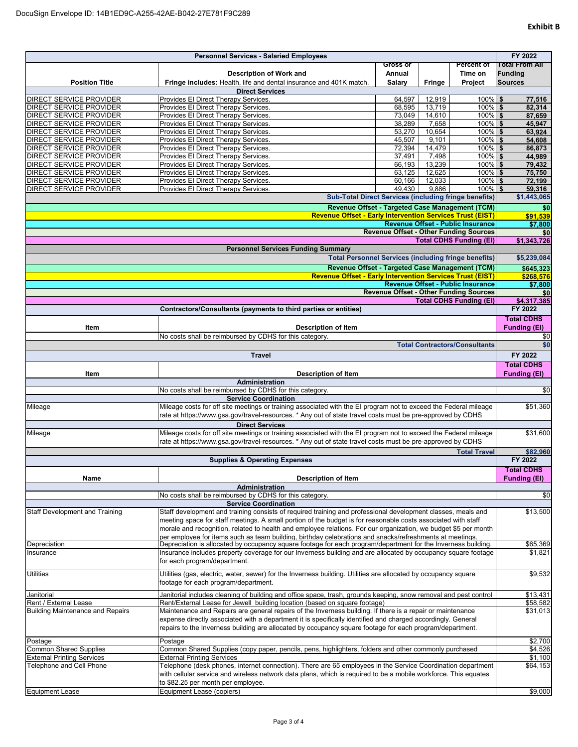|                                                                  | <b>Personnel Services - Salaried Employees</b>                                                                                                                                                                                |                  |                 |                                               | FY 2022                                 |
|------------------------------------------------------------------|-------------------------------------------------------------------------------------------------------------------------------------------------------------------------------------------------------------------------------|------------------|-----------------|-----------------------------------------------|-----------------------------------------|
|                                                                  |                                                                                                                                                                                                                               | Gross or         |                 | <b>Percent of</b>                             | <b>Total From All</b>                   |
|                                                                  | <b>Description of Work and</b>                                                                                                                                                                                                | Annual           |                 | Time on                                       | <b>Funding</b>                          |
| <b>Position Title</b>                                            | Fringe includes: Health, life and dental insurance and 401K match.                                                                                                                                                            | Salary           | <b>Fringe</b>   | Project                                       | <b>Sources</b>                          |
|                                                                  | <b>Direct Services</b>                                                                                                                                                                                                        |                  |                 |                                               |                                         |
| DIRECT SERVICE PROVIDER                                          | Provides El Direct Therapy Services.                                                                                                                                                                                          | 64,597           | 12,919          | $100\%$ \$                                    | 77,516                                  |
| <b>DIRECT SERVICE PROVIDER</b>                                   | Provides El Direct Therapy Services.                                                                                                                                                                                          | 68,595           | 13,719          | $100\%$ \$                                    | 82,314                                  |
| <b>DIRECT SERVICE PROVIDER</b><br><b>DIRECT SERVICE PROVIDER</b> | Provides El Direct Therapy Services.<br>Provides El Direct Therapy Services.                                                                                                                                                  | 73,049<br>38,289 | 14,610<br>7,658 | $100\%$ \$<br>100% \$                         | 87,659<br>45,947                        |
| DIRECT SERVICE PROVIDER                                          | Provides El Direct Therapy Services.                                                                                                                                                                                          | 53,270           | 10,654          | 100% \$                                       | 63,924                                  |
| <b>DIRECT SERVICE PROVIDER</b>                                   | Provides El Direct Therapy Services.                                                                                                                                                                                          | 45,507           | 9,101           | 100% \$                                       | 54,608                                  |
| DIRECT SERVICE PROVIDER                                          | Provides El Direct Therapy Services.                                                                                                                                                                                          | 72.394           | 14,479          | 100% \$                                       | 86,873                                  |
| DIRECT SERVICE PROVIDER                                          | Provides El Direct Therapy Services.                                                                                                                                                                                          | 37,491           | 7,498           | $100\%$ \$                                    | 44,989                                  |
| DIRECT SERVICE PROVIDER                                          | Provides El Direct Therapy Services.                                                                                                                                                                                          | 66,193           | 13,239          | $100\%$ \$                                    | 79,432                                  |
| DIRECT SERVICE PROVIDER                                          | Provides El Direct Therapy Services.                                                                                                                                                                                          | 63,125           | 12,625          | $100\%$ \$                                    | 75,750                                  |
| DIRECT SERVICE PROVIDER                                          | Provides El Direct Therapy Services.                                                                                                                                                                                          | 60,166           | 12,033          | 100% \$                                       | 72,199                                  |
| DIRECT SERVICE PROVIDER                                          | Provides El Direct Therapy Services.                                                                                                                                                                                          | 49,430           | 9,886           | $100\%$ \$                                    | 59,316                                  |
|                                                                  | <b>Sub-Total Direct Services (including fringe benefits)</b>                                                                                                                                                                  |                  |                 |                                               | \$1,443,065                             |
|                                                                  | Revenue Offset - Targeted Case Management (TCM)                                                                                                                                                                               |                  |                 |                                               | \$0                                     |
|                                                                  | <b>Revenue Offset - Early Intervention Services Trust (EIST)</b>                                                                                                                                                              |                  |                 |                                               | \$91,539                                |
|                                                                  |                                                                                                                                                                                                                               |                  |                 | <b>Revenue Offset - Public Insurance</b>      | \$7,800                                 |
|                                                                  |                                                                                                                                                                                                                               |                  |                 | <b>Revenue Offset - Other Funding Sources</b> | \$0                                     |
|                                                                  | <b>Personnel Services Funding Summary</b>                                                                                                                                                                                     |                  |                 | <b>Total CDHS Funding (EI)</b>                | \$1,343,726                             |
|                                                                  | <b>Total Personnel Services (including fringe benefits)</b>                                                                                                                                                                   |                  |                 |                                               | \$5,239,084                             |
|                                                                  |                                                                                                                                                                                                                               |                  |                 |                                               |                                         |
|                                                                  | Revenue Offset - Targeted Case Management (TCM)                                                                                                                                                                               |                  |                 |                                               | \$645,323                               |
|                                                                  | <b>Revenue Offset - Early Intervention Services Trust (EIST)</b>                                                                                                                                                              |                  |                 | <b>Revenue Offset - Public Insurance</b>      | \$268,576                               |
|                                                                  |                                                                                                                                                                                                                               |                  |                 | <b>Revenue Offset - Other Funding Sources</b> | \$7,800<br>\$0                          |
|                                                                  |                                                                                                                                                                                                                               |                  |                 | <b>Total CDHS Funding (EI)</b>                | \$4,317,385                             |
|                                                                  | Contractors/Consultants (payments to third parties or entities)                                                                                                                                                               |                  |                 |                                               | FY 2022                                 |
|                                                                  |                                                                                                                                                                                                                               |                  |                 |                                               | <b>Total CDHS</b>                       |
| Item                                                             | <b>Description of Item</b>                                                                                                                                                                                                    |                  |                 |                                               | <b>Funding (EI)</b>                     |
|                                                                  | No costs shall be reimbursed by CDHS for this category                                                                                                                                                                        |                  |                 |                                               | \$0                                     |
|                                                                  |                                                                                                                                                                                                                               |                  |                 | <b>Total Contractors/Consultants</b>          | \$0                                     |
|                                                                  | <b>Travel</b>                                                                                                                                                                                                                 |                  |                 |                                               | FY 2022                                 |
|                                                                  |                                                                                                                                                                                                                               |                  |                 |                                               | <b>Total CDHS</b>                       |
| Item                                                             | <b>Description of Item</b>                                                                                                                                                                                                    |                  |                 |                                               | <b>Funding (EI)</b>                     |
|                                                                  | Administration                                                                                                                                                                                                                |                  |                 |                                               |                                         |
|                                                                  | No costs shall be reimbursed by CDHS for this category.                                                                                                                                                                       |                  |                 |                                               |                                         |
|                                                                  |                                                                                                                                                                                                                               |                  |                 |                                               | \$0                                     |
|                                                                  | <b>Service Coordination</b>                                                                                                                                                                                                   |                  |                 |                                               |                                         |
| Mileage                                                          | Mileage costs for off site meetings or training associated with the EI program not to exceed the Federal mileage                                                                                                              |                  |                 |                                               |                                         |
|                                                                  | rate at https://www.gsa.gov/travel-resources. * Any out of state travel costs must be pre-approved by CDHS                                                                                                                    |                  |                 |                                               |                                         |
|                                                                  | <b>Direct Services</b>                                                                                                                                                                                                        |                  |                 |                                               |                                         |
| Mileage                                                          | Mileage costs for off site meetings or training associated with the EI program not to exceed the Federal mileage                                                                                                              |                  |                 |                                               |                                         |
|                                                                  | rate at https://www.gsa.gov/travel-resources. * Any out of state travel costs must be pre-approved by CDHS                                                                                                                    |                  |                 |                                               |                                         |
|                                                                  |                                                                                                                                                                                                                               |                  |                 | <b>Total Travel</b>                           | \$82,960                                |
|                                                                  | <b>Supplies &amp; Operating Expenses</b>                                                                                                                                                                                      |                  |                 |                                               | FY 2022                                 |
|                                                                  |                                                                                                                                                                                                                               |                  |                 |                                               | <b>Total CDHS</b>                       |
| Name                                                             | <b>Description of Item</b>                                                                                                                                                                                                    |                  |                 |                                               | <b>Funding (EI)</b>                     |
|                                                                  | Administration                                                                                                                                                                                                                |                  |                 |                                               |                                         |
|                                                                  | No costs shall be reimbursed by CDHS for this category.                                                                                                                                                                       |                  |                 |                                               |                                         |
|                                                                  | <b>Service Coordination</b>                                                                                                                                                                                                   |                  |                 |                                               |                                         |
| <b>Staff Development and Training</b>                            | Staff development and training consists of required training and professional development classes, meals and                                                                                                                  |                  |                 |                                               | \$51,360<br>\$31,600<br>\$0<br>\$13,500 |
|                                                                  | meeting space for staff meetings. A small portion of the budget is for reasonable costs associated with staff                                                                                                                 |                  |                 |                                               |                                         |
|                                                                  | morale and recognition, related to health and employee relations. For our organization, we budget \$5 per month                                                                                                               |                  |                 |                                               |                                         |
| Depreciation                                                     | per employee for items such as team building, birthday celebrations and snacks/refreshments at meetings.                                                                                                                      |                  |                 |                                               |                                         |
| Insurance                                                        | Depreciation is allocated by occupancy square footage for each program/department for the Inverness building<br>Insurance includes property coverage for our Inverness building and are allocated by occupancy square footage |                  |                 |                                               |                                         |
|                                                                  | for each program/department.                                                                                                                                                                                                  |                  |                 |                                               |                                         |
|                                                                  |                                                                                                                                                                                                                               |                  |                 |                                               |                                         |
| <b>Utilities</b>                                                 | Utilities (gas, electric, water, sewer) for the Inverness building. Utilities are allocated by occupancy square                                                                                                               |                  |                 |                                               |                                         |
|                                                                  | footage for each program/department.                                                                                                                                                                                          |                  |                 |                                               | \$65,369<br>\$1,821<br>\$9,532          |
| Janitorial                                                       | Janitorial includes cleaning of building and office space, trash, grounds keeping, snow removal and pest control                                                                                                              |                  |                 |                                               | \$13,431                                |
| Rent / External Lease                                            | Rent/External Lease for Jewell building location (based on square footage)                                                                                                                                                    |                  |                 |                                               | \$58,582                                |
| <b>Building Maintenance and Repairs</b>                          | Maintenance and Repairs are general repairs of the Inverness building. If there is a repair or maintenance                                                                                                                    |                  |                 |                                               | \$31,013                                |
|                                                                  | expense directly associated with a department it is specifically identified and charged accordingly. General                                                                                                                  |                  |                 |                                               |                                         |
|                                                                  | repairs to the Inverness building are allocated by occupancy square footage for each program/department.                                                                                                                      |                  |                 |                                               |                                         |
| Postage                                                          | Postage                                                                                                                                                                                                                       |                  |                 |                                               | \$2,700                                 |
| <b>Common Shared Supplies</b>                                    | Common Shared Supplies (copy paper, pencils, pens, highlighters, folders and other commonly purchased                                                                                                                         |                  |                 |                                               | \$4,526                                 |
| <b>External Printing Services</b>                                | <b>External Printing Services</b>                                                                                                                                                                                             |                  |                 |                                               | \$1,100                                 |
| Telephone and Cell Phone                                         | Telephone (desk phones, internet connection). There are 65 employees in the Service Coordination department                                                                                                                   |                  |                 |                                               | \$64,153                                |
|                                                                  | with cellular service and wireless network data plans, which is required to be a mobile workforce. This equates<br>to \$82.25 per month per employee.                                                                         |                  |                 |                                               |                                         |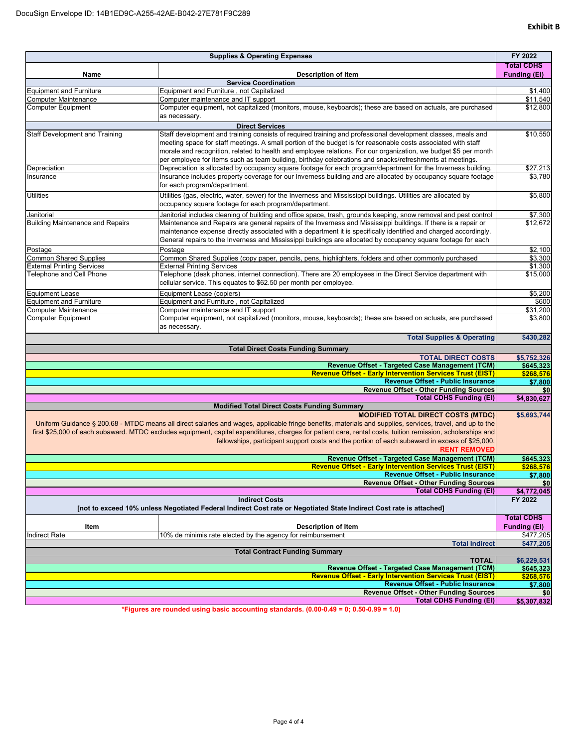| <b>Supplies &amp; Operating Expenses</b>                                                                            |                                                                                                                                                             |                     |  |  |
|---------------------------------------------------------------------------------------------------------------------|-------------------------------------------------------------------------------------------------------------------------------------------------------------|---------------------|--|--|
|                                                                                                                     |                                                                                                                                                             | <b>Total CDHS</b>   |  |  |
| Name                                                                                                                | <b>Description of Item</b>                                                                                                                                  | <b>Funding (EI)</b> |  |  |
| <b>Equipment and Furniture</b>                                                                                      | <b>Service Coordination</b><br>Equipment and Furniture, not Capitalized                                                                                     | \$1,400             |  |  |
| Computer Maintenance                                                                                                | Computer maintenance and IT support                                                                                                                         | \$11,540            |  |  |
| <b>Computer Equipment</b>                                                                                           | Computer equipment, not capitalized (monitors, mouse, keyboards); these are based on actuals, are purchased                                                 | \$12,800            |  |  |
|                                                                                                                     | as necessary.                                                                                                                                               |                     |  |  |
|                                                                                                                     | <b>Direct Services</b>                                                                                                                                      |                     |  |  |
| Staff Development and Training                                                                                      | Staff development and training consists of required training and professional development classes, meals and                                                | \$10,550            |  |  |
|                                                                                                                     | meeting space for staff meetings. A small portion of the budget is for reasonable costs associated with staff                                               |                     |  |  |
|                                                                                                                     | morale and recognition, related to health and employee relations. For our organization, we budget \$5 per month                                             |                     |  |  |
|                                                                                                                     | per employee for items such as team building, birthday celebrations and snacks/refreshments at meetings.                                                    |                     |  |  |
| Depreciation                                                                                                        | Depreciation is allocated by occupancy square footage for each program/department for the Inverness building.                                               | \$27,213            |  |  |
| Insurance                                                                                                           | Insurance includes property coverage for our Inverness building and are allocated by occupancy square footage                                               | \$3,780             |  |  |
|                                                                                                                     | for each program/department.                                                                                                                                |                     |  |  |
| Utilities                                                                                                           | Utilities (gas, electric, water, sewer) for the Inverness and Mississippi buildings. Utilities are allocated by                                             | \$5,800             |  |  |
|                                                                                                                     | occupancy square footage for each program/department.                                                                                                       |                     |  |  |
| Janitorial                                                                                                          | Janitorial includes cleaning of building and office space, trash, grounds keeping, snow removal and pest control                                            | \$7,300             |  |  |
| <b>Building Maintenance and Repairs</b>                                                                             | Maintenance and Repairs are general repairs of the Inverness and Mississippi buildings. If there is a repair or                                             | \$12,672            |  |  |
|                                                                                                                     | maintenance expense directly associated with a department it is specifically identified and charged accordingly.                                            |                     |  |  |
|                                                                                                                     | General repairs to the Inverness and Mississippi buildings are allocated by occupancy square footage for each                                               |                     |  |  |
| Postage                                                                                                             | Postage                                                                                                                                                     | \$2,100             |  |  |
| <b>Common Shared Supplies</b>                                                                                       | Common Shared Supplies (copy paper, pencils, pens, highlighters, folders and other commonly purchased                                                       | \$3.300             |  |  |
| <b>External Printing Services</b>                                                                                   | <b>External Printing Services</b>                                                                                                                           | \$1,300             |  |  |
| Telephone and Cell Phone                                                                                            | Telephone (desk phones, internet connection). There are 20 employees in the Direct Service department with                                                  | \$15,000            |  |  |
|                                                                                                                     | cellular service. This equates to \$62.50 per month per employee.                                                                                           |                     |  |  |
| <b>Equipment Lease</b>                                                                                              | Equipment Lease (copiers)                                                                                                                                   | \$5.200             |  |  |
| <b>Equipment and Furniture</b>                                                                                      | Equipment and Furniture, not Capitalized                                                                                                                    | \$600               |  |  |
| Computer Maintenance                                                                                                | Computer maintenance and IT support                                                                                                                         | \$31,200            |  |  |
| Computer Equipment                                                                                                  | Computer equipment, not capitalized (monitors, mouse, keyboards); these are based on actuals, are purchased                                                 | \$3,800             |  |  |
|                                                                                                                     | as necessary.                                                                                                                                               |                     |  |  |
|                                                                                                                     | <b>Total Supplies &amp; Operating</b>                                                                                                                       | \$430,282           |  |  |
|                                                                                                                     | <b>Total Direct Costs Funding Summary</b>                                                                                                                   |                     |  |  |
|                                                                                                                     | <b>TOTAL DIRECT COSTS</b>                                                                                                                                   | \$5,752,326         |  |  |
|                                                                                                                     | Revenue Offset - Targeted Case Management (TCM)                                                                                                             | \$645,323           |  |  |
|                                                                                                                     | <b>Revenue Offset - Early Intervention Services Trust (EIST)</b>                                                                                            | \$268,576           |  |  |
|                                                                                                                     | <b>Revenue Offset - Public Insurance</b>                                                                                                                    | \$7,800             |  |  |
|                                                                                                                     | <b>Revenue Offset - Other Funding Sources</b><br><b>Total CDHS Funding (EI)</b>                                                                             | \$0<br>\$4,830,627  |  |  |
|                                                                                                                     | <b>Modified Total Direct Costs Funding Summary</b>                                                                                                          |                     |  |  |
|                                                                                                                     | <b>MODIFIED TOTAL DIRECT COSTS (MTDC)</b>                                                                                                                   | \$5,693,744         |  |  |
|                                                                                                                     | Uniform Guidance § 200.68 - MTDC means all direct salaries and wages, applicable fringe benefits, materials and supplies, services, travel, and up to the   |                     |  |  |
|                                                                                                                     | first \$25,000 of each subaward. MTDC excludes equipment, capital expenditures, charges for patient care, rental costs, tuition remission, scholarships and |                     |  |  |
|                                                                                                                     | fellowships, participant support costs and the portion of each subaward in excess of \$25,000.                                                              |                     |  |  |
|                                                                                                                     | <b>RENT REMOVED</b>                                                                                                                                         |                     |  |  |
|                                                                                                                     | Revenue Offset - Targeted Case Management (TCM)                                                                                                             | \$645,323           |  |  |
|                                                                                                                     | <b>Revenue Offset - Early Intervention Services Trust (EIST)</b>                                                                                            | \$268.576           |  |  |
|                                                                                                                     | <b>Revenue Offset - Public Insurance</b>                                                                                                                    | \$7,800             |  |  |
|                                                                                                                     | <b>Revenue Offset - Other Funding Sources</b>                                                                                                               | \$0                 |  |  |
|                                                                                                                     | <b>Total CDHS Funding (EI)</b>                                                                                                                              | \$4,772,045         |  |  |
|                                                                                                                     | <b>Indirect Costs</b>                                                                                                                                       | FY 2022             |  |  |
| [not to exceed 10% unless Negotiated Federal Indirect Cost rate or Negotiated State Indirect Cost rate is attached] |                                                                                                                                                             |                     |  |  |
|                                                                                                                     |                                                                                                                                                             | <b>Total CDHS</b>   |  |  |
| Item                                                                                                                | <b>Description of Item</b>                                                                                                                                  | <b>Funding (EI)</b> |  |  |
| <b>Indirect Rate</b>                                                                                                | 10% de minimis rate elected by the agency for reimbursement                                                                                                 | \$477,205           |  |  |
|                                                                                                                     | <b>Total Indirect</b>                                                                                                                                       | \$477,205           |  |  |
|                                                                                                                     | <b>Total Contract Funding Summary</b><br><b>TOTAL</b>                                                                                                       | \$6,229,531         |  |  |
|                                                                                                                     | Revenue Offset - Targeted Case Management (TCM)                                                                                                             | \$645,323           |  |  |
|                                                                                                                     | <b>Revenue Offset - Early Intervention Services Trust (EIST)</b>                                                                                            | \$268,576           |  |  |
|                                                                                                                     | <b>Revenue Offset - Public Insurance</b>                                                                                                                    | \$7,800             |  |  |
|                                                                                                                     | <b>Revenue Offset - Other Funding Sources</b>                                                                                                               | \$0                 |  |  |
|                                                                                                                     | <b>Total CDHS Funding (EI)</b>                                                                                                                              | \$5,307,832         |  |  |

**\*Figures are rounded using basic accounting standards. (0.00-0.49 = 0; 0.50-0.99 = 1.0)**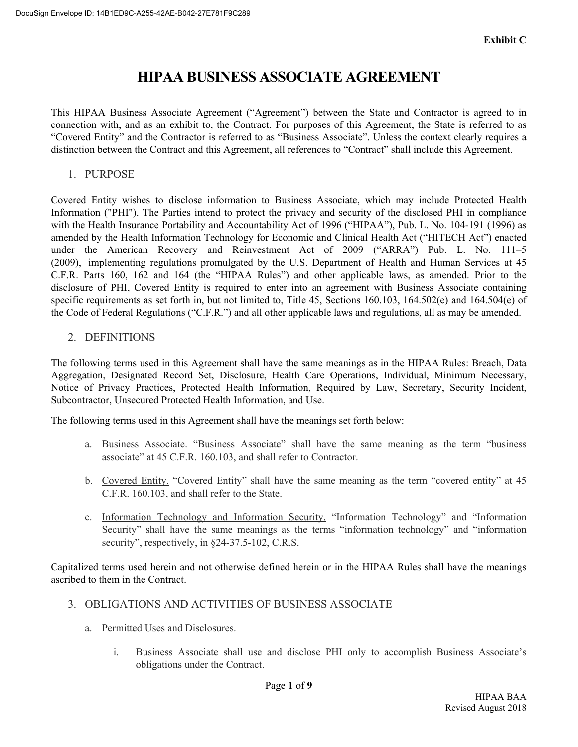# **HIPAA BUSINESS ASSOCIATE AGREEMENT**

This HIPAA Business Associate Agreement ("Agreement") between the State and Contractor is agreed to in connection with, and as an exhibit to, the Contract. For purposes of this Agreement, the State is referred to as "Covered Entity" and the Contractor is referred to as "Business Associate". Unless the context clearly requires a distinction between the Contract and this Agreement, all references to "Contract" shall include this Agreement.

1. PURPOSE

Covered Entity wishes to disclose information to Business Associate, which may include Protected Health Information ("PHI"). The Parties intend to protect the privacy and security of the disclosed PHI in compliance with the Health Insurance Portability and Accountability Act of 1996 ("HIPAA"), Pub. L. No. 104-191 (1996) as amended by the Health Information Technology for Economic and Clinical Health Act ("HITECH Act") enacted under the American Recovery and Reinvestment Act of 2009 ("ARRA") Pub. L. No. 111–5 (2009), implementing regulations promulgated by the U.S. Department of Health and Human Services at 45 C.F.R. Parts 160, 162 and 164 (the "HIPAA Rules") and other applicable laws, as amended. Prior to the disclosure of PHI, Covered Entity is required to enter into an agreement with Business Associate containing specific requirements as set forth in, but not limited to, Title 45, Sections 160.103, 164.502(e) and 164.504(e) of the Code of Federal Regulations ("C.F.R.") and all other applicable laws and regulations, all as may be amended.

2. DEFINITIONS

The following terms used in this Agreement shall have the same meanings as in the HIPAA Rules: Breach, Data Aggregation, Designated Record Set, Disclosure, Health Care Operations, Individual, Minimum Necessary, Notice of Privacy Practices, Protected Health Information, Required by Law, Secretary, Security Incident, Subcontractor, Unsecured Protected Health Information, and Use.

The following terms used in this Agreement shall have the meanings set forth below:

- a. Business Associate. "Business Associate" shall have the same meaning as the term "business associate" at 45 C.F.R. 160.103, and shall refer to Contractor.
- b. Covered Entity. "Covered Entity" shall have the same meaning as the term "covered entity" at 45 C.F.R. 160.103, and shall refer to the State.
- c. Information Technology and Information Security. "Information Technology" and "Information Security" shall have the same meanings as the terms "information technology" and "information security", respectively, in  $§24-37.5-102$ , C.R.S.

Capitalized terms used herein and not otherwise defined herein or in the HIPAA Rules shall have the meanings ascribed to them in the Contract.

- 3. OBLIGATIONS AND ACTIVITIES OF BUSINESS ASSOCIATE
	- a. Permitted Uses and Disclosures.
		- i. Business Associate shall use and disclose PHI only to accomplish Business Associate's obligations under the Contract.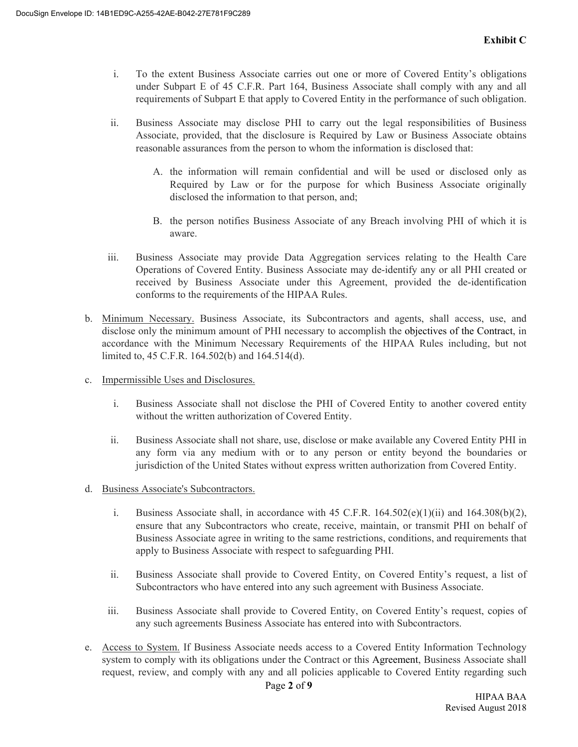- i. To the extent Business Associate carries out one or more of Covered Entity's obligations under Subpart E of 45 C.F.R. Part 164, Business Associate shall comply with any and all requirements of Subpart E that apply to Covered Entity in the performance of such obligation.
- ii. Business Associate may disclose PHI to carry out the legal responsibilities of Business Associate, provided, that the disclosure is Required by Law or Business Associate obtains reasonable assurances from the person to whom the information is disclosed that:
	- A. the information will remain confidential and will be used or disclosed only as Required by Law or for the purpose for which Business Associate originally disclosed the information to that person, and;
	- B. the person notifies Business Associate of any Breach involving PHI of which it is aware.
- iii. Business Associate may provide Data Aggregation services relating to the Health Care Operations of Covered Entity. Business Associate may de-identify any or all PHI created or received by Business Associate under this Agreement, provided the de-identification conforms to the requirements of the HIPAA Rules.
- b. Minimum Necessary. Business Associate, its Subcontractors and agents, shall access, use, and disclose only the minimum amount of PHI necessary to accomplish the objectives of the Contract, in accordance with the Minimum Necessary Requirements of the HIPAA Rules including, but not limited to, 45 C.F.R. 164.502(b) and 164.514(d).
- c. Impermissible Uses and Disclosures.
	- i. Business Associate shall not disclose the PHI of Covered Entity to another covered entity without the written authorization of Covered Entity.
	- ii. Business Associate shall not share, use, disclose or make available any Covered Entity PHI in any form via any medium with or to any person or entity beyond the boundaries or jurisdiction of the United States without express written authorization from Covered Entity.
- d. Business Associate's Subcontractors.
	- i. Business Associate shall, in accordance with 45 C.F.R.  $164.502(e)(1)(ii)$  and  $164.308(b)(2)$ , ensure that any Subcontractors who create, receive, maintain, or transmit PHI on behalf of Business Associate agree in writing to the same restrictions, conditions, and requirements that apply to Business Associate with respect to safeguarding PHI.
	- ii. Business Associate shall provide to Covered Entity, on Covered Entity's request, a list of Subcontractors who have entered into any such agreement with Business Associate.
	- iii. Business Associate shall provide to Covered Entity, on Covered Entity's request, copies of any such agreements Business Associate has entered into with Subcontractors.
- e. Access to System. If Business Associate needs access to a Covered Entity Information Technology system to comply with its obligations under the Contract or this Agreement, Business Associate shall request, review, and comply with any and all policies applicable to Covered Entity regarding such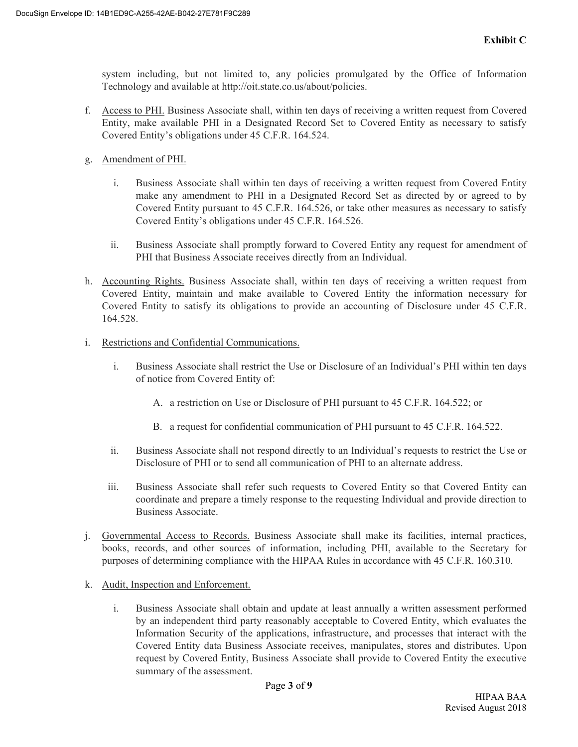system including, but not limited to, any policies promulgated by the Office of Information Technology and available at http://oit.state.co.us/about/policies.

- f. Access to PHI. Business Associate shall, within ten days of receiving a written request from Covered Entity, make available PHI in a Designated Record Set to Covered Entity as necessary to satisfy Covered Entity's obligations under 45 C.F.R. 164.524.
- g. Amendment of PHI.
	- i. Business Associate shall within ten days of receiving a written request from Covered Entity make any amendment to PHI in a Designated Record Set as directed by or agreed to by Covered Entity pursuant to 45 C.F.R. 164.526, or take other measures as necessary to satisfy Covered Entity's obligations under 45 C.F.R. 164.526.
	- ii. Business Associate shall promptly forward to Covered Entity any request for amendment of PHI that Business Associate receives directly from an Individual.
- h. Accounting Rights. Business Associate shall, within ten days of receiving a written request from Covered Entity, maintain and make available to Covered Entity the information necessary for Covered Entity to satisfy its obligations to provide an accounting of Disclosure under 45 C.F.R. 164.528.
- i. Restrictions and Confidential Communications.
	- i. Business Associate shall restrict the Use or Disclosure of an Individual's PHI within ten days of notice from Covered Entity of:
		- A. a restriction on Use or Disclosure of PHI pursuant to 45 C.F.R. 164.522; or
		- B. a request for confidential communication of PHI pursuant to 45 C.F.R. 164.522.
	- ii. Business Associate shall not respond directly to an Individual's requests to restrict the Use or Disclosure of PHI or to send all communication of PHI to an alternate address.
	- iii. Business Associate shall refer such requests to Covered Entity so that Covered Entity can coordinate and prepare a timely response to the requesting Individual and provide direction to Business Associate.
- j. Governmental Access to Records. Business Associate shall make its facilities, internal practices, books, records, and other sources of information, including PHI, available to the Secretary for purposes of determining compliance with the HIPAA Rules in accordance with 45 C.F.R. 160.310.
- k. Audit, Inspection and Enforcement.
	- i. Business Associate shall obtain and update at least annually a written assessment performed by an independent third party reasonably acceptable to Covered Entity, which evaluates the Information Security of the applications, infrastructure, and processes that interact with the Covered Entity data Business Associate receives, manipulates, stores and distributes. Upon request by Covered Entity, Business Associate shall provide to Covered Entity the executive summary of the assessment.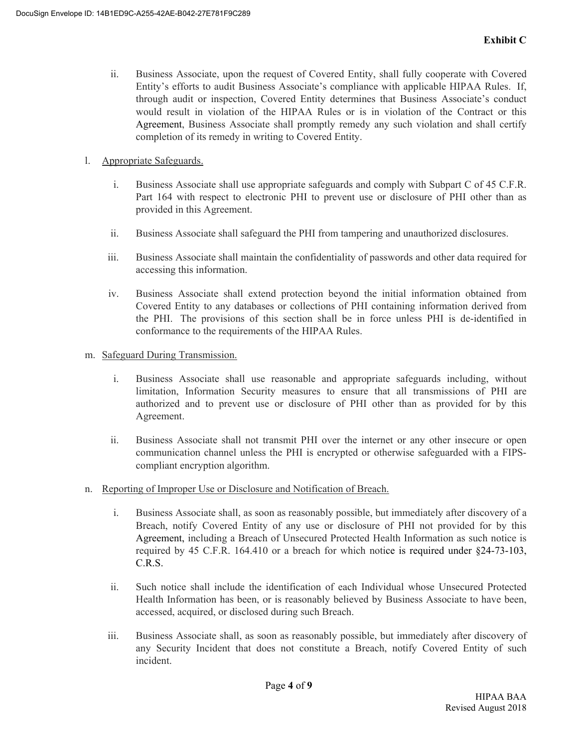- ii. Business Associate, upon the request of Covered Entity, shall fully cooperate with Covered Entity's efforts to audit Business Associate's compliance with applicable HIPAA Rules. If, through audit or inspection, Covered Entity determines that Business Associate's conduct would result in violation of the HIPAA Rules or is in violation of the Contract or this Agreement, Business Associate shall promptly remedy any such violation and shall certify completion of its remedy in writing to Covered Entity.
- l. Appropriate Safeguards.
	- i. Business Associate shall use appropriate safeguards and comply with Subpart C of 45 C.F.R. Part 164 with respect to electronic PHI to prevent use or disclosure of PHI other than as provided in this Agreement.
	- ii. Business Associate shall safeguard the PHI from tampering and unauthorized disclosures.
	- iii. Business Associate shall maintain the confidentiality of passwords and other data required for accessing this information.
	- iv. Business Associate shall extend protection beyond the initial information obtained from Covered Entity to any databases or collections of PHI containing information derived from the PHI. The provisions of this section shall be in force unless PHI is de-identified in conformance to the requirements of the HIPAA Rules.
- m. Safeguard During Transmission.
	- i. Business Associate shall use reasonable and appropriate safeguards including, without limitation, Information Security measures to ensure that all transmissions of PHI are authorized and to prevent use or disclosure of PHI other than as provided for by this Agreement.
	- ii. Business Associate shall not transmit PHI over the internet or any other insecure or open communication channel unless the PHI is encrypted or otherwise safeguarded with a FIPScompliant encryption algorithm.
- n. Reporting of Improper Use or Disclosure and Notification of Breach.
	- i. Business Associate shall, as soon as reasonably possible, but immediately after discovery of a Breach, notify Covered Entity of any use or disclosure of PHI not provided for by this Agreement, including a Breach of Unsecured Protected Health Information as such notice is required by 45 C.F.R. 164.410 or a breach for which notice is required under §24-73-103, C.R.S.
	- ii. Such notice shall include the identification of each Individual whose Unsecured Protected Health Information has been, or is reasonably believed by Business Associate to have been, accessed, acquired, or disclosed during such Breach.
	- iii. Business Associate shall, as soon as reasonably possible, but immediately after discovery of any Security Incident that does not constitute a Breach, notify Covered Entity of such incident.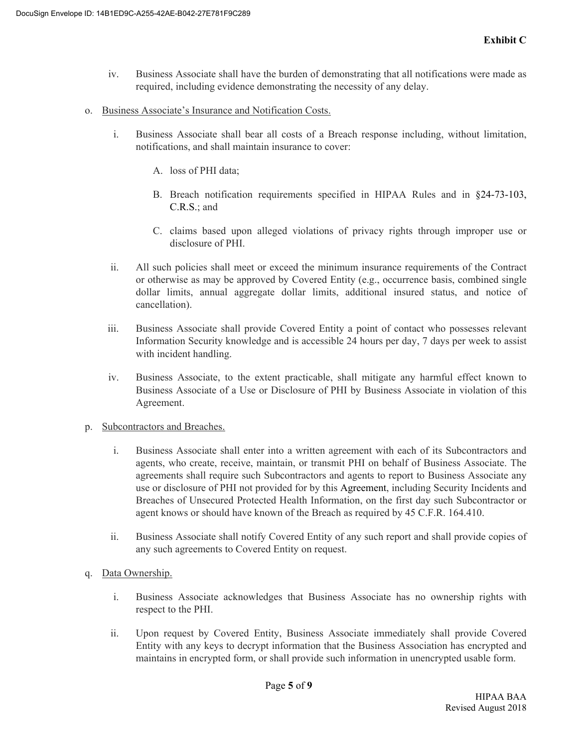- iv. Business Associate shall have the burden of demonstrating that all notifications were made as required, including evidence demonstrating the necessity of any delay.
- o. Business Associate's Insurance and Notification Costs.
	- i. Business Associate shall bear all costs of a Breach response including, without limitation, notifications, and shall maintain insurance to cover:
		- A. loss of PHI data;
		- B. Breach notification requirements specified in HIPAA Rules and in §24-73-103, C.R.S.; and
		- C. claims based upon alleged violations of privacy rights through improper use or disclosure of PHI.
	- ii. All such policies shall meet or exceed the minimum insurance requirements of the Contract or otherwise as may be approved by Covered Entity (e.g., occurrence basis, combined single dollar limits, annual aggregate dollar limits, additional insured status, and notice of cancellation).
	- iii. Business Associate shall provide Covered Entity a point of contact who possesses relevant Information Security knowledge and is accessible 24 hours per day, 7 days per week to assist with incident handling.
	- iv. Business Associate, to the extent practicable, shall mitigate any harmful effect known to Business Associate of a Use or Disclosure of PHI by Business Associate in violation of this Agreement.
- p. Subcontractors and Breaches.
	- i. Business Associate shall enter into a written agreement with each of its Subcontractors and agents, who create, receive, maintain, or transmit PHI on behalf of Business Associate. The agreements shall require such Subcontractors and agents to report to Business Associate any use or disclosure of PHI not provided for by this Agreement, including Security Incidents and Breaches of Unsecured Protected Health Information, on the first day such Subcontractor or agent knows or should have known of the Breach as required by 45 C.F.R. 164.410.
	- ii. Business Associate shall notify Covered Entity of any such report and shall provide copies of any such agreements to Covered Entity on request.
- q. Data Ownership.
	- i. Business Associate acknowledges that Business Associate has no ownership rights with respect to the PHI.
	- ii. Upon request by Covered Entity, Business Associate immediately shall provide Covered Entity with any keys to decrypt information that the Business Association has encrypted and maintains in encrypted form, or shall provide such information in unencrypted usable form.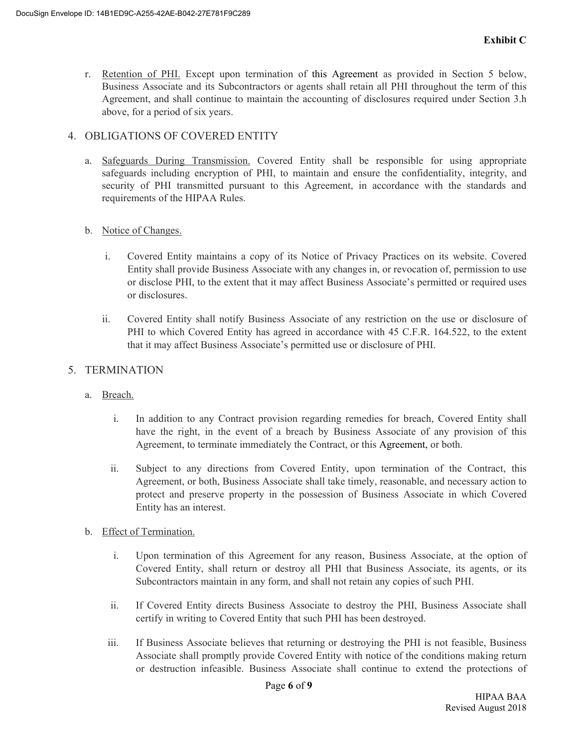r. Retention of PHI. Except upon termination of this Agreement as provided in Section 5 below, Business Associate and its Subcontractors or agents shall retain all PHI throughout the term of this Agreement, and shall continue to maintain the accounting of disclosures required under Section 3.h above, for a period of six years.

### 4. OBLIGATIONS OF COVERED ENTITY

a. Safeguards During Transmission. Covered Entity shall be responsible for using appropriate safeguards including encryption of PHI, to maintain and ensure the confidentiality, integrity, and security of PHI transmitted pursuant to this Agreement, in accordance with the standards and requirements of the HIPAA Rules.

#### b. Notice of Changes.

- i. Covered Entity maintains a copy of its Notice of Privacy Practices on its website. Covered Entity shall provide Business Associate with any changes in, or revocation of, permission to use or disclose PHI, to the extent that it may affect Business Associate's permitted or required uses or disclosures.
- ii. Covered Entity shall notify Business Associate of any restriction on the use or disclosure of PHI to which Covered Entity has agreed in accordance with 45 C.F.R. 164.522, to the extent that it may affect Business Associate's permitted use or disclosure of PHI.

## 5. TERMINATION

- a. Breach.
	- i. In addition to any Contract provision regarding remedies for breach, Covered Entity shall have the right, in the event of a breach by Business Associate of any provision of this Agreement, to terminate immediately the Contract, or this Agreement, or both.
	- ii. Subject to any directions from Covered Entity, upon termination of the Contract, this Agreement, or both, Business Associate shall take timely, reasonable, and necessary action to protect and preserve property in the possession of Business Associate in which Covered Entity has an interest.
- b. Effect of Termination.
	- i. Upon termination of this Agreement for any reason, Business Associate, at the option of Covered Entity, shall return or destroy all PHI that Business Associate, its agents, or its Subcontractors maintain in any form, and shall not retain any copies of such PHI.
	- ii. If Covered Entity directs Business Associate to destroy the PHI, Business Associate shall certify in writing to Covered Entity that such PHI has been destroyed.
	- iii. If Business Associate believes that returning or destroying the PHI is not feasible, Business Associate shall promptly provide Covered Entity with notice of the conditions making return or destruction infeasible. Business Associate shall continue to extend the protections of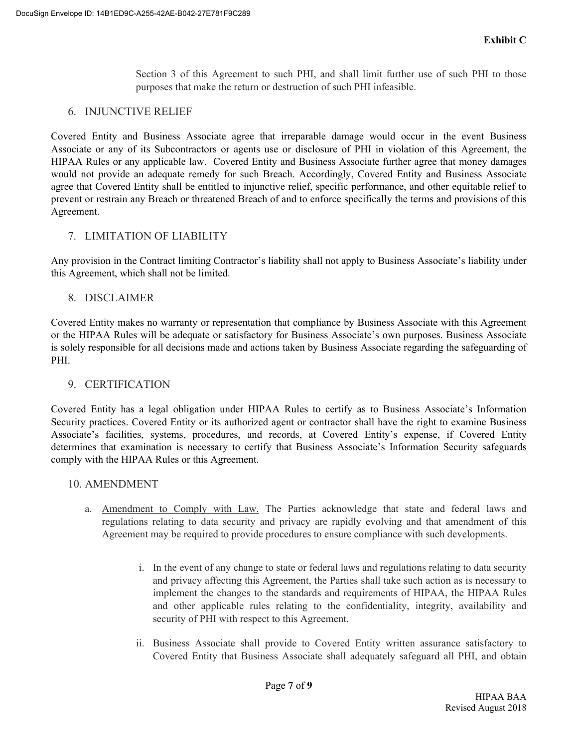Section 3 of this Agreement to such PHI, and shall limit further use of such PHI to those purposes that make the return or destruction of such PHI infeasible.

# 6. INJUNCTIVE RELIEF

Covered Entity and Business Associate agree that irreparable damage would occur in the event Business Associate or any of its Subcontractors or agents use or disclosure of PHI in violation of this Agreement, the HIPAA Rules or any applicable law. Covered Entity and Business Associate further agree that money damages would not provide an adequate remedy for such Breach. Accordingly, Covered Entity and Business Associate agree that Covered Entity shall be entitled to injunctive relief, specific performance, and other equitable relief to prevent or restrain any Breach or threatened Breach of and to enforce specifically the terms and provisions of this Agreement.

# 7. LIMITATION OF LIABILITY

Any provision in the Contract limiting Contractor's liability shall not apply to Business Associate's liability under this Agreement, which shall not be limited.

# 8. DISCLAIMER

Covered Entity makes no warranty or representation that compliance by Business Associate with this Agreement or the HIPAA Rules will be adequate or satisfactory for Business Associate's own purposes. Business Associate is solely responsible for all decisions made and actions taken by Business Associate regarding the safeguarding of PHI.

# 9. CERTIFICATION

Covered Entity has a legal obligation under HIPAA Rules to certify as to Business Associate's Information Security practices. Covered Entity or its authorized agent or contractor shall have the right to examine Business Associate's facilities, systems, procedures, and records, at Covered Entity's expense, if Covered Entity determines that examination is necessary to certify that Business Associate's Information Security safeguards comply with the HIPAA Rules or this Agreement.

# 10. AMENDMENT

- a. Amendment to Comply with Law. The Parties acknowledge that state and federal laws and regulations relating to data security and privacy are rapidly evolving and that amendment of this Agreement may be required to provide procedures to ensure compliance with such developments.
	- i. In the event of any change to state or federal laws and regulations relating to data security and privacy affecting this Agreement, the Parties shall take such action as is necessary to implement the changes to the standards and requirements of HIPAA, the HIPAA Rules and other applicable rules relating to the confidentiality, integrity, availability and security of PHI with respect to this Agreement.
	- ii. Business Associate shall provide to Covered Entity written assurance satisfactory to Covered Entity that Business Associate shall adequately safeguard all PHI, and obtain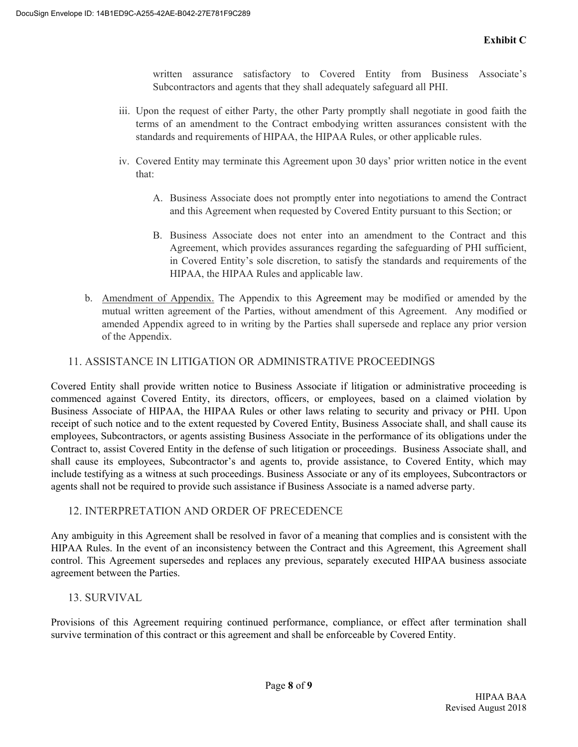written assurance satisfactory to Covered Entity from Business Associate's Subcontractors and agents that they shall adequately safeguard all PHI.

- iii. Upon the request of either Party, the other Party promptly shall negotiate in good faith the terms of an amendment to the Contract embodying written assurances consistent with the standards and requirements of HIPAA, the HIPAA Rules, or other applicable rules.
- iv. Covered Entity may terminate this Agreement upon 30 days' prior written notice in the event that:
	- A. Business Associate does not promptly enter into negotiations to amend the Contract and this Agreement when requested by Covered Entity pursuant to this Section; or
	- B. Business Associate does not enter into an amendment to the Contract and this Agreement, which provides assurances regarding the safeguarding of PHI sufficient, in Covered Entity's sole discretion, to satisfy the standards and requirements of the HIPAA, the HIPAA Rules and applicable law.
- b. Amendment of Appendix. The Appendix to this Agreement may be modified or amended by the mutual written agreement of the Parties, without amendment of this Agreement. Any modified or amended Appendix agreed to in writing by the Parties shall supersede and replace any prior version of the Appendix.

# 11. ASSISTANCE IN LITIGATION OR ADMINISTRATIVE PROCEEDINGS

Covered Entity shall provide written notice to Business Associate if litigation or administrative proceeding is commenced against Covered Entity, its directors, officers, or employees, based on a claimed violation by Business Associate of HIPAA, the HIPAA Rules or other laws relating to security and privacy or PHI. Upon receipt of such notice and to the extent requested by Covered Entity, Business Associate shall, and shall cause its employees, Subcontractors, or agents assisting Business Associate in the performance of its obligations under the Contract to, assist Covered Entity in the defense of such litigation or proceedings. Business Associate shall, and shall cause its employees, Subcontractor's and agents to, provide assistance, to Covered Entity, which may include testifying as a witness at such proceedings. Business Associate or any of its employees, Subcontractors or agents shall not be required to provide such assistance if Business Associate is a named adverse party.

#### 12. INTERPRETATION AND ORDER OF PRECEDENCE

Any ambiguity in this Agreement shall be resolved in favor of a meaning that complies and is consistent with the HIPAA Rules. In the event of an inconsistency between the Contract and this Agreement, this Agreement shall control. This Agreement supersedes and replaces any previous, separately executed HIPAA business associate agreement between the Parties.

# 13. SURVIVAL

Provisions of this Agreement requiring continued performance, compliance, or effect after termination shall survive termination of this contract or this agreement and shall be enforceable by Covered Entity.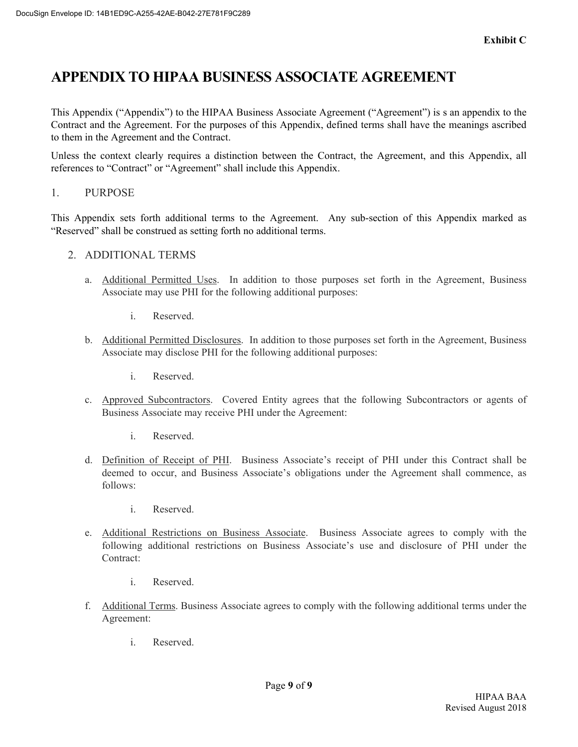# **APPENDIX TO HIPAA BUSINESS ASSOCIATE AGREEMENT**

This Appendix ("Appendix") to the HIPAA Business Associate Agreement ("Agreement") is s an appendix to the Contract and the Agreement. For the purposes of this Appendix, defined terms shall have the meanings ascribed to them in the Agreement and the Contract.

Unless the context clearly requires a distinction between the Contract, the Agreement, and this Appendix, all references to "Contract" or "Agreement" shall include this Appendix.

1. PURPOSE

This Appendix sets forth additional terms to the Agreement. Any sub-section of this Appendix marked as "Reserved" shall be construed as setting forth no additional terms.

- 2. ADDITIONAL TERMS
	- a. Additional Permitted Uses. In addition to those purposes set forth in the Agreement, Business Associate may use PHI for the following additional purposes:
		- i. Reserved.
	- b. Additional Permitted Disclosures. In addition to those purposes set forth in the Agreement, Business Associate may disclose PHI for the following additional purposes:
		- i. Reserved.
	- c. Approved Subcontractors. Covered Entity agrees that the following Subcontractors or agents of Business Associate may receive PHI under the Agreement:
		- i. Reserved.
	- d. Definition of Receipt of PHI. Business Associate's receipt of PHI under this Contract shall be deemed to occur, and Business Associate's obligations under the Agreement shall commence, as follows:
		- i. Reserved.
	- e. Additional Restrictions on Business Associate. Business Associate agrees to comply with the following additional restrictions on Business Associate's use and disclosure of PHI under the Contract:
		- i. Reserved.
	- f. Additional Terms. Business Associate agrees to comply with the following additional terms under the Agreement:
		- i. Reserved.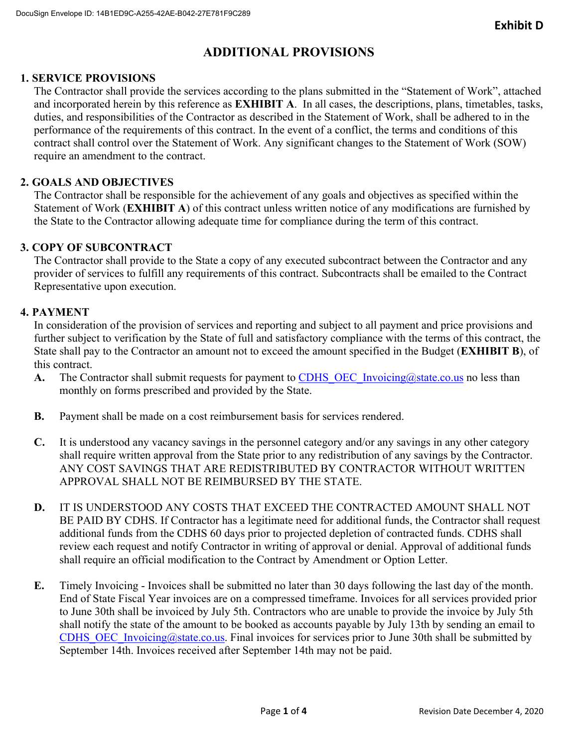# **ADDITIONAL PROVISIONS**

# **1. SERVICE PROVISIONS**

The Contractor shall provide the services according to the plans submitted in the "Statement of Work", attached and incorporated herein by this reference as **EXHIBIT A**. In all cases, the descriptions, plans, timetables, tasks, duties, and responsibilities of the Contractor as described in the Statement of Work, shall be adhered to in the performance of the requirements of this contract. In the event of a conflict, the terms and conditions of this contract shall control over the Statement of Work. Any significant changes to the Statement of Work (SOW) require an amendment to the contract.

# **2. GOALS AND OBJECTIVES**

The Contractor shall be responsible for the achievement of any goals and objectives as specified within the Statement of Work (**EXHIBIT A**) of this contract unless written notice of any modifications are furnished by the State to the Contractor allowing adequate time for compliance during the term of this contract.

# **3. COPY OF SUBCONTRACT**

The Contractor shall provide to the State a copy of any executed subcontract between the Contractor and any provider of services to fulfill any requirements of this contract. Subcontracts shall be emailed to the Contract Representative upon execution.

# **4. PAYMENT**

In consideration of the provision of services and reporting and subject to all payment and price provisions and further subject to verification by the State of full and satisfactory compliance with the terms of this contract, the State shall pay to the Contractor an amount not to exceed the amount specified in the Budget (**EXHIBIT B**), of this contract.

- **A.** The Contractor shall submit requests for payment to CDHS OEC Invoicing@state.co.us no less than monthly on forms prescribed and provided by the State.
- **B.** Payment shall be made on a cost reimbursement basis for services rendered.
- **C.** It is understood any vacancy savings in the personnel category and/or any savings in any other category shall require written approval from the State prior to any redistribution of any savings by the Contractor. ANY COST SAVINGS THAT ARE REDISTRIBUTED BY CONTRACTOR WITHOUT WRITTEN APPROVAL SHALL NOT BE REIMBURSED BY THE STATE.
- **D.** IT IS UNDERSTOOD ANY COSTS THAT EXCEED THE CONTRACTED AMOUNT SHALL NOT BE PAID BY CDHS. If Contractor has a legitimate need for additional funds, the Contractor shall request additional funds from the CDHS 60 days prior to projected depletion of contracted funds. CDHS shall review each request and notify Contractor in writing of approval or denial. Approval of additional funds shall require an official modification to the Contract by Amendment or Option Letter.
- **E.** Timely Invoicing Invoices shall be submitted no later than 30 days following the last day of the month. End of State Fiscal Year invoices are on a compressed timeframe. Invoices for all services provided prior to June 30th shall be invoiced by July 5th. Contractors who are unable to provide the invoice by July 5th shall notify the state of the amount to be booked as accounts payable by July 13th by sending an email to CDHS\_OEC\_Invoicing@state.co.us. Final invoices for services prior to June 30th shall be submitted by September 14th. Invoices received after September 14th may not be paid.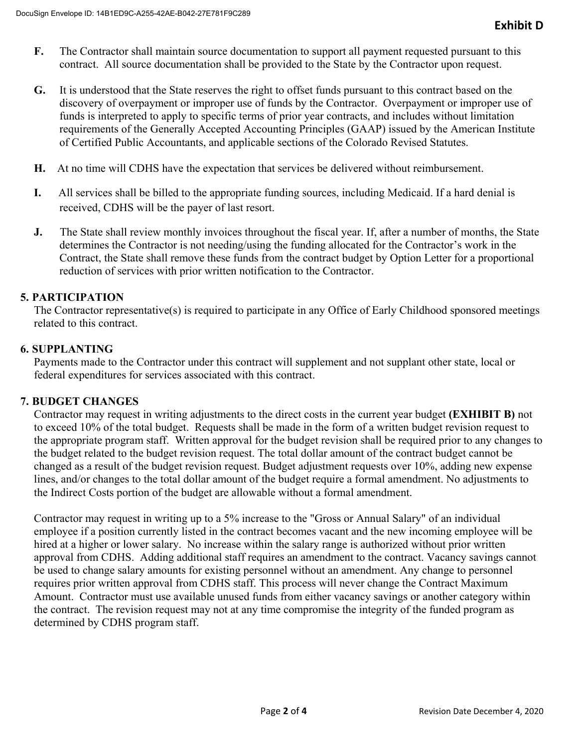- **F.** The Contractor shall maintain source documentation to support all payment requested pursuant to this contract. All source documentation shall be provided to the State by the Contractor upon request.
- **G.** It is understood that the State reserves the right to offset funds pursuant to this contract based on the discovery of overpayment or improper use of funds by the Contractor. Overpayment or improper use of funds is interpreted to apply to specific terms of prior year contracts, and includes without limitation requirements of the Generally Accepted Accounting Principles (GAAP) issued by the American Institute of Certified Public Accountants, and applicable sections of the Colorado Revised Statutes.
- **H.** At no time will CDHS have the expectation that services be delivered without reimbursement.
- **I.** All services shall be billed to the appropriate funding sources, including Medicaid. If a hard denial is received, CDHS will be the payer of last resort.
- **J.** The State shall review monthly invoices throughout the fiscal year. If, after a number of months, the State determines the Contractor is not needing/using the funding allocated for the Contractor's work in the Contract, the State shall remove these funds from the contract budget by Option Letter for a proportional reduction of services with prior written notification to the Contractor.

# **5. PARTICIPATION**

The Contractor representative(s) is required to participate in any Office of Early Childhood sponsored meetings related to this contract.

## **6. SUPPLANTING**

Payments made to the Contractor under this contract will supplement and not supplant other state, local or federal expenditures for services associated with this contract.

#### **7. BUDGET CHANGES**

Contractor may request in writing adjustments to the direct costs in the current year budget **(EXHIBIT B)** not to exceed 10% of the total budget. Requests shall be made in the form of a written budget revision request to the appropriate program staff. Written approval for the budget revision shall be required prior to any changes to the budget related to the budget revision request. The total dollar amount of the contract budget cannot be changed as a result of the budget revision request. Budget adjustment requests over 10%, adding new expense lines, and/or changes to the total dollar amount of the budget require a formal amendment. No adjustments to the Indirect Costs portion of the budget are allowable without a formal amendment.

Contractor may request in writing up to a 5% increase to the "Gross or Annual Salary" of an individual employee if a position currently listed in the contract becomes vacant and the new incoming employee will be hired at a higher or lower salary. No increase within the salary range is authorized without prior written approval from CDHS. Adding additional staff requires an amendment to the contract. Vacancy savings cannot be used to change salary amounts for existing personnel without an amendment. Any change to personnel requires prior written approval from CDHS staff. This process will never change the Contract Maximum Amount. Contractor must use available unused funds from either vacancy savings or another category within the contract. The revision request may not at any time compromise the integrity of the funded program as determined by CDHS program staff.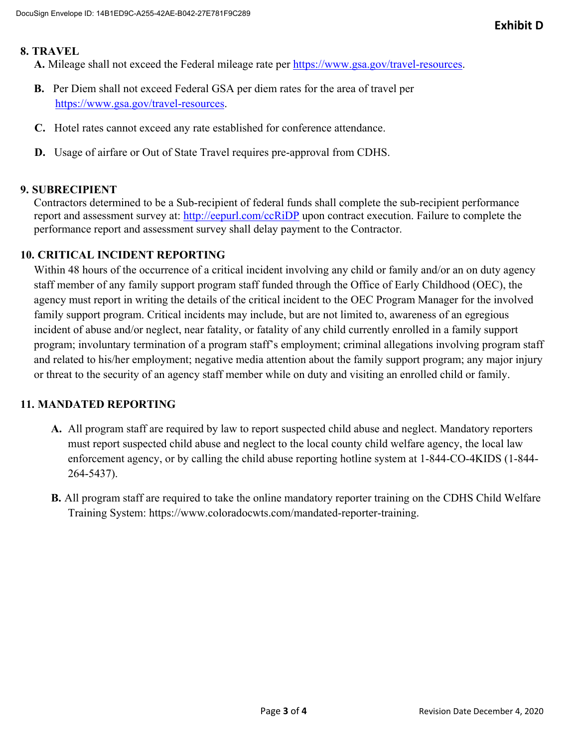#### **8. TRAVEL**

**A.** Mileage shall not exceed the Federal mileage rate per https://www.gsa.gov/travel-resources.

- **B.** Per Diem shall not exceed Federal GSA per diem rates for the area of travel per https://www.gsa.gov/travel-resources.
- **C.** Hotel rates cannot exceed any rate established for conference attendance.
- **D.** Usage of airfare or Out of State Travel requires pre-approval from CDHS.

### **9. SUBRECIPIENT**

Contractors determined to be a Sub-recipient of federal funds shall complete the sub-recipient performance report and assessment survey at: http://eepurl.com/ccRiDP upon contract execution. Failure to complete the performance report and assessment survey shall delay payment to the Contractor.

## **10. CRITICAL INCIDENT REPORTING**

Within 48 hours of the occurrence of a critical incident involving any child or family and/or an on duty agency staff member of any family support program staff funded through the Office of Early Childhood (OEC), the agency must report in writing the details of the critical incident to the OEC Program Manager for the involved family support program. Critical incidents may include, but are not limited to, awareness of an egregious incident of abuse and/or neglect, near fatality, or fatality of any child currently enrolled in a family support program; involuntary termination of a program staff's employment; criminal allegations involving program staff and related to his/her employment; negative media attention about the family support program; any major injury or threat to the security of an agency staff member while on duty and visiting an enrolled child or family.

# **11. MANDATED REPORTING**

- **A.** All program staff are required by law to report suspected child abuse and neglect. Mandatory reporters must report suspected child abuse and neglect to the local county child welfare agency, the local law enforcement agency, or by calling the child abuse reporting hotline system at 1-844-CO-4KIDS (1-844- 264-5437).
- **B.** All program staff are required to take the online mandatory reporter training on the CDHS Child Welfare Training System: https://www.coloradocwts.com/mandated-reporter-training.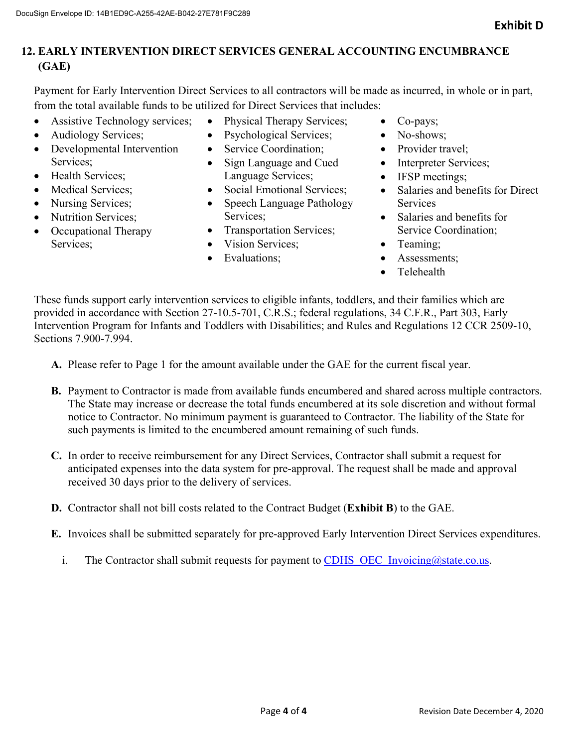# **12. EARLY INTERVENTION DIRECT SERVICES GENERAL ACCOUNTING ENCUMBRANCE (GAE)**

Payment for Early Intervention Direct Services to all contractors will be made as incurred, in whole or in part, from the total available funds to be utilized for Direct Services that includes:

- Assistive Technology services;
- Audiology Services;
- Developmental Intervention Services;
- Health Services;
- Medical Services:
- Nursing Services;
- Nutrition Services;
- Occupational Therapy Services;
- Physical Therapy Services;
- Psychological Services;
- Service Coordination:
- Sign Language and Cued Language Services;
- Social Emotional Services;
- Speech Language Pathology Services;
- Transportation Services;
- Vision Services:
- Evaluations:
- Co-pays;
- No-shows;
- Provider travel:
- Interpreter Services;
- IFSP meetings;
- Salaries and benefits for Direct **Services**
- Salaries and benefits for Service Coordination;
- Teaming:
- Assessments;
- **•** Telehealth

These funds support early intervention services to eligible infants, toddlers, and their families which are provided in accordance with Section 27-10.5-701, C.R.S.; federal regulations, 34 C.F.R., Part 303, Early Intervention Program for Infants and Toddlers with Disabilities; and Rules and Regulations 12 CCR 2509-10, Sections 7.900-7.994.

- **A.** Please refer to Page 1 for the amount available under the GAE for the current fiscal year.
- **B.** Payment to Contractor is made from available funds encumbered and shared across multiple contractors. The State may increase or decrease the total funds encumbered at its sole discretion and without formal notice to Contractor. No minimum payment is guaranteed to Contractor. The liability of the State for such payments is limited to the encumbered amount remaining of such funds.
- **C.** In order to receive reimbursement for any Direct Services, Contractor shall submit a request for anticipated expenses into the data system for pre-approval. The request shall be made and approval received 30 days prior to the delivery of services.
- **D.** Contractor shall not bill costs related to the Contract Budget (**Exhibit B**) to the GAE.
- **E.** Invoices shall be submitted separately for pre-approved Early Intervention Direct Services expenditures.
	- i. The Contractor shall submit requests for payment to CDHS OEC Invoicing@state.co.us.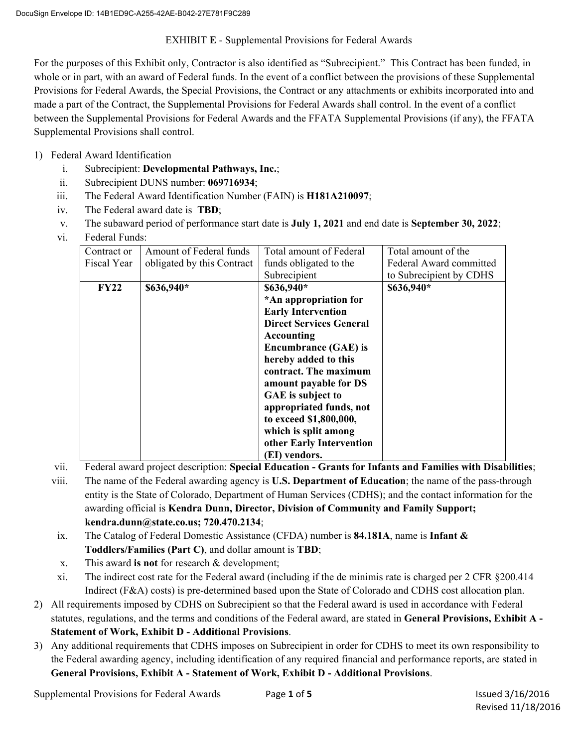#### EXHIBIT **E** - Supplemental Provisions for Federal Awards

For the purposes of this Exhibit only, Contractor is also identified as "Subrecipient." This Contract has been funded, in whole or in part, with an award of Federal funds. In the event of a conflict between the provisions of these Supplemental Provisions for Federal Awards, the Special Provisions, the Contract or any attachments or exhibits incorporated into and made a part of the Contract, the Supplemental Provisions for Federal Awards shall control. In the event of a conflict between the Supplemental Provisions for Federal Awards and the FFATA Supplemental Provisions (if any), the FFATA Supplemental Provisions shall control.

- 1) Federal Award Identification
	- i. Subrecipient: **Developmental Pathways, Inc.**;
	- ii. Subrecipient DUNS number: **069716934**;
	- iii. The Federal Award Identification Number (FAIN) is **H181A210097**;
	- iv. The Federal award date is **TBD**;
	- v. The subaward period of performance start date is **July 1, 2021** and end date is **September 30, 2022**;
	- vi. Federal Funds:

| Contract or | Amount of Federal funds    | Total amount of Federal        | Total amount of the     |
|-------------|----------------------------|--------------------------------|-------------------------|
| Fiscal Year | obligated by this Contract | funds obligated to the         | Federal Award committed |
|             |                            | Subrecipient                   | to Subrecipient by CDHS |
| <b>FY22</b> | \$636,940*                 | \$636,940*                     | \$636,940*              |
|             |                            | *An appropriation for          |                         |
|             |                            | <b>Early Intervention</b>      |                         |
|             |                            | <b>Direct Services General</b> |                         |
|             |                            | Accounting                     |                         |
|             |                            | <b>Encumbrance (GAE) is</b>    |                         |
|             |                            | hereby added to this           |                         |
|             |                            | contract. The maximum          |                         |
|             |                            | amount payable for DS          |                         |
|             |                            | GAE is subject to              |                         |
|             |                            | appropriated funds, not        |                         |
|             |                            | to exceed \$1,800,000,         |                         |
|             |                            | which is split among           |                         |
|             |                            | other Early Intervention       |                         |
|             |                            | (EI) vendors.                  |                         |

vii. Federal award project description: **Special Education - Grants for Infants and Families with Disabilities**;

- viii. The name of the Federal awarding agency is **U.S. Department of Education**; the name of the pass-through entity is the State of Colorado, Department of Human Services (CDHS); and the contact information for the awarding official is **Kendra Dunn, Director, Division of Community and Family Support; kendra.dunn@state.co.us; 720.470.2134**;
- ix. The Catalog of Federal Domestic Assistance (CFDA) number is **84.181A**, name is **Infant & Toddlers/Families (Part C)**, and dollar amount is **TBD**;
- x. This award **is not** for research & development;
- xi. The indirect cost rate for the Federal award (including if the de minimis rate is charged per 2 CFR §200.414 Indirect (F&A) costs) is pre-determined based upon the State of Colorado and CDHS cost allocation plan.
- 2) All requirements imposed by CDHS on Subrecipient so that the Federal award is used in accordance with Federal statutes, regulations, and the terms and conditions of the Federal award, are stated in **General Provisions, Exhibit A - Statement of Work, Exhibit D - Additional Provisions**.
- 3) Any additional requirements that CDHS imposes on Subrecipient in order for CDHS to meet its own responsibility to the Federal awarding agency, including identification of any required financial and performance reports, are stated in **General Provisions, Exhibit A - Statement of Work, Exhibit D - Additional Provisions**.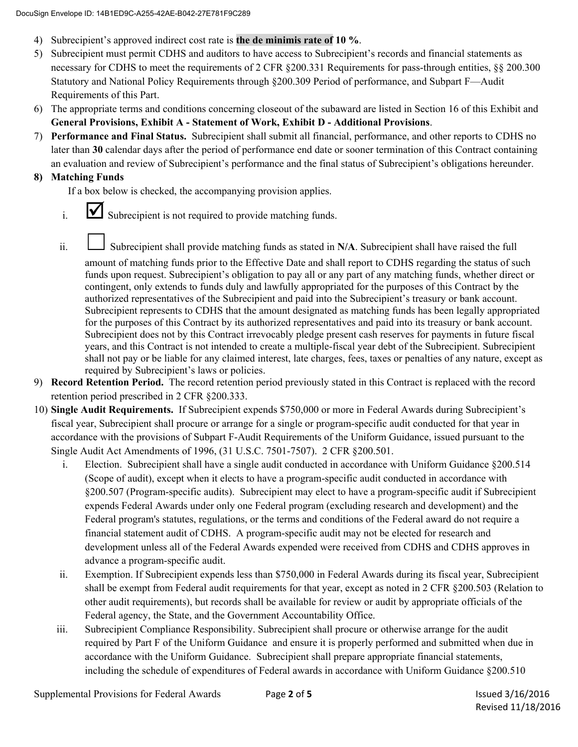- 4) Subrecipient's approved indirect cost rate is **the de minimis rate of 10 %**.
- 5) Subrecipient must permit CDHS and auditors to have access to Subrecipient's records and financial statements as necessary for CDHS to meet the requirements of 2 CFR §200.331 Requirements for pass-through entities, §§ 200.300 Statutory and National Policy Requirements through §200.309 Period of performance, and Subpart F—Audit Requirements of this Part.
- 6) The appropriate terms and conditions concerning closeout of the subaward are listed in Section 16 of this Exhibit and **General Provisions, Exhibit A - Statement of Work, Exhibit D - Additional Provisions**.
- 7) **Performance and Final Status.** Subrecipient shall submit all financial, performance, and other reports to CDHS no later than **30** calendar days after the period of performance end date or sooner termination of this Contract containing an evaluation and review of Subrecipient's performance and the final status of Subrecipient's obligations hereunder.

# **8) Matching Funds**

If a box below is checked, the accompanying provision applies.

- $i.$   $\blacksquare$  Subrecipient is not required to provide matching funds.
- ii. Subrecipient shall provide matching funds as stated in N/A. Subrecipient shall have raised the full

amount of matching funds prior to the Effective Date and shall report to CDHS regarding the status of such funds upon request. Subrecipient's obligation to pay all or any part of any matching funds, whether direct or contingent, only extends to funds duly and lawfully appropriated for the purposes of this Contract by the authorized representatives of the Subrecipient and paid into the Subrecipient's treasury or bank account. Subrecipient represents to CDHS that the amount designated as matching funds has been legally appropriated for the purposes of this Contract by its authorized representatives and paid into its treasury or bank account. Subrecipient does not by this Contract irrevocably pledge present cash reserves for payments in future fiscal years, and this Contract is not intended to create a multiple-fiscal year debt of the Subrecipient. Subrecipient shall not pay or be liable for any claimed interest, late charges, fees, taxes or penalties of any nature, except as required by Subrecipient's laws or policies.

- 9) **Record Retention Period.** The record retention period previously stated in this Contract is replaced with the record retention period prescribed in 2 CFR §200.333.
- 10) **Single Audit Requirements.** If Subrecipient expends \$750,000 or more in Federal Awards during Subrecipient's fiscal year, Subrecipient shall procure or arrange for a single or program-specific audit conducted for that year in accordance with the provisions of Subpart F-Audit Requirements of the Uniform Guidance, issued pursuant to the Single Audit Act Amendments of 1996, (31 U.S.C. 7501-7507). 2 CFR §200.501.
	- i. Election. Subrecipient shall have a single audit conducted in accordance with Uniform Guidance §200.514 (Scope of audit), except when it elects to have a program-specific audit conducted in accordance with §200.507 (Program-specific audits). Subrecipient may elect to have a program-specific audit if Subrecipient expends Federal Awards under only one Federal program (excluding research and development) and the Federal program's statutes, regulations, or the terms and conditions of the Federal award do not require a financial statement audit of CDHS. A program-specific audit may not be elected for research and development unless all of the Federal Awards expended were received from CDHS and CDHS approves in advance a program-specific audit.
	- ii. Exemption. If Subrecipient expends less than \$750,000 in Federal Awards during its fiscal year, Subrecipient shall be exempt from Federal audit requirements for that year, except as noted in 2 CFR §200.503 (Relation to other audit requirements), but records shall be available for review or audit by appropriate officials of the Federal agency, the State, and the Government Accountability Office.
	- iii. Subrecipient Compliance Responsibility. Subrecipient shall procure or otherwise arrange for the audit required by Part F of the Uniform Guidance and ensure it is properly performed and submitted when due in accordance with the Uniform Guidance. Subrecipient shall prepare appropriate financial statements, including the schedule of expenditures of Federal awards in accordance with Uniform Guidance §200.510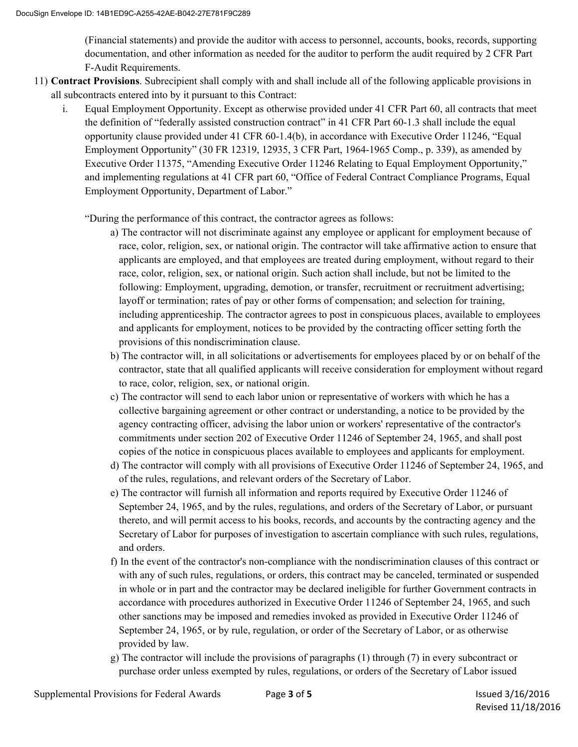(Financial statements) and provide the auditor with access to personnel, accounts, books, records, supporting documentation, and other information as needed for the auditor to perform the audit required by 2 CFR Part F-Audit Requirements.

- 11) **Contract Provisions**. Subrecipient shall comply with and shall include all of the following applicable provisions in all subcontracts entered into by it pursuant to this Contract:
	- i. Equal Employment Opportunity. Except as otherwise provided under 41 CFR Part 60, all contracts that meet the definition of "federally assisted construction contract" in 41 CFR Part 60-1.3 shall include the equal opportunity clause provided under 41 CFR 60-1.4(b), in accordance with Executive Order 11246, "Equal Employment Opportunity" (30 FR 12319, 12935, 3 CFR Part, 1964-1965 Comp., p. 339), as amended by Executive Order 11375, "Amending Executive Order 11246 Relating to Equal Employment Opportunity," and implementing regulations at 41 CFR part 60, "Office of Federal Contract Compliance Programs, Equal Employment Opportunity, Department of Labor."

"During the performance of this contract, the contractor agrees as follows:

- a) The contractor will not discriminate against any employee or applicant for employment because of race, color, religion, sex, or national origin. The contractor will take affirmative action to ensure that applicants are employed, and that employees are treated during employment, without regard to their race, color, religion, sex, or national origin. Such action shall include, but not be limited to the following: Employment, upgrading, demotion, or transfer, recruitment or recruitment advertising; layoff or termination; rates of pay or other forms of compensation; and selection for training, including apprenticeship. The contractor agrees to post in conspicuous places, available to employees and applicants for employment, notices to be provided by the contracting officer setting forth the provisions of this nondiscrimination clause.
- b) The contractor will, in all solicitations or advertisements for employees placed by or on behalf of the contractor, state that all qualified applicants will receive consideration for employment without regard to race, color, religion, sex, or national origin.
- c) The contractor will send to each labor union or representative of workers with which he has a collective bargaining agreement or other contract or understanding, a notice to be provided by the agency contracting officer, advising the labor union or workers' representative of the contractor's commitments under section 202 of Executive Order 11246 of September 24, 1965, and shall post copies of the notice in conspicuous places available to employees and applicants for employment.
- d) The contractor will comply with all provisions of Executive Order 11246 of September 24, 1965, and of the rules, regulations, and relevant orders of the Secretary of Labor.
- e) The contractor will furnish all information and reports required by Executive Order 11246 of September 24, 1965, and by the rules, regulations, and orders of the Secretary of Labor, or pursuant thereto, and will permit access to his books, records, and accounts by the contracting agency and the Secretary of Labor for purposes of investigation to ascertain compliance with such rules, regulations, and orders.
- f) In the event of the contractor's non-compliance with the nondiscrimination clauses of this contract or with any of such rules, regulations, or orders, this contract may be canceled, terminated or suspended in whole or in part and the contractor may be declared ineligible for further Government contracts in accordance with procedures authorized in Executive Order 11246 of September 24, 1965, and such other sanctions may be imposed and remedies invoked as provided in Executive Order 11246 of September 24, 1965, or by rule, regulation, or order of the Secretary of Labor, or as otherwise provided by law.
- g) The contractor will include the provisions of paragraphs (1) through (7) in every subcontract or purchase order unless exempted by rules, regulations, or orders of the Secretary of Labor issued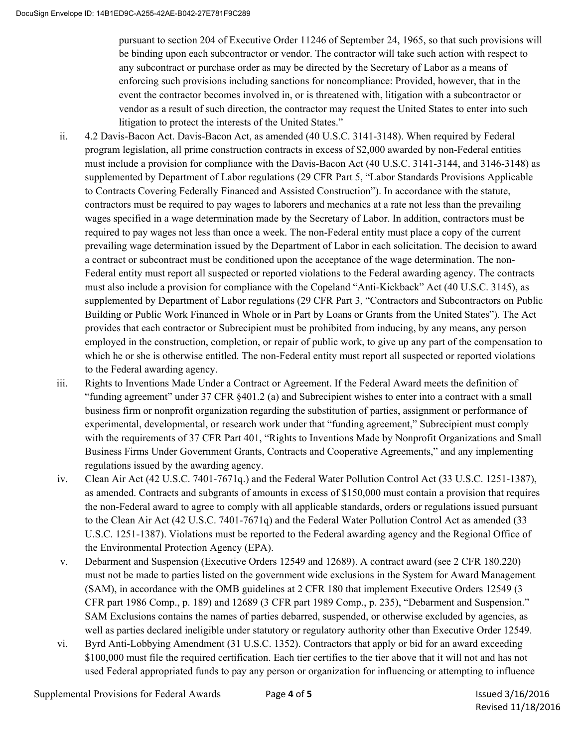pursuant to section 204 of Executive Order 11246 of September 24, 1965, so that such provisions will be binding upon each subcontractor or vendor. The contractor will take such action with respect to any subcontract or purchase order as may be directed by the Secretary of Labor as a means of enforcing such provisions including sanctions for noncompliance: Provided, however, that in the event the contractor becomes involved in, or is threatened with, litigation with a subcontractor or vendor as a result of such direction, the contractor may request the United States to enter into such litigation to protect the interests of the United States."

- ii. 4.2 Davis-Bacon Act. Davis-Bacon Act, as amended (40 U.S.C. 3141-3148). When required by Federal program legislation, all prime construction contracts in excess of \$2,000 awarded by non-Federal entities must include a provision for compliance with the Davis-Bacon Act (40 U.S.C. 3141-3144, and 3146-3148) as supplemented by Department of Labor regulations (29 CFR Part 5, "Labor Standards Provisions Applicable to Contracts Covering Federally Financed and Assisted Construction"). In accordance with the statute, contractors must be required to pay wages to laborers and mechanics at a rate not less than the prevailing wages specified in a wage determination made by the Secretary of Labor. In addition, contractors must be required to pay wages not less than once a week. The non-Federal entity must place a copy of the current prevailing wage determination issued by the Department of Labor in each solicitation. The decision to award a contract or subcontract must be conditioned upon the acceptance of the wage determination. The non-Federal entity must report all suspected or reported violations to the Federal awarding agency. The contracts must also include a provision for compliance with the Copeland "Anti-Kickback" Act (40 U.S.C. 3145), as supplemented by Department of Labor regulations (29 CFR Part 3, "Contractors and Subcontractors on Public Building or Public Work Financed in Whole or in Part by Loans or Grants from the United States"). The Act provides that each contractor or Subrecipient must be prohibited from inducing, by any means, any person employed in the construction, completion, or repair of public work, to give up any part of the compensation to which he or she is otherwise entitled. The non-Federal entity must report all suspected or reported violations to the Federal awarding agency.
- iii. Rights to Inventions Made Under a Contract or Agreement. If the Federal Award meets the definition of "funding agreement" under 37 CFR §401.2 (a) and Subrecipient wishes to enter into a contract with a small business firm or nonprofit organization regarding the substitution of parties, assignment or performance of experimental, developmental, or research work under that "funding agreement," Subrecipient must comply with the requirements of 37 CFR Part 401, "Rights to Inventions Made by Nonprofit Organizations and Small Business Firms Under Government Grants, Contracts and Cooperative Agreements," and any implementing regulations issued by the awarding agency.
- iv. Clean Air Act (42 U.S.C. 7401-7671q.) and the Federal Water Pollution Control Act (33 U.S.C. 1251-1387), as amended. Contracts and subgrants of amounts in excess of \$150,000 must contain a provision that requires the non-Federal award to agree to comply with all applicable standards, orders or regulations issued pursuant to the Clean Air Act (42 U.S.C. 7401-7671q) and the Federal Water Pollution Control Act as amended (33 U.S.C. 1251-1387). Violations must be reported to the Federal awarding agency and the Regional Office of the Environmental Protection Agency (EPA).
- v. Debarment and Suspension (Executive Orders 12549 and 12689). A contract award (see 2 CFR 180.220) must not be made to parties listed on the government wide exclusions in the System for Award Management (SAM), in accordance with the OMB guidelines at 2 CFR 180 that implement Executive Orders 12549 (3 CFR part 1986 Comp., p. 189) and 12689 (3 CFR part 1989 Comp., p. 235), "Debarment and Suspension." SAM Exclusions contains the names of parties debarred, suspended, or otherwise excluded by agencies, as well as parties declared ineligible under statutory or regulatory authority other than Executive Order 12549.
- vi. Byrd Anti-Lobbying Amendment (31 U.S.C. 1352). Contractors that apply or bid for an award exceeding \$100,000 must file the required certification. Each tier certifies to the tier above that it will not and has not used Federal appropriated funds to pay any person or organization for influencing or attempting to influence